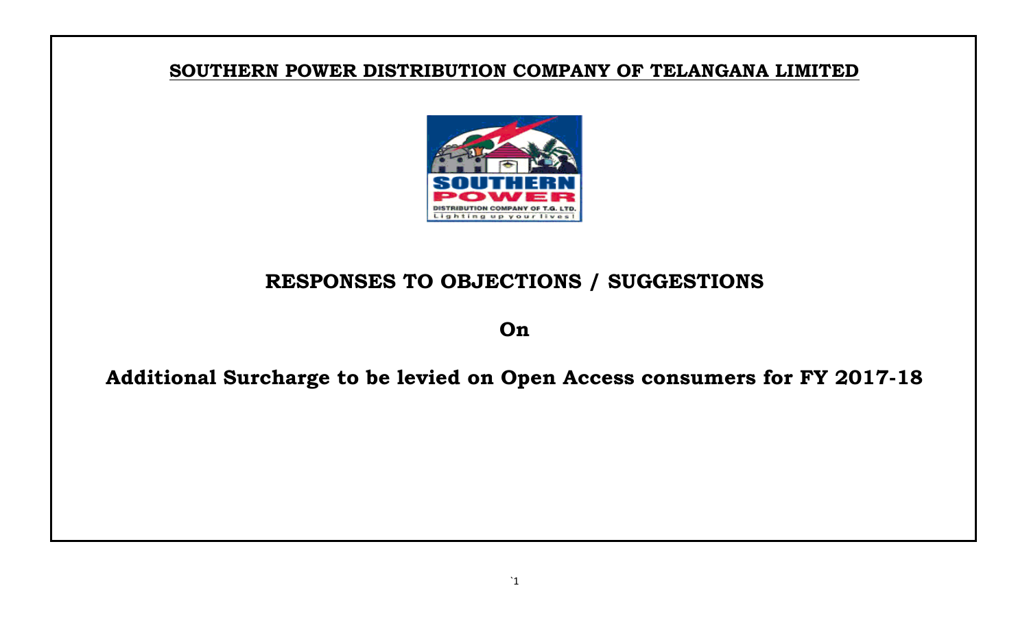## **SOUTHERN POWER DISTRIBUTION COMPANY OF TELANGANA LIMITED**



## **RESPONSES TO OBJECTIONS / SUGGESTIONS**

**On**

## **Additional Surcharge to be levied on Open Access consumers for FY 2017-18**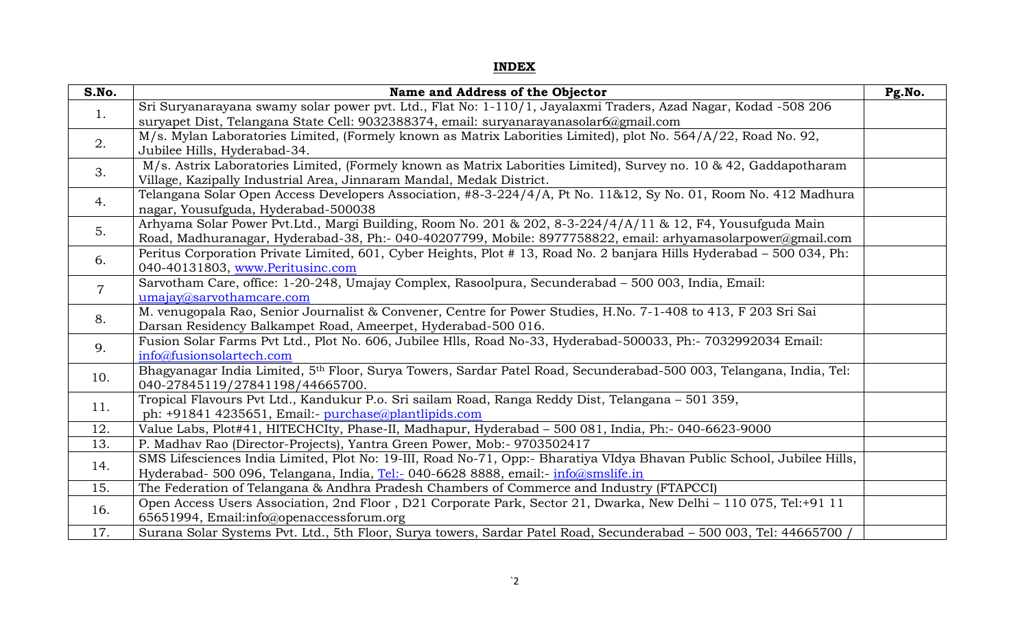## **INDEX**

| S.No.          | Name and Address of the Objector                                                                                                                                               | Pg.No. |
|----------------|--------------------------------------------------------------------------------------------------------------------------------------------------------------------------------|--------|
| 1.             | Sri Suryanarayana swamy solar power pvt. Ltd., Flat No: 1-110/1, Jayalaxmi Traders, Azad Nagar, Kodad -508 206                                                                 |        |
|                | suryapet Dist, Telangana State Cell: 9032388374, email: suryanarayanasolar6@gmail.com                                                                                          |        |
| 2.             | M/s. Mylan Laboratories Limited, (Formely known as Matrix Laborities Limited), plot No. 564/A/22, Road No. 92,                                                                 |        |
|                | Jubilee Hills, Hyderabad-34.                                                                                                                                                   |        |
| 3.             | M/s. Astrix Laboratories Limited, (Formely known as Matrix Laborities Limited), Survey no. 10 & 42, Gaddapotharam                                                              |        |
|                | Village, Kazipally Industrial Area, Jinnaram Mandal, Medak District.                                                                                                           |        |
| 4.             | Telangana Solar Open Access Developers Association, #8-3-224/4/A, Pt No. 11&12, Sy No. 01, Room No. 412 Madhura                                                                |        |
|                | nagar, Yousufguda, Hyderabad-500038                                                                                                                                            |        |
| 5.             | Arhyama Solar Power Pvt.Ltd., Margi Building, Room No. 201 & 202, 8-3-224/4/A/11 & 12, F4, Yousufguda Main                                                                     |        |
|                | Road, Madhuranagar, Hyderabad-38, Ph:- 040-40207799, Mobile: 8977758822, email: arhyamasolarpower@gmail.com                                                                    |        |
| 6.             | Peritus Corporation Private Limited, 601, Cyber Heights, Plot #13, Road No. 2 banjara Hills Hyderabad – 500 034, Ph:                                                           |        |
|                | 040-40131803, www.Peritusinc.com                                                                                                                                               |        |
| $\overline{7}$ | Sarvotham Care, office: 1-20-248, Umajay Complex, Rasoolpura, Secunderabad - 500 003, India, Email:                                                                            |        |
|                | umajay@sarvothamcare.com                                                                                                                                                       |        |
| 8.             | M. venugopala Rao, Senior Journalist & Convener, Centre for Power Studies, H.No. 7-1-408 to 413, F 203 Sri Sai                                                                 |        |
|                | Darsan Residency Balkampet Road, Ameerpet, Hyderabad-500 016.                                                                                                                  |        |
| 9.             | Fusion Solar Farms Pvt Ltd., Plot No. 606, Jubilee Hlls, Road No-33, Hyderabad-500033, Ph:- 7032992034 Email:                                                                  |        |
|                | info@fusionsolartech.com                                                                                                                                                       |        |
| 10.            | Bhagyanagar India Limited, 5th Floor, Surya Towers, Sardar Patel Road, Secunderabad-500 003, Telangana, India, Tel:                                                            |        |
|                | 040-27845119/27841198/44665700.                                                                                                                                                |        |
| 11.            | Tropical Flavours Pvt Ltd., Kandukur P.o. Sri sailam Road, Ranga Reddy Dist, Telangana - 501 359,                                                                              |        |
|                | ph: +91841 4235651, Email:- purchase@plantlipids.com                                                                                                                           |        |
| 12.<br>13.     | Value Labs, Plot#41, HITECHCIty, Phase-II, Madhapur, Hyderabad - 500 081, India, Ph:- 040-6623-9000<br>P. Madhav Rao (Director-Projects), Yantra Green Power, Mob:- 9703502417 |        |
|                |                                                                                                                                                                                |        |
| 14.            | SMS Lifesciences India Limited, Plot No: 19-III, Road No-71, Opp:- Bharatiya VIdya Bhavan Public School, Jubilee Hills,                                                        |        |
|                | Hyderabad- 500 096, Telangana, India, Tel:- 040-6628 8888, email:- info@smslife.in                                                                                             |        |
| 15.            | The Federation of Telangana & Andhra Pradesh Chambers of Commerce and Industry (FTAPCCI)                                                                                       |        |
| 16.            | Open Access Users Association, 2nd Floor, D21 Corporate Park, Sector 21, Dwarka, New Delhi - 110 075, Tel:+91 11                                                               |        |
|                | 65651994, Email:info@openaccessforum.org                                                                                                                                       |        |
| 17.            | Surana Solar Systems Pvt. Ltd., 5th Floor, Surya towers, Sardar Patel Road, Secunderabad - 500 003, Tel: 44665700 /                                                            |        |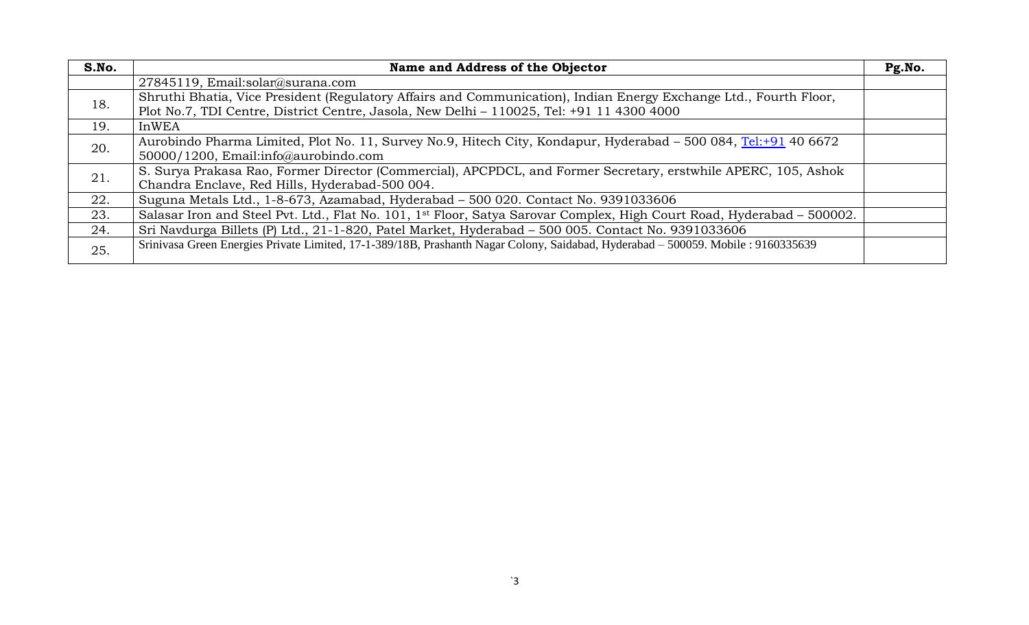| S.No. | Name and Address of the Objector                                                                                                                                                                               | Pg.No. |
|-------|----------------------------------------------------------------------------------------------------------------------------------------------------------------------------------------------------------------|--------|
|       | 27845119, Email:solar@surana.com                                                                                                                                                                               |        |
| 18.   | Shruthi Bhatia, Vice President (Regulatory Affairs and Communication), Indian Energy Exchange Ltd., Fourth Floor,<br>Plot No.7, TDI Centre, District Centre, Jasola, New Delhi - 110025, Tel: +91 11 4300 4000 |        |
| 19.   | <b>InWEA</b>                                                                                                                                                                                                   |        |
| 20.   | Aurobindo Pharma Limited, Plot No. 11, Survey No.9, Hitech City, Kondapur, Hyderabad - 500 084, Tel:+91 40 6672                                                                                                |        |
|       | 50000/1200, Email:info@aurobindo.com                                                                                                                                                                           |        |
| 21.   | S. Surya Prakasa Rao, Former Director (Commercial), APCPDCL, and Former Secretary, erstwhile APERC, 105, Ashok                                                                                                 |        |
|       | Chandra Enclave, Red Hills, Hyderabad-500 004.                                                                                                                                                                 |        |
| 22.   | Suguna Metals Ltd., 1-8-673, Azamabad, Hyderabad - 500 020. Contact No. 9391033606                                                                                                                             |        |
| 23.   | Salasar Iron and Steel Pvt. Ltd., Flat No. 101, 1 <sup>st</sup> Floor, Satya Sarovar Complex, High Court Road, Hyderabad - 500002.                                                                             |        |
| 24.   | Sri Navdurga Billets (P) Ltd., 21-1-820, Patel Market, Hyderabad - 500 005. Contact No. 9391033606                                                                                                             |        |
| 25.   | Srinivasa Green Energies Private Limited, 17-1-389/18B, Prashanth Nagar Colony, Saidabad, Hyderabad - 500059. Mobile: 9160335639                                                                               |        |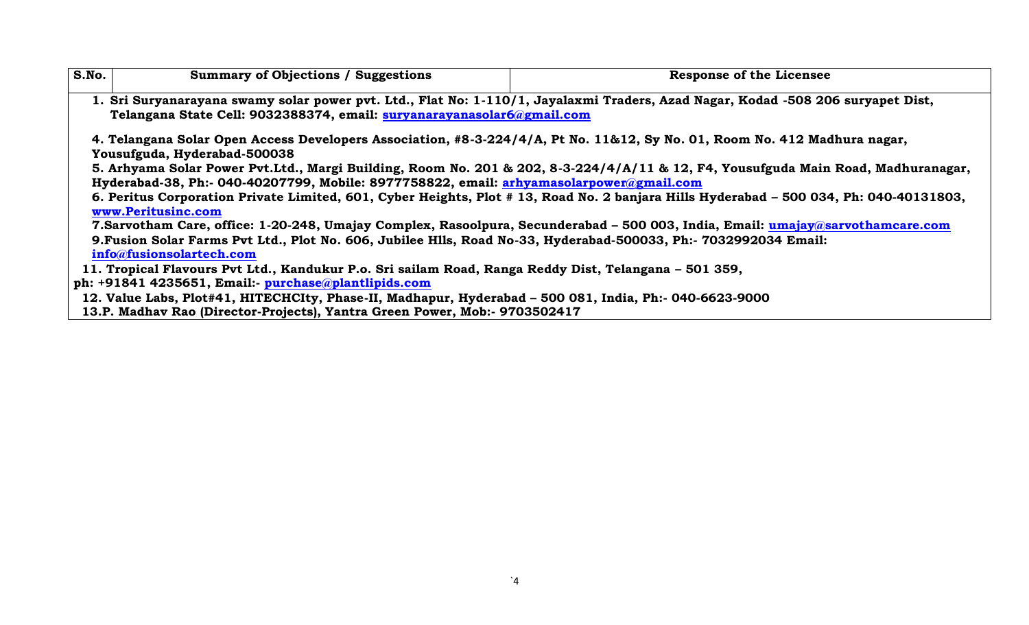| S.No. | <b>Summary of Objections / Suggestions</b>                                                                       | <b>Response of the Licensee</b>                                                                                                       |
|-------|------------------------------------------------------------------------------------------------------------------|---------------------------------------------------------------------------------------------------------------------------------------|
|       |                                                                                                                  | 1. Sri Suryanarayana swamy solar power pvt. Ltd., Flat No: 1-110/1, Jayalaxmi Traders, Azad Nagar, Kodad -508 206 suryapet Dist,      |
|       | Telangana State Cell: 9032388374, email: suryanarayanasolar6@gmail.com                                           |                                                                                                                                       |
|       | Yousufguda, Hyderabad-500038                                                                                     | 4. Telangana Solar Open Access Developers Association, #8-3-224/4/A, Pt No. 11&12, Sy No. 01, Room No. 412 Madhura nagar,             |
|       |                                                                                                                  | 5. Arhyama Solar Power Pvt.Ltd., Margi Building, Room No. 201 & 202, 8-3-224/4/A/11 & 12, F4, Yousufguda Main Road, Madhuranagar,     |
|       | Hyderabad-38, Ph:- 040-40207799, Mobile: 8977758822, email: arhyamasolarpower@gmail.com                          |                                                                                                                                       |
|       | www.Peritusinc.com                                                                                               | 6. Peritus Corporation Private Limited, 601, Cyber Heights, Plot #13, Road No. 2 banjara Hills Hyderabad - 500 034, Ph: 040-40131803, |
|       |                                                                                                                  | 7. Sarvotham Care, office: 1-20-248, Umajay Complex, Rasoolpura, Secunderabad - 500 003, India, Email: umajay@sarvothamcare.com       |
|       | 9. Fusion Solar Farms Pvt Ltd., Plot No. 606, Jubilee Hils, Road No-33, Hyderabad-500033, Ph:- 7032992034 Email: |                                                                                                                                       |
|       | info@fusionsolartech.com                                                                                         |                                                                                                                                       |
|       | 11. Tropical Flavours Pvt Ltd., Kandukur P.o. Sri sailam Road, Ranga Reddy Dist, Telangana – 501 359,            |                                                                                                                                       |
|       | ph: $+91841$ 4235651, Email:- purchase@plantlipids.com                                                           |                                                                                                                                       |
|       | 12. Value Labs, Plot#41, HITECHCIty, Phase-II, Madhapur, Hyderabad - 500 081, India, Ph:- 040-6623-9000          |                                                                                                                                       |
|       | 13.P. Madhav Rao (Director-Projects), Yantra Green Power, Mob:- 9703502417                                       |                                                                                                                                       |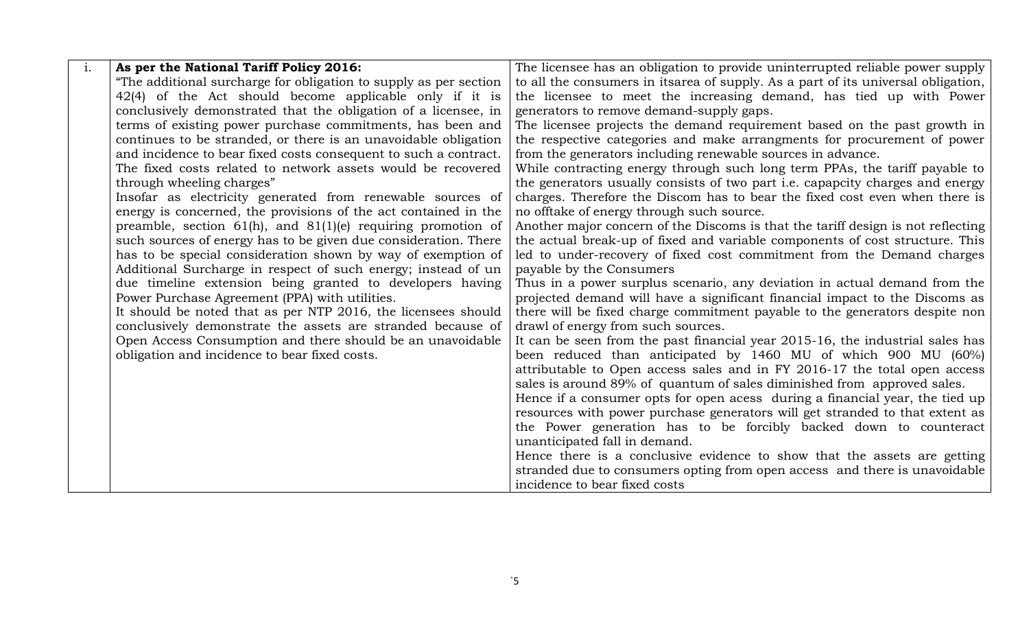| $\mathbf{i}$ . | As per the National Tariff Policy 2016:                           | The licensee has an obligation to provide uninterrupted reliable power supply        |
|----------------|-------------------------------------------------------------------|--------------------------------------------------------------------------------------|
|                | "The additional surcharge for obligation to supply as per section | to all the consumers in itsarea of supply. As a part of its universal obligation,    |
|                | 42(4) of the Act should become applicable only if it is           | the licensee to meet the increasing demand, has tied up with Power                   |
|                | conclusively demonstrated that the obligation of a licensee, in   | generators to remove demand-supply gaps.                                             |
|                | terms of existing power purchase commitments, has been and        | The licensee projects the demand requirement based on the past growth in             |
|                | continues to be stranded, or there is an unavoidable obligation   | the respective categories and make arrangments for procurement of power              |
|                | and incidence to bear fixed costs consequent to such a contract.  | from the generators including renewable sources in advance.                          |
|                | The fixed costs related to network assets would be recovered      | While contracting energy through such long term PPAs, the tariff payable to          |
|                | through wheeling charges"                                         | the generators usually consists of two part <i>i.e.</i> capapcity charges and energy |
|                | Insofar as electricity generated from renewable sources of        | charges. Therefore the Discom has to bear the fixed cost even when there is          |
|                | energy is concerned, the provisions of the act contained in the   | no offtake of energy through such source.                                            |
|                | preamble, section $61(h)$ , and $81(1)(e)$ requiring promotion of | Another major concern of the Discoms is that the tariff design is not reflecting     |
|                | such sources of energy has to be given due consideration. There   | the actual break-up of fixed and variable components of cost structure. This         |
|                | has to be special consideration shown by way of exemption of      | led to under-recovery of fixed cost commitment from the Demand charges               |
|                | Additional Surcharge in respect of such energy; instead of un     | payable by the Consumers                                                             |
|                | due timeline extension being granted to developers having         | Thus in a power surplus scenario, any deviation in actual demand from the            |
|                | Power Purchase Agreement (PPA) with utilities.                    | projected demand will have a significant financial impact to the Discoms as          |
|                | It should be noted that as per NTP 2016, the licensees should     | there will be fixed charge commitment payable to the generators despite non          |
|                | conclusively demonstrate the assets are stranded because of       | drawl of energy from such sources.                                                   |
|                | Open Access Consumption and there should be an unavoidable        | It can be seen from the past financial year 2015-16, the industrial sales has        |
|                | obligation and incidence to bear fixed costs.                     | been reduced than anticipated by 1460 MU of which 900 MU (60%)                       |
|                |                                                                   | attributable to Open access sales and in FY 2016-17 the total open access            |
|                |                                                                   | sales is around 89% of quantum of sales diminished from approved sales.              |
|                |                                                                   | Hence if a consumer opts for open acess during a financial year, the tied up         |
|                |                                                                   | resources with power purchase generators will get stranded to that extent as         |
|                |                                                                   | the Power generation has to be forcibly backed down to counteract                    |
|                |                                                                   | unanticipated fall in demand.                                                        |
|                |                                                                   | Hence there is a conclusive evidence to show that the assets are getting             |
|                |                                                                   | stranded due to consumers opting from open access and there is unavoidable           |
|                |                                                                   | incidence to bear fixed costs                                                        |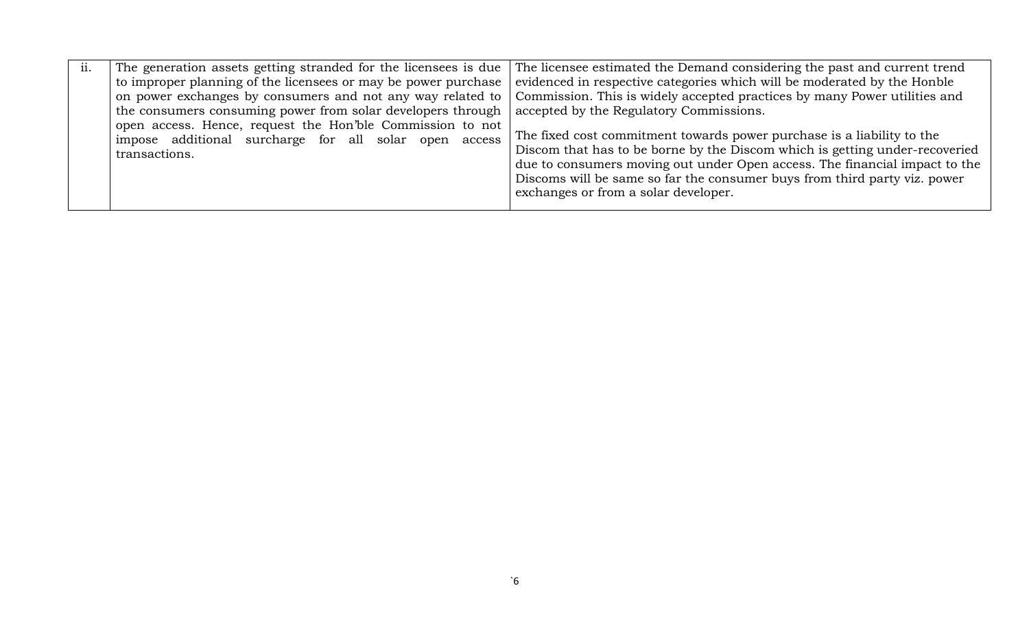| ii. | The generation assets getting stranded for the licensees is due                                                                     | The licensee estimated the Demand considering the past and current trend                                                                                                                                                                                                                                                                                 |
|-----|-------------------------------------------------------------------------------------------------------------------------------------|----------------------------------------------------------------------------------------------------------------------------------------------------------------------------------------------------------------------------------------------------------------------------------------------------------------------------------------------------------|
|     | to improper planning of the licensees or may be power purchase                                                                      | evidenced in respective categories which will be moderated by the Honble                                                                                                                                                                                                                                                                                 |
|     | on power exchanges by consumers and not any way related to                                                                          | Commission. This is widely accepted practices by many Power utilities and                                                                                                                                                                                                                                                                                |
|     | the consumers consuming power from solar developers through                                                                         | accepted by the Regulatory Commissions.                                                                                                                                                                                                                                                                                                                  |
|     | open access. Hence, request the Hon'ble Commission to not<br>impose additional surcharge for all solar open access<br>transactions. | The fixed cost commitment towards power purchase is a liability to the<br>Discom that has to be borne by the Discom which is getting under-recoveried<br>due to consumers moving out under Open access. The financial impact to the<br>Discoms will be same so far the consumer buys from third party viz. power<br>exchanges or from a solar developer. |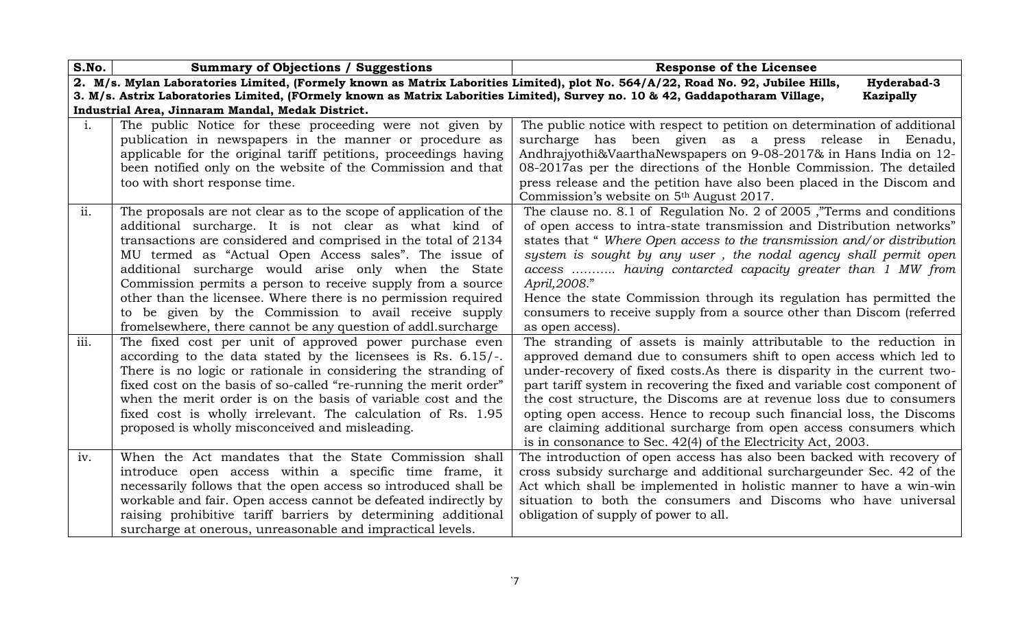| S.No.          | <b>Summary of Objections / Suggestions</b>                                                                                        | <b>Response of the Licensee</b>                                                                                                                |
|----------------|-----------------------------------------------------------------------------------------------------------------------------------|------------------------------------------------------------------------------------------------------------------------------------------------|
|                | 2. M/s. Mylan Laboratories Limited, (Formely known as Matrix Laborities Limited), plot No. 564/A/22, Road No. 92, Jubilee Hills,  | Hyderabad-3                                                                                                                                    |
|                | 3. M/s. Astrix Laboratories Limited, (FOrmely known as Matrix Laborities Limited), Survey no. 10 & 42, Gaddapotharam Village,     | Kazipally                                                                                                                                      |
|                | Industrial Area, Jinnaram Mandal, Medak District.                                                                                 |                                                                                                                                                |
| $\mathbf{i}$ . | The public Notice for these proceeding were not given by                                                                          | The public notice with respect to petition on determination of additional                                                                      |
|                | publication in newspapers in the manner or procedure as                                                                           | surcharge has been given as a press release in Eenadu,                                                                                         |
|                | applicable for the original tariff petitions, proceedings having                                                                  | Andhrajyothi&VaarthaNewspapers on 9-08-2017& in Hans India on 12-                                                                              |
|                | been notified only on the website of the Commission and that                                                                      | 08-2017as per the directions of the Honble Commission. The detailed                                                                            |
|                | too with short response time.                                                                                                     | press release and the petition have also been placed in the Discom and                                                                         |
|                |                                                                                                                                   | Commission's website on 5 <sup>th</sup> August 2017.                                                                                           |
| ii.            | The proposals are not clear as to the scope of application of the                                                                 | The clause no. 8.1 of Regulation No. 2 of 2005, "Terms and conditions"                                                                         |
|                | additional surcharge. It is not clear as what kind of                                                                             | of open access to intra-state transmission and Distribution networks"                                                                          |
|                | transactions are considered and comprised in the total of 2134                                                                    | states that "Where Open access to the transmission and/or distribution                                                                         |
|                | MU termed as "Actual Open Access sales". The issue of                                                                             | system is sought by any user, the nodal agency shall permit open                                                                               |
|                | additional surcharge would arise only when the State                                                                              | access  having contarcted capacity greater than 1 MW from                                                                                      |
|                | Commission permits a person to receive supply from a source                                                                       | April, 2008."                                                                                                                                  |
|                | other than the licensee. Where there is no permission required                                                                    | Hence the state Commission through its regulation has permitted the                                                                            |
|                | to be given by the Commission to avail receive supply                                                                             | consumers to receive supply from a source other than Discom (referred                                                                          |
|                | from elsewhere, there cannot be any question of addl. surcharge                                                                   | as open access).                                                                                                                               |
| iii.           | The fixed cost per unit of approved power purchase even                                                                           | The stranding of assets is mainly attributable to the reduction in                                                                             |
|                | according to the data stated by the licensees is Rs. $6.15/-$ .<br>There is no logic or rationale in considering the stranding of | approved demand due to consumers shift to open access which led to<br>under-recovery of fixed costs. As there is disparity in the current two- |
|                | fixed cost on the basis of so-called "re-running the merit order"                                                                 | part tariff system in recovering the fixed and variable cost component of                                                                      |
|                | when the merit order is on the basis of variable cost and the                                                                     | the cost structure, the Discoms are at revenue loss due to consumers                                                                           |
|                | fixed cost is wholly irrelevant. The calculation of Rs. 1.95                                                                      | opting open access. Hence to recoup such financial loss, the Discoms                                                                           |
|                | proposed is wholly misconceived and misleading.                                                                                   | are claiming additional surcharge from open access consumers which                                                                             |
|                |                                                                                                                                   | is in consonance to Sec. 42(4) of the Electricity Act, 2003.                                                                                   |
| iv.            | When the Act mandates that the State Commission shall                                                                             | The introduction of open access has also been backed with recovery of                                                                          |
|                | introduce open access within a specific time frame, it                                                                            | cross subsidy surcharge and additional surchargeunder Sec. 42 of the                                                                           |
|                | necessarily follows that the open access so introduced shall be                                                                   | Act which shall be implemented in holistic manner to have a win-win                                                                            |
|                | workable and fair. Open access cannot be defeated indirectly by                                                                   | situation to both the consumers and Discoms who have universal                                                                                 |
|                | raising prohibitive tariff barriers by determining additional                                                                     | obligation of supply of power to all.                                                                                                          |
|                | surcharge at onerous, unreasonable and impractical levels.                                                                        |                                                                                                                                                |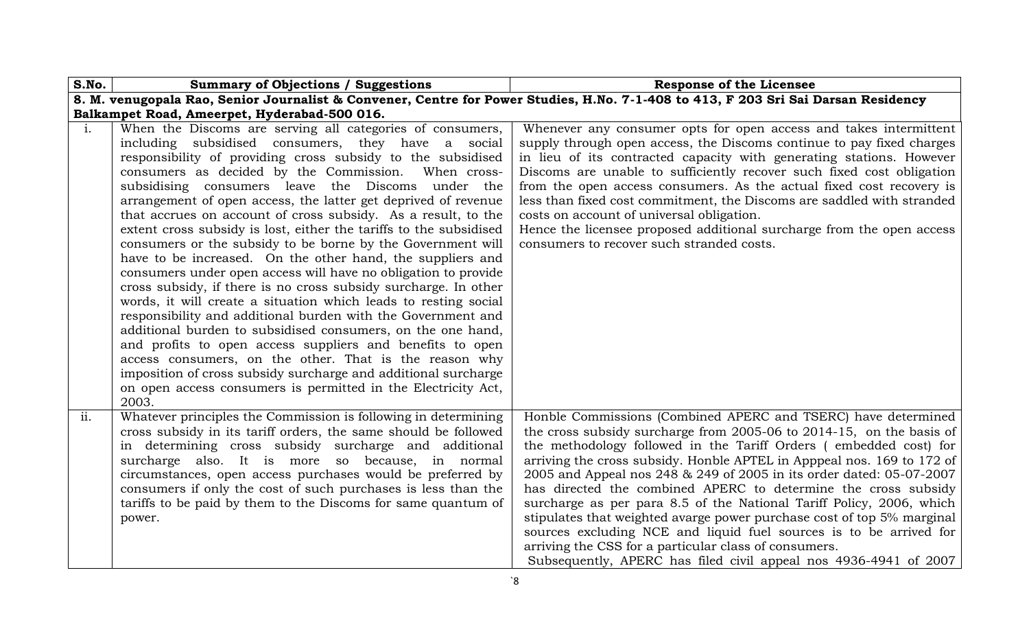| S.No.          | <b>Summary of Objections / Suggestions</b><br><b>Response of the Licensee</b>                                                                                                                                                                                                                                                                                                                                                                                                                                                                                                                                                                                                                                                                                                                                                                                                                                                                                                                                                                                                                                                                                                                                                                 |                                                                                                                                                                                                                                                                                                                                                                                                                                                                                                                                                                                                                                                                                                                                                                                     |
|----------------|-----------------------------------------------------------------------------------------------------------------------------------------------------------------------------------------------------------------------------------------------------------------------------------------------------------------------------------------------------------------------------------------------------------------------------------------------------------------------------------------------------------------------------------------------------------------------------------------------------------------------------------------------------------------------------------------------------------------------------------------------------------------------------------------------------------------------------------------------------------------------------------------------------------------------------------------------------------------------------------------------------------------------------------------------------------------------------------------------------------------------------------------------------------------------------------------------------------------------------------------------|-------------------------------------------------------------------------------------------------------------------------------------------------------------------------------------------------------------------------------------------------------------------------------------------------------------------------------------------------------------------------------------------------------------------------------------------------------------------------------------------------------------------------------------------------------------------------------------------------------------------------------------------------------------------------------------------------------------------------------------------------------------------------------------|
|                |                                                                                                                                                                                                                                                                                                                                                                                                                                                                                                                                                                                                                                                                                                                                                                                                                                                                                                                                                                                                                                                                                                                                                                                                                                               | 8. M. venugopala Rao, Senior Journalist & Convener, Centre for Power Studies, H.No. 7-1-408 to 413, F 203 Sri Sai Darsan Residency                                                                                                                                                                                                                                                                                                                                                                                                                                                                                                                                                                                                                                                  |
|                | Balkampet Road, Ameerpet, Hyderabad-500 016.                                                                                                                                                                                                                                                                                                                                                                                                                                                                                                                                                                                                                                                                                                                                                                                                                                                                                                                                                                                                                                                                                                                                                                                                  |                                                                                                                                                                                                                                                                                                                                                                                                                                                                                                                                                                                                                                                                                                                                                                                     |
| $\mathbf{i}$ . | When the Discoms are serving all categories of consumers,<br>including subsidised consumers, they have a social<br>responsibility of providing cross subsidy to the subsidised<br>consumers as decided by the Commission.<br>When cross-<br>subsidising consumers leave the Discoms under the<br>arrangement of open access, the latter get deprived of revenue<br>that accrues on account of cross subsidy. As a result, to the<br>extent cross subsidy is lost, either the tariffs to the subsidised<br>consumers or the subsidy to be borne by the Government will<br>have to be increased. On the other hand, the suppliers and<br>consumers under open access will have no obligation to provide<br>cross subsidy, if there is no cross subsidy surcharge. In other<br>words, it will create a situation which leads to resting social<br>responsibility and additional burden with the Government and<br>additional burden to subsidised consumers, on the one hand,<br>and profits to open access suppliers and benefits to open<br>access consumers, on the other. That is the reason why<br>imposition of cross subsidy surcharge and additional surcharge<br>on open access consumers is permitted in the Electricity Act,<br>2003. | Whenever any consumer opts for open access and takes intermittent<br>supply through open access, the Discoms continue to pay fixed charges<br>in lieu of its contracted capacity with generating stations. However<br>Discoms are unable to sufficiently recover such fixed cost obligation<br>from the open access consumers. As the actual fixed cost recovery is<br>less than fixed cost commitment, the Discoms are saddled with stranded<br>costs on account of universal obligation.<br>Hence the licensee proposed additional surcharge from the open access<br>consumers to recover such stranded costs.                                                                                                                                                                    |
| ii.            | Whatever principles the Commission is following in determining<br>cross subsidy in its tariff orders, the same should be followed<br>in determining cross subsidy surcharge and additional<br>surcharge also. It is more so because, in normal<br>circumstances, open access purchases would be preferred by<br>consumers if only the cost of such purchases is less than the<br>tariffs to be paid by them to the Discoms for same quantum of<br>power.                                                                                                                                                                                                                                                                                                                                                                                                                                                                                                                                                                                                                                                                                                                                                                                      | Honble Commissions (Combined APERC and TSERC) have determined<br>the cross subsidy surcharge from 2005-06 to 2014-15, on the basis of<br>the methodology followed in the Tariff Orders (embedded cost) for<br>arriving the cross subsidy. Honble APTEL in Apppeal nos. 169 to 172 of<br>2005 and Appeal nos 248 & 249 of 2005 in its order dated: 05-07-2007<br>has directed the combined APERC to determine the cross subsidy<br>surcharge as per para 8.5 of the National Tariff Policy, 2006, which<br>stipulates that weighted avarge power purchase cost of top 5% marginal<br>sources excluding NCE and liquid fuel sources is to be arrived for<br>arriving the CSS for a particular class of consumers.<br>Subsequently, APERC has filed civil appeal nos 4936-4941 of 2007 |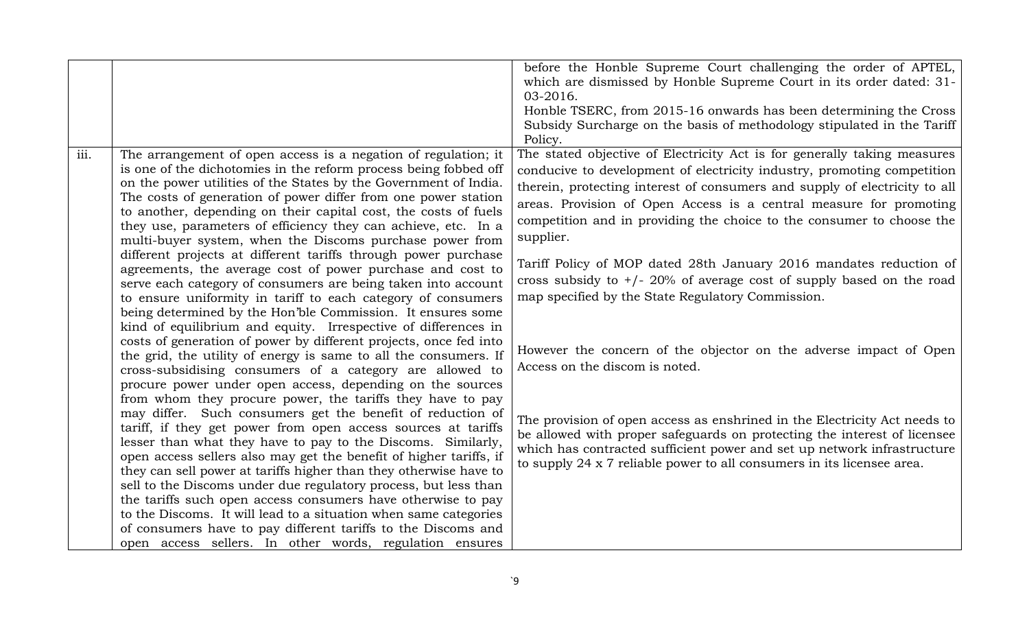|      |                                                                                                                                                                                                                                                                                                                                                                                                                                                                           | before the Honble Supreme Court challenging the order of APTEL,<br>which are dismissed by Honble Supreme Court in its order dated: 31-<br>03-2016.<br>Honble TSERC, from 2015-16 onwards has been determining the Cross<br>Subsidy Surcharge on the basis of methodology stipulated in the Tariff                                                                                             |
|------|---------------------------------------------------------------------------------------------------------------------------------------------------------------------------------------------------------------------------------------------------------------------------------------------------------------------------------------------------------------------------------------------------------------------------------------------------------------------------|-----------------------------------------------------------------------------------------------------------------------------------------------------------------------------------------------------------------------------------------------------------------------------------------------------------------------------------------------------------------------------------------------|
|      |                                                                                                                                                                                                                                                                                                                                                                                                                                                                           | Policy.                                                                                                                                                                                                                                                                                                                                                                                       |
| iii. | The arrangement of open access is a negation of regulation; it<br>is one of the dichotomies in the reform process being fobbed off<br>on the power utilities of the States by the Government of India.<br>The costs of generation of power differ from one power station<br>to another, depending on their capital cost, the costs of fuels<br>they use, parameters of efficiency they can achieve, etc. In a<br>multi-buyer system, when the Discoms purchase power from | The stated objective of Electricity Act is for generally taking measures<br>conducive to development of electricity industry, promoting competition<br>therein, protecting interest of consumers and supply of electricity to all<br>areas. Provision of Open Access is a central measure for promoting<br>competition and in providing the choice to the consumer to choose the<br>supplier. |
|      | different projects at different tariffs through power purchase<br>agreements, the average cost of power purchase and cost to<br>serve each category of consumers are being taken into account<br>to ensure uniformity in tariff to each category of consumers<br>being determined by the Hon'ble Commission. It ensures some<br>kind of equilibrium and equity. Irrespective of differences in                                                                            | Tariff Policy of MOP dated 28th January 2016 mandates reduction of<br>cross subsidy to $+/- 20\%$ of average cost of supply based on the road<br>map specified by the State Regulatory Commission.                                                                                                                                                                                            |
|      | costs of generation of power by different projects, once fed into<br>the grid, the utility of energy is same to all the consumers. If<br>cross-subsidising consumers of a category are allowed to<br>procure power under open access, depending on the sources                                                                                                                                                                                                            | However the concern of the objector on the adverse impact of Open<br>Access on the discom is noted.                                                                                                                                                                                                                                                                                           |
|      | from whom they procure power, the tariffs they have to pay<br>may differ. Such consumers get the benefit of reduction of<br>tariff, if they get power from open access sources at tariffs<br>lesser than what they have to pay to the Discoms. Similarly,<br>open access sellers also may get the benefit of higher tariffs, if<br>they can sell power at tariffs higher than they otherwise have to<br>sell to the Discoms under due regulatory process, but less than   | The provision of open access as enshrined in the Electricity Act needs to<br>be allowed with proper safeguards on protecting the interest of licensee<br>which has contracted sufficient power and set up network infrastructure<br>to supply 24 x 7 reliable power to all consumers in its licensee area.                                                                                    |
|      | the tariffs such open access consumers have otherwise to pay<br>to the Discoms. It will lead to a situation when same categories<br>of consumers have to pay different tariffs to the Discoms and<br>open access sellers. In other words, regulation ensures                                                                                                                                                                                                              |                                                                                                                                                                                                                                                                                                                                                                                               |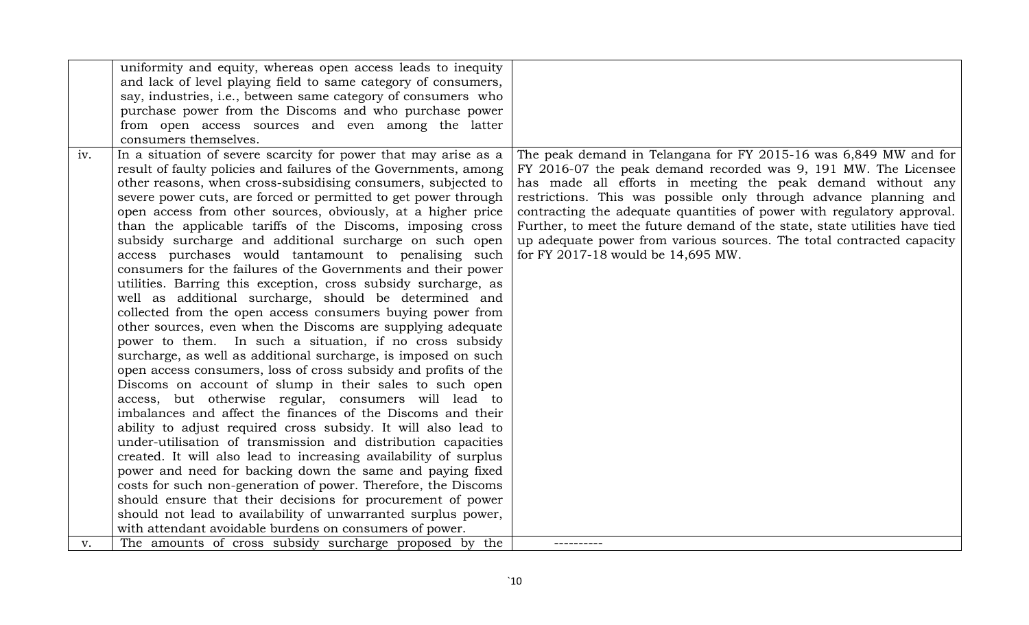|     | uniformity and equity, whereas open access leads to inequity     |                                                                            |
|-----|------------------------------------------------------------------|----------------------------------------------------------------------------|
|     | and lack of level playing field to same category of consumers,   |                                                                            |
|     | say, industries, i.e., between same category of consumers who    |                                                                            |
|     | purchase power from the Discoms and who purchase power           |                                                                            |
|     | from open access sources and even among the latter               |                                                                            |
|     | consumers themselves.                                            |                                                                            |
| iv. | In a situation of severe scarcity for power that may arise as a  | The peak demand in Telangana for FY 2015-16 was 6,849 MW and for           |
|     | result of faulty policies and failures of the Governments, among | FY 2016-07 the peak demand recorded was 9, 191 MW. The Licensee            |
|     | other reasons, when cross-subsidising consumers, subjected to    | has made all efforts in meeting the peak demand without any                |
|     | severe power cuts, are forced or permitted to get power through  | restrictions. This was possible only through advance planning and          |
|     | open access from other sources, obviously, at a higher price     | contracting the adequate quantities of power with regulatory approval.     |
|     | than the applicable tariffs of the Discoms, imposing cross       | Further, to meet the future demand of the state, state utilities have tied |
|     | subsidy surcharge and additional surcharge on such open          | up adequate power from various sources. The total contracted capacity      |
|     | access purchases would tantamount to penalising such             | for FY 2017-18 would be 14,695 MW.                                         |
|     | consumers for the failures of the Governments and their power    |                                                                            |
|     | utilities. Barring this exception, cross subsidy surcharge, as   |                                                                            |
|     | well as additional surcharge, should be determined and           |                                                                            |
|     | collected from the open access consumers buying power from       |                                                                            |
|     | other sources, even when the Discoms are supplying adequate      |                                                                            |
|     | power to them. In such a situation, if no cross subsidy          |                                                                            |
|     | surcharge, as well as additional surcharge, is imposed on such   |                                                                            |
|     | open access consumers, loss of cross subsidy and profits of the  |                                                                            |
|     | Discoms on account of slump in their sales to such open          |                                                                            |
|     | access, but otherwise regular, consumers will lead to            |                                                                            |
|     | imbalances and affect the finances of the Discoms and their      |                                                                            |
|     | ability to adjust required cross subsidy. It will also lead to   |                                                                            |
|     | under-utilisation of transmission and distribution capacities    |                                                                            |
|     | created. It will also lead to increasing availability of surplus |                                                                            |
|     | power and need for backing down the same and paying fixed        |                                                                            |
|     | costs for such non-generation of power. Therefore, the Discoms   |                                                                            |
|     | should ensure that their decisions for procurement of power      |                                                                            |
|     | should not lead to availability of unwarranted surplus power,    |                                                                            |
|     | with attendant avoidable burdens on consumers of power.          |                                                                            |
| v.  | The amounts of cross subsidy surcharge proposed by the           |                                                                            |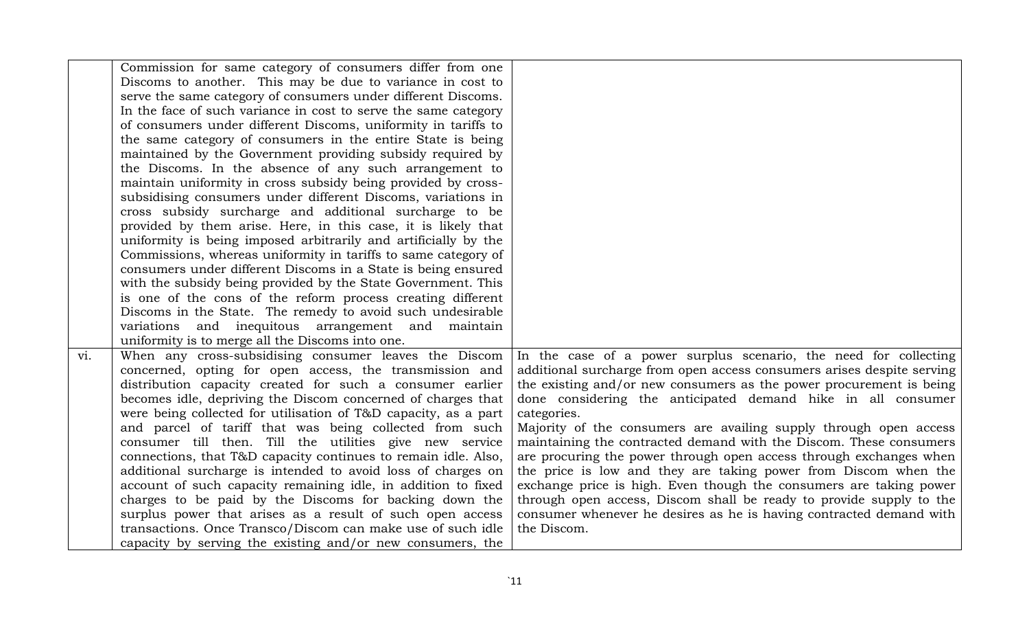|     | Commission for same category of consumers differ from one       |                                                                                    |
|-----|-----------------------------------------------------------------|------------------------------------------------------------------------------------|
|     | Discoms to another. This may be due to variance in cost to      |                                                                                    |
|     | serve the same category of consumers under different Discoms.   |                                                                                    |
|     | In the face of such variance in cost to serve the same category |                                                                                    |
|     | of consumers under different Discoms, uniformity in tariffs to  |                                                                                    |
|     | the same category of consumers in the entire State is being     |                                                                                    |
|     | maintained by the Government providing subsidy required by      |                                                                                    |
|     | the Discoms. In the absence of any such arrangement to          |                                                                                    |
|     | maintain uniformity in cross subsidy being provided by cross-   |                                                                                    |
|     | subsidising consumers under different Discoms, variations in    |                                                                                    |
|     | cross subsidy surcharge and additional surcharge to be          |                                                                                    |
|     | provided by them arise. Here, in this case, it is likely that   |                                                                                    |
|     | uniformity is being imposed arbitrarily and artificially by the |                                                                                    |
|     | Commissions, whereas uniformity in tariffs to same category of  |                                                                                    |
|     | consumers under different Discoms in a State is being ensured   |                                                                                    |
|     | with the subsidy being provided by the State Government. This   |                                                                                    |
|     | is one of the cons of the reform process creating different     |                                                                                    |
|     | Discoms in the State. The remedy to avoid such undesirable      |                                                                                    |
|     | variations and inequitous arrangement and maintain              |                                                                                    |
|     | uniformity is to merge all the Discoms into one.                |                                                                                    |
| vi. | When any cross-subsidising consumer leaves the Discom           | In the case of a power surplus scenario, the need for collecting                   |
|     | concerned, opting for open access, the transmission and         | additional surcharge from open access consumers arises despite serving             |
|     | distribution capacity created for such a consumer earlier       | the existing and/or new consumers as the power procurement is being                |
|     | becomes idle, depriving the Discom concerned of charges that    | done considering the anticipated demand hike in all consumer                       |
|     | were being collected for utilisation of T&D capacity, as a part | categories.                                                                        |
|     | and parcel of tariff that was being collected from such         | Majority of the consumers are availing supply through open access                  |
|     | consumer till then. Till the utilities give new service         | maintaining the contracted demand with the Discom. These consumers                 |
|     | connections, that T&D capacity continues to remain idle. Also,  | are procuring the power through open access through exchanges when                 |
|     | additional surcharge is intended to avoid loss of charges on    | the price is low and they are taking power from Discom when the                    |
|     | account of such capacity remaining idle, in addition to fixed   | exchange price is high. Even though the consumers are taking power                 |
|     | charges to be paid by the Discoms for backing down the          | through open access, Discom shall be ready to provide supply to the                |
|     | surplus power that arises as a result of such open access       | consumer whenever he desires as he is having contracted demand with<br>the Discom. |
|     | transactions. Once Transco/Discom can make use of such idle     |                                                                                    |
|     | capacity by serving the existing and/or new consumers, the      |                                                                                    |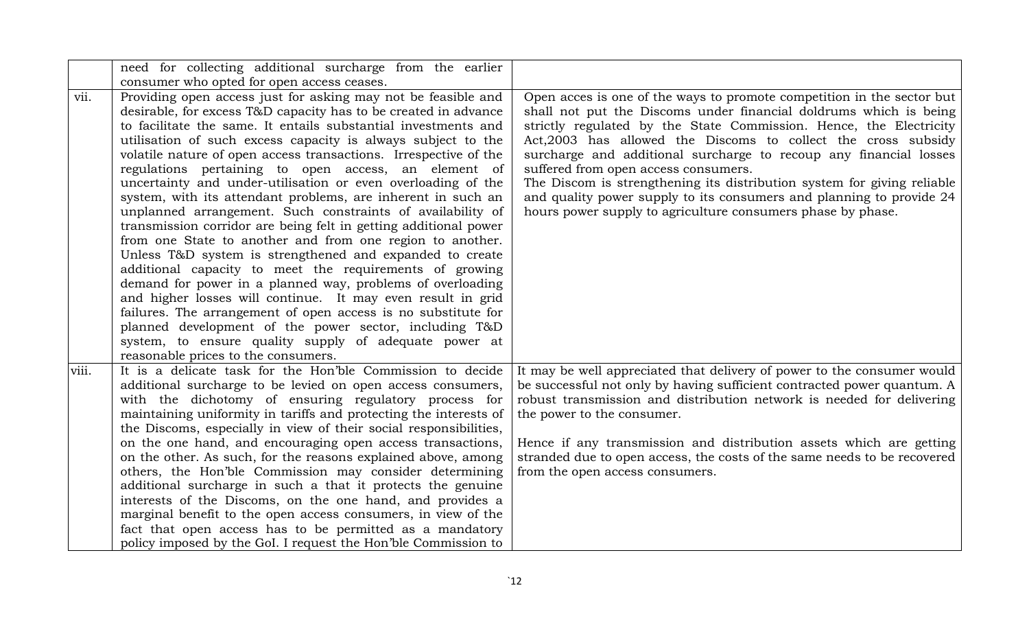|       | need for collecting additional surcharge from the earlier                                                                                                                                                                                                                                                                                                                                                                                                                                                                                                                                                                                                                                                                                                                                                                                                                                                                                                                                                                                                                                                                                                             |                                                                                                                                                                                                                                                                                                                                                                                                                                                                                                                                                                                                                    |
|-------|-----------------------------------------------------------------------------------------------------------------------------------------------------------------------------------------------------------------------------------------------------------------------------------------------------------------------------------------------------------------------------------------------------------------------------------------------------------------------------------------------------------------------------------------------------------------------------------------------------------------------------------------------------------------------------------------------------------------------------------------------------------------------------------------------------------------------------------------------------------------------------------------------------------------------------------------------------------------------------------------------------------------------------------------------------------------------------------------------------------------------------------------------------------------------|--------------------------------------------------------------------------------------------------------------------------------------------------------------------------------------------------------------------------------------------------------------------------------------------------------------------------------------------------------------------------------------------------------------------------------------------------------------------------------------------------------------------------------------------------------------------------------------------------------------------|
|       | consumer who opted for open access ceases.                                                                                                                                                                                                                                                                                                                                                                                                                                                                                                                                                                                                                                                                                                                                                                                                                                                                                                                                                                                                                                                                                                                            |                                                                                                                                                                                                                                                                                                                                                                                                                                                                                                                                                                                                                    |
| vii.  | Providing open access just for asking may not be feasible and<br>desirable, for excess T&D capacity has to be created in advance<br>to facilitate the same. It entails substantial investments and<br>utilisation of such excess capacity is always subject to the<br>volatile nature of open access transactions. Irrespective of the<br>regulations pertaining to open access, an element of<br>uncertainty and under-utilisation or even overloading of the<br>system, with its attendant problems, are inherent in such an<br>unplanned arrangement. Such constraints of availability of<br>transmission corridor are being felt in getting additional power<br>from one State to another and from one region to another.<br>Unless T&D system is strengthened and expanded to create<br>additional capacity to meet the requirements of growing<br>demand for power in a planned way, problems of overloading<br>and higher losses will continue. It may even result in grid<br>failures. The arrangement of open access is no substitute for<br>planned development of the power sector, including T&D<br>system, to ensure quality supply of adequate power at | Open acces is one of the ways to promote competition in the sector but<br>shall not put the Discoms under financial doldrums which is being<br>strictly regulated by the State Commission. Hence, the Electricity<br>Act, 2003 has allowed the Discoms to collect the cross subsidy<br>surcharge and additional surcharge to recoup any financial losses<br>suffered from open access consumers.<br>The Discom is strengthening its distribution system for giving reliable<br>and quality power supply to its consumers and planning to provide 24<br>hours power supply to agriculture consumers phase by phase. |
| viii. | reasonable prices to the consumers.<br>It is a delicate task for the Hon'ble Commission to decide<br>additional surcharge to be levied on open access consumers,<br>with the dichotomy of ensuring regulatory process for<br>maintaining uniformity in tariffs and protecting the interests of<br>the Discoms, especially in view of their social responsibilities,<br>on the one hand, and encouraging open access transactions,<br>on the other. As such, for the reasons explained above, among<br>others, the Hon'ble Commission may consider determining<br>additional surcharge in such a that it protects the genuine<br>interests of the Discoms, on the one hand, and provides a<br>marginal benefit to the open access consumers, in view of the<br>fact that open access has to be permitted as a mandatory<br>policy imposed by the GoI. I request the Hon'ble Commission to                                                                                                                                                                                                                                                                              | It may be well appreciated that delivery of power to the consumer would<br>be successful not only by having sufficient contracted power quantum. A<br>robust transmission and distribution network is needed for delivering<br>the power to the consumer.<br>Hence if any transmission and distribution assets which are getting<br>stranded due to open access, the costs of the same needs to be recovered<br>from the open access consumers.                                                                                                                                                                    |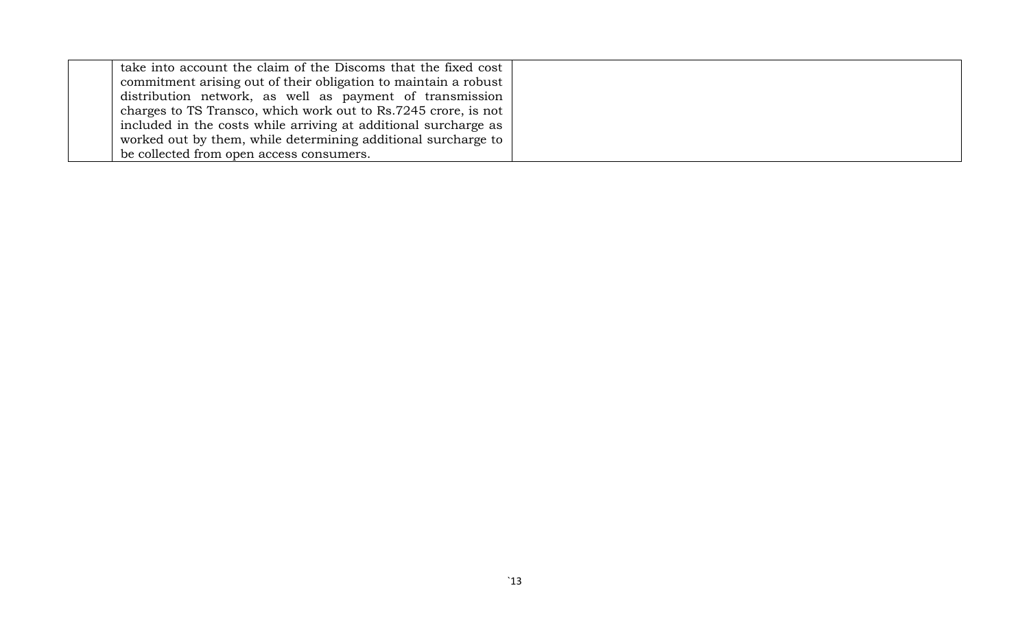| take into account the claim of the Discoms that the fixed cost  |
|-----------------------------------------------------------------|
| commitment arising out of their obligation to maintain a robust |
| distribution network, as well as payment of transmission        |
| charges to TS Transco, which work out to Rs.7245 crore, is not  |
| included in the costs while arriving at additional surcharge as |
| worked out by them, while determining additional surcharge to   |
| be collected from open access consumers.                        |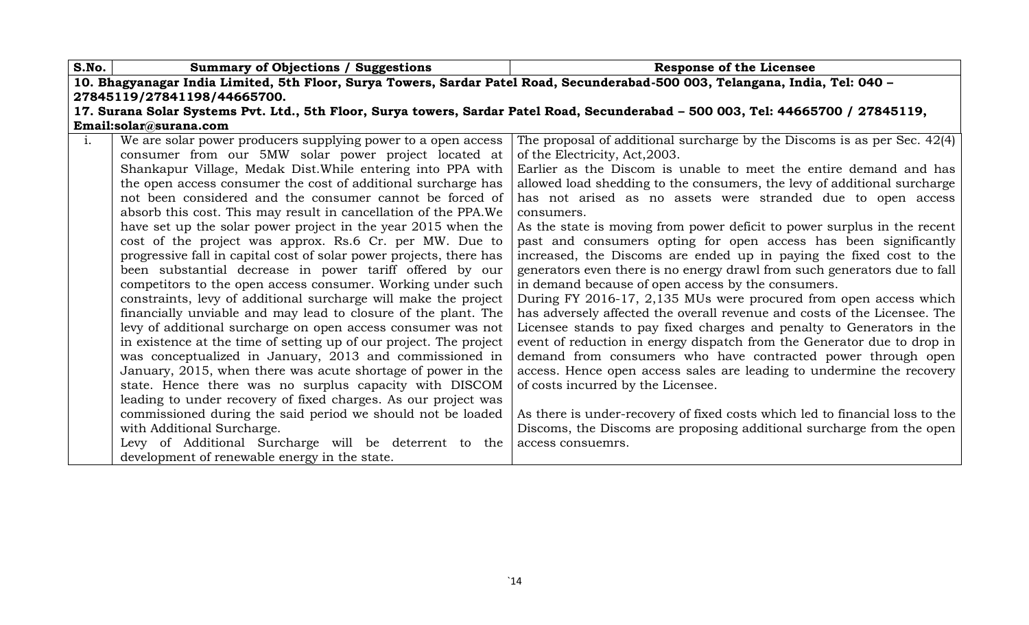| S.No.          | <b>Summary of Objections / Suggestions</b>                                                                                        | <b>Response of the Licensee</b>                                              |  |
|----------------|-----------------------------------------------------------------------------------------------------------------------------------|------------------------------------------------------------------------------|--|
|                | 10. Bhagyanagar India Limited, 5th Floor, Surya Towers, Sardar Patel Road, Secunderabad-500 003, Telangana, India, Tel: 040 -     |                                                                              |  |
|                | 27845119/27841198/44665700.                                                                                                       |                                                                              |  |
|                | 17. Surana Solar Systems Pvt. Ltd., 5th Floor, Surya towers, Sardar Patel Road, Secunderabad - 500 003, Tel: 44665700 / 27845119, |                                                                              |  |
|                | Email:solar@surana.com                                                                                                            |                                                                              |  |
| $\mathbf{i}$ . | We are solar power producers supplying power to a open access                                                                     | The proposal of additional surcharge by the Discoms is as per Sec. 42(4)     |  |
|                | consumer from our 5MW solar power project located at                                                                              | of the Electricity, Act, 2003.                                               |  |
|                | Shankapur Village, Medak Dist. While entering into PPA with                                                                       | Earlier as the Discom is unable to meet the entire demand and has            |  |
|                | the open access consumer the cost of additional surcharge has                                                                     | allowed load shedding to the consumers, the levy of additional surcharge     |  |
|                | not been considered and the consumer cannot be forced of                                                                          | has not arised as no assets were stranded due to open access                 |  |
|                | absorb this cost. This may result in cancellation of the PPA. We                                                                  | consumers.                                                                   |  |
|                | have set up the solar power project in the year 2015 when the                                                                     | As the state is moving from power deficit to power surplus in the recent     |  |
|                | cost of the project was approx. Rs.6 Cr. per MW. Due to                                                                           | past and consumers opting for open access has been significantly             |  |
|                | progressive fall in capital cost of solar power projects, there has                                                               | increased, the Discoms are ended up in paying the fixed cost to the          |  |
|                | been substantial decrease in power tariff offered by our                                                                          | generators even there is no energy drawl from such generators due to fall    |  |
|                | competitors to the open access consumer. Working under such                                                                       | in demand because of open access by the consumers.                           |  |
|                | constraints, levy of additional surcharge will make the project                                                                   | During FY 2016-17, 2,135 MUs were procured from open access which            |  |
|                | financially unviable and may lead to closure of the plant. The                                                                    | has adversely affected the overall revenue and costs of the Licensee. The    |  |
|                | levy of additional surcharge on open access consumer was not                                                                      | Licensee stands to pay fixed charges and penalty to Generators in the        |  |
|                | in existence at the time of setting up of our project. The project                                                                | event of reduction in energy dispatch from the Generator due to drop in      |  |
|                | was conceptualized in January, 2013 and commissioned in                                                                           | demand from consumers who have contracted power through open                 |  |
|                | January, 2015, when there was acute shortage of power in the                                                                      | access. Hence open access sales are leading to undermine the recovery        |  |
|                | state. Hence there was no surplus capacity with DISCOM                                                                            | of costs incurred by the Licensee.                                           |  |
|                | leading to under recovery of fixed charges. As our project was                                                                    |                                                                              |  |
|                | commissioned during the said period we should not be loaded                                                                       | As there is under-recovery of fixed costs which led to financial loss to the |  |
|                | with Additional Surcharge.                                                                                                        | Discoms, the Discoms are proposing additional surcharge from the open        |  |
|                | Levy of Additional Surcharge will be deterrent to the                                                                             | access consuemrs.                                                            |  |
|                | development of renewable energy in the state.                                                                                     |                                                                              |  |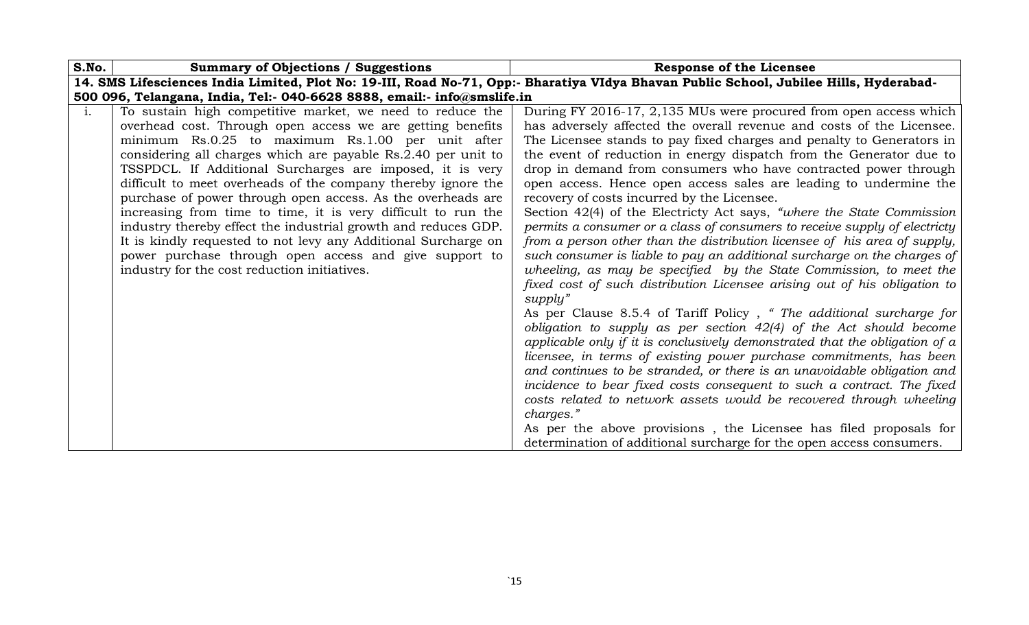| S.No.          | <b>Summary of Objections / Suggestions</b>                              | <b>Response of the Licensee</b>                                                                                                        |
|----------------|-------------------------------------------------------------------------|----------------------------------------------------------------------------------------------------------------------------------------|
|                |                                                                         | 14. SMS Lifesciences India Limited, Plot No: 19-III, Road No-71, Opp:- Bharatiya VIdya Bhavan Public School, Jubilee Hills, Hyderabad- |
|                | 500 096, Telangana, India, Tel:- 040-6628 8888, email:- info@smslife.in |                                                                                                                                        |
| $\mathbf{i}$ . | To sustain high competitive market, we need to reduce the               | During FY 2016-17, 2,135 MUs were procured from open access which                                                                      |
|                | overhead cost. Through open access we are getting benefits              | has adversely affected the overall revenue and costs of the Licensee.                                                                  |
|                | minimum Rs.0.25 to maximum Rs.1.00 per unit after                       | The Licensee stands to pay fixed charges and penalty to Generators in                                                                  |
|                | considering all charges which are payable Rs.2.40 per unit to           | the event of reduction in energy dispatch from the Generator due to                                                                    |
|                | TSSPDCL. If Additional Surcharges are imposed, it is very               | drop in demand from consumers who have contracted power through                                                                        |
|                | difficult to meet overheads of the company thereby ignore the           | open access. Hence open access sales are leading to undermine the                                                                      |
|                | purchase of power through open access. As the overheads are             | recovery of costs incurred by the Licensee.                                                                                            |
|                | increasing from time to time, it is very difficult to run the           | Section 42(4) of the Electricty Act says, "where the State Commission                                                                  |
|                | industry thereby effect the industrial growth and reduces GDP.          | permits a consumer or a class of consumers to receive supply of electricty                                                             |
|                | It is kindly requested to not levy any Additional Surcharge on          | from a person other than the distribution licensee of his area of supply,                                                              |
|                | power purchase through open access and give support to                  | such consumer is liable to pay an additional surcharge on the charges of                                                               |
|                | industry for the cost reduction initiatives.                            | wheeling, as may be specified by the State Commission, to meet the                                                                     |
|                |                                                                         | fixed cost of such distribution Licensee arising out of his obligation to                                                              |
|                |                                                                         | supply"                                                                                                                                |
|                |                                                                         | As per Clause 8.5.4 of Tariff Policy, "The additional surcharge for                                                                    |
|                |                                                                         | obligation to supply as per section $42(4)$ of the Act should become                                                                   |
|                |                                                                         | applicable only if it is conclusively demonstrated that the obligation of $a$                                                          |
|                |                                                                         | licensee, in terms of existing power purchase commitments, has been                                                                    |
|                |                                                                         | and continues to be stranded, or there is an unavoidable obligation and                                                                |
|                |                                                                         | incidence to bear fixed costs consequent to such a contract. The fixed                                                                 |
|                |                                                                         | costs related to network assets would be recovered through wheeling                                                                    |
|                |                                                                         | charges."                                                                                                                              |
|                |                                                                         | As per the above provisions, the Licensee has filed proposals for                                                                      |
|                |                                                                         | determination of additional surcharge for the open access consumers.                                                                   |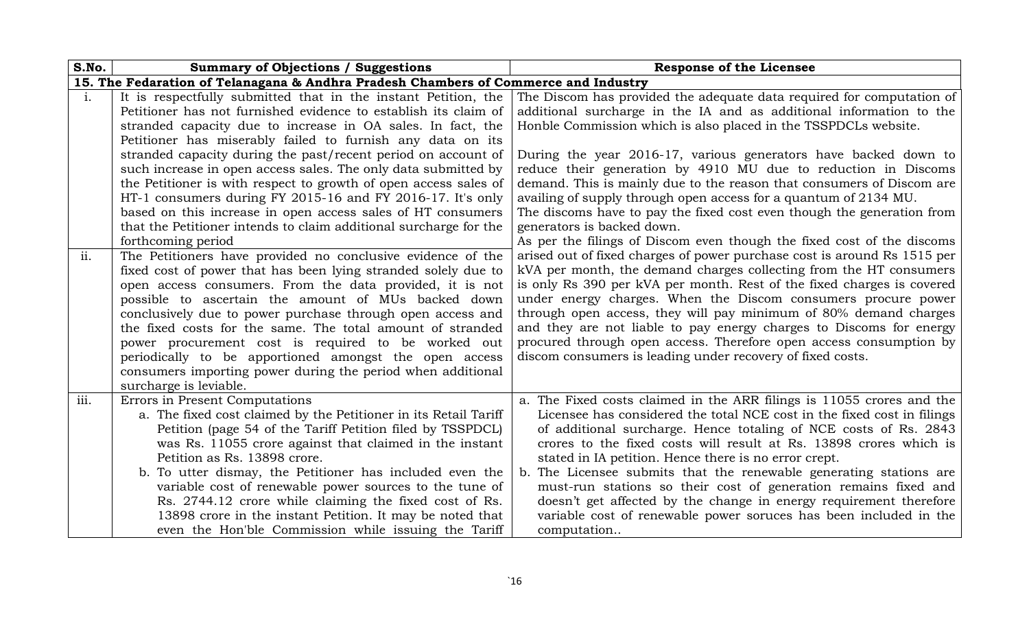| S.No.          | <b>Summary of Objections / Suggestions</b>                                                                                                                                                                                                                                                                                                                                                                                                                                                                                                                                             | <b>Response of the Licensee</b>                                                                                                                                                                                                                                                                                                                                                                                                                                                                                                                                                                                                                        |
|----------------|----------------------------------------------------------------------------------------------------------------------------------------------------------------------------------------------------------------------------------------------------------------------------------------------------------------------------------------------------------------------------------------------------------------------------------------------------------------------------------------------------------------------------------------------------------------------------------------|--------------------------------------------------------------------------------------------------------------------------------------------------------------------------------------------------------------------------------------------------------------------------------------------------------------------------------------------------------------------------------------------------------------------------------------------------------------------------------------------------------------------------------------------------------------------------------------------------------------------------------------------------------|
|                | 15. The Fedaration of Telanagana & Andhra Pradesh Chambers of Commerce and Industry                                                                                                                                                                                                                                                                                                                                                                                                                                                                                                    |                                                                                                                                                                                                                                                                                                                                                                                                                                                                                                                                                                                                                                                        |
| $\mathbf{i}$ . | It is respectfully submitted that in the instant Petition, the<br>Petitioner has not furnished evidence to establish its claim of<br>stranded capacity due to increase in OA sales. In fact, the                                                                                                                                                                                                                                                                                                                                                                                       | The Discom has provided the adequate data required for computation of<br>additional surcharge in the IA and as additional information to the<br>Honble Commission which is also placed in the TSSPDCLs website.                                                                                                                                                                                                                                                                                                                                                                                                                                        |
|                | Petitioner has miserably failed to furnish any data on its<br>stranded capacity during the past/recent period on account of<br>such increase in open access sales. The only data submitted by<br>the Petitioner is with respect to growth of open access sales of<br>HT-1 consumers during FY 2015-16 and FY 2016-17. It's only<br>based on this increase in open access sales of HT consumers<br>that the Petitioner intends to claim additional surcharge for the<br>forthcoming period                                                                                              | During the year 2016-17, various generators have backed down to<br>reduce their generation by 4910 MU due to reduction in Discoms<br>demand. This is mainly due to the reason that consumers of Discom are<br>availing of supply through open access for a quantum of 2134 MU.<br>The discoms have to pay the fixed cost even though the generation from<br>generators is backed down.<br>As per the filings of Discom even though the fixed cost of the discoms                                                                                                                                                                                       |
| ii.            | The Petitioners have provided no conclusive evidence of the<br>fixed cost of power that has been lying stranded solely due to<br>open access consumers. From the data provided, it is not<br>possible to ascertain the amount of MUs backed down<br>conclusively due to power purchase through open access and<br>the fixed costs for the same. The total amount of stranded<br>power procurement cost is required to be worked out<br>periodically to be apportioned amongst the open access<br>consumers importing power during the period when additional<br>surcharge is leviable. | arised out of fixed charges of power purchase cost is around Rs 1515 per<br>kVA per month, the demand charges collecting from the HT consumers<br>is only Rs 390 per kVA per month. Rest of the fixed charges is covered<br>under energy charges. When the Discom consumers procure power<br>through open access, they will pay minimum of 80% demand charges<br>and they are not liable to pay energy charges to Discoms for energy<br>procured through open access. Therefore open access consumption by<br>discom consumers is leading under recovery of fixed costs.                                                                               |
| iii.           | Errors in Present Computations<br>a. The fixed cost claimed by the Petitioner in its Retail Tariff<br>Petition (page 54 of the Tariff Petition filed by TSSPDCL)<br>was Rs. 11055 crore against that claimed in the instant<br>Petition as Rs. 13898 crore.<br>b. To utter dismay, the Petitioner has included even the<br>variable cost of renewable power sources to the tune of<br>Rs. 2744.12 crore while claiming the fixed cost of Rs.<br>13898 crore in the instant Petition. It may be noted that<br>even the Hon'ble Commission while issuing the Tariff                      | a. The Fixed costs claimed in the ARR filings is 11055 crores and the<br>Licensee has considered the total NCE cost in the fixed cost in filings<br>of additional surcharge. Hence totaling of NCE costs of Rs. 2843<br>crores to the fixed costs will result at Rs. 13898 crores which is<br>stated in IA petition. Hence there is no error crept.<br>b. The Licensee submits that the renewable generating stations are<br>must-run stations so their cost of generation remains fixed and<br>doesn't get affected by the change in energy requirement therefore<br>variable cost of renewable power soruces has been included in the<br>computation |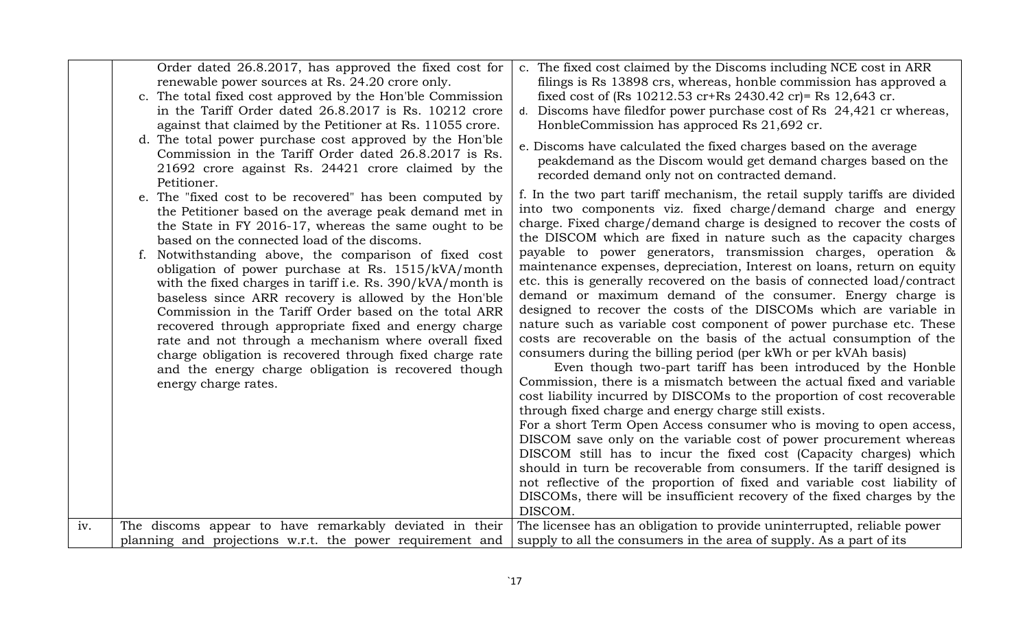| iv. | Order dated 26.8.2017, has approved the fixed cost for<br>renewable power sources at Rs. 24.20 crore only.<br>c. The total fixed cost approved by the Hon'ble Commission<br>in the Tariff Order dated 26.8.2017 is Rs. 10212 crore<br>against that claimed by the Petitioner at Rs. 11055 crore.<br>d. The total power purchase cost approved by the Hon'ble<br>Commission in the Tariff Order dated 26.8.2017 is Rs.<br>21692 crore against Rs. 24421 crore claimed by the<br>Petitioner.<br>e. The "fixed cost to be recovered" has been computed by<br>the Petitioner based on the average peak demand met in<br>the State in FY 2016-17, whereas the same ought to be<br>based on the connected load of the discoms.<br>Notwithstanding above, the comparison of fixed cost<br>obligation of power purchase at Rs. 1515/kVA/month<br>with the fixed charges in tariff i.e. Rs. 390/kVA/month is<br>baseless since ARR recovery is allowed by the Hon'ble<br>Commission in the Tariff Order based on the total ARR<br>recovered through appropriate fixed and energy charge<br>rate and not through a mechanism where overall fixed<br>charge obligation is recovered through fixed charge rate<br>and the energy charge obligation is recovered though<br>energy charge rates.<br>The discoms appear to have remarkably deviated in their | c. The fixed cost claimed by the Discoms including NCE cost in ARR<br>filings is Rs 13898 crs, whereas, honble commission has approved a<br>fixed cost of (Rs 10212.53 cr+Rs 2430.42 cr)= Rs 12,643 cr.<br>d. Discoms have filed for power purchase cost of Rs 24,421 cr whereas,<br>HonbleCommission has approced Rs 21,692 cr.<br>e. Discoms have calculated the fixed charges based on the average<br>peakdemand as the Discom would get demand charges based on the<br>recorded demand only not on contracted demand.<br>f. In the two part tariff mechanism, the retail supply tariffs are divided<br>into two components viz. fixed charge/demand charge and energy<br>charge. Fixed charge/demand charge is designed to recover the costs of<br>the DISCOM which are fixed in nature such as the capacity charges<br>payable to power generators, transmission charges, operation &<br>maintenance expenses, depreciation, Interest on loans, return on equity<br>etc. this is generally recovered on the basis of connected load/contract<br>demand or maximum demand of the consumer. Energy charge is<br>designed to recover the costs of the DISCOMs which are variable in<br>nature such as variable cost component of power purchase etc. These<br>costs are recoverable on the basis of the actual consumption of the<br>consumers during the billing period (per kWh or per kVAh basis)<br>Even though two-part tariff has been introduced by the Honble<br>Commission, there is a mismatch between the actual fixed and variable<br>cost liability incurred by DISCOMs to the proportion of cost recoverable<br>through fixed charge and energy charge still exists.<br>For a short Term Open Access consumer who is moving to open access,<br>DISCOM save only on the variable cost of power procurement whereas<br>DISCOM still has to incur the fixed cost (Capacity charges) which<br>should in turn be recoverable from consumers. If the tariff designed is<br>not reflective of the proportion of fixed and variable cost liability of<br>DISCOMs, there will be insufficient recovery of the fixed charges by the<br>DISCOM.<br>The licensee has an obligation to provide uninterrupted, reliable power |
|-----|-----------------------------------------------------------------------------------------------------------------------------------------------------------------------------------------------------------------------------------------------------------------------------------------------------------------------------------------------------------------------------------------------------------------------------------------------------------------------------------------------------------------------------------------------------------------------------------------------------------------------------------------------------------------------------------------------------------------------------------------------------------------------------------------------------------------------------------------------------------------------------------------------------------------------------------------------------------------------------------------------------------------------------------------------------------------------------------------------------------------------------------------------------------------------------------------------------------------------------------------------------------------------------------------------------------------------------------------------|---------------------------------------------------------------------------------------------------------------------------------------------------------------------------------------------------------------------------------------------------------------------------------------------------------------------------------------------------------------------------------------------------------------------------------------------------------------------------------------------------------------------------------------------------------------------------------------------------------------------------------------------------------------------------------------------------------------------------------------------------------------------------------------------------------------------------------------------------------------------------------------------------------------------------------------------------------------------------------------------------------------------------------------------------------------------------------------------------------------------------------------------------------------------------------------------------------------------------------------------------------------------------------------------------------------------------------------------------------------------------------------------------------------------------------------------------------------------------------------------------------------------------------------------------------------------------------------------------------------------------------------------------------------------------------------------------------------------------------------------------------------------------------------------------------------------------------------------------------------------------------------------------------------------------------------------------------------------------------------------------------------------------------------------------------------------------------------------------------------------------------------------------------------------------------------------------------------------------------|
|     | planning and projections w.r.t. the power requirement and                                                                                                                                                                                                                                                                                                                                                                                                                                                                                                                                                                                                                                                                                                                                                                                                                                                                                                                                                                                                                                                                                                                                                                                                                                                                                     | supply to all the consumers in the area of supply. As a part of its                                                                                                                                                                                                                                                                                                                                                                                                                                                                                                                                                                                                                                                                                                                                                                                                                                                                                                                                                                                                                                                                                                                                                                                                                                                                                                                                                                                                                                                                                                                                                                                                                                                                                                                                                                                                                                                                                                                                                                                                                                                                                                                                                             |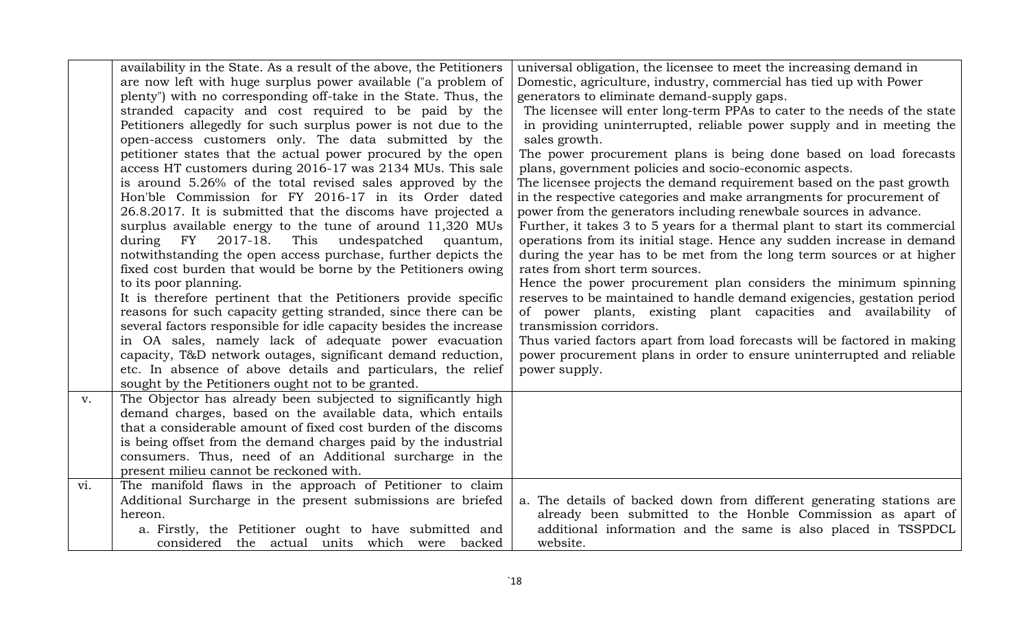|     | availability in the State. As a result of the above, the Petitioners                                                         | universal obligation, the licensee to meet the increasing demand in        |
|-----|------------------------------------------------------------------------------------------------------------------------------|----------------------------------------------------------------------------|
|     | are now left with huge surplus power available ("a problem of                                                                | Domestic, agriculture, industry, commercial has tied up with Power         |
|     | plenty") with no corresponding off-take in the State. Thus, the                                                              | generators to eliminate demand-supply gaps.                                |
|     | stranded capacity and cost required to be paid by the                                                                        | The licensee will enter long-term PPAs to cater to the needs of the state  |
|     | Petitioners allegedly for such surplus power is not due to the                                                               | in providing uninterrupted, reliable power supply and in meeting the       |
|     | open-access customers only. The data submitted by the                                                                        | sales growth.                                                              |
|     | petitioner states that the actual power procured by the open                                                                 | The power procurement plans is being done based on load forecasts          |
|     | access HT customers during 2016-17 was 2134 MUs. This sale                                                                   | plans, government policies and socio-economic aspects.                     |
|     | is around 5.26% of the total revised sales approved by the                                                                   | The licensee projects the demand requirement based on the past growth      |
|     | Hon'ble Commission for FY 2016-17 in its Order dated                                                                         | in the respective categories and make arrangments for procurement of       |
|     | 26.8.2017. It is submitted that the discoms have projected a                                                                 | power from the generators including renewbale sources in advance.          |
|     | surplus available energy to the tune of around 11,320 MUs                                                                    | Further, it takes 3 to 5 years for a thermal plant to start its commercial |
|     | during FY<br>2017-18.<br>This undespatched<br>quantum,                                                                       | operations from its initial stage. Hence any sudden increase in demand     |
|     | notwithstanding the open access purchase, further depicts the                                                                | during the year has to be met from the long term sources or at higher      |
|     | fixed cost burden that would be borne by the Petitioners owing                                                               | rates from short term sources.                                             |
|     | to its poor planning.                                                                                                        | Hence the power procurement plan considers the minimum spinning            |
|     | It is therefore pertinent that the Petitioners provide specific                                                              | reserves to be maintained to handle demand exigencies, gestation period    |
|     | reasons for such capacity getting stranded, since there can be                                                               | of power plants, existing plant capacities and availability of             |
|     | several factors responsible for idle capacity besides the increase                                                           | transmission corridors.                                                    |
|     | in OA sales, namely lack of adequate power evacuation                                                                        | Thus varied factors apart from load forecasts will be factored in making   |
|     | capacity, T&D network outages, significant demand reduction,                                                                 | power procurement plans in order to ensure uninterrupted and reliable      |
|     | etc. In absence of above details and particulars, the relief                                                                 | power supply.                                                              |
|     | sought by the Petitioners ought not to be granted.                                                                           |                                                                            |
| v.  | The Objector has already been subjected to significantly high                                                                |                                                                            |
|     | demand charges, based on the available data, which entails<br>that a considerable amount of fixed cost burden of the discoms |                                                                            |
|     | is being offset from the demand charges paid by the industrial                                                               |                                                                            |
|     | consumers. Thus, need of an Additional surcharge in the                                                                      |                                                                            |
|     | present milieu cannot be reckoned with.                                                                                      |                                                                            |
| vi. | The manifold flaws in the approach of Petitioner to claim                                                                    |                                                                            |
|     | Additional Surcharge in the present submissions are briefed                                                                  | a. The details of backed down from different generating stations are       |
|     | hereon.                                                                                                                      | already been submitted to the Honble Commission as apart of                |
|     | a. Firstly, the Petitioner ought to have submitted and                                                                       | additional information and the same is also placed in TSSPDCL              |
|     | considered the actual units which were backed                                                                                | website.                                                                   |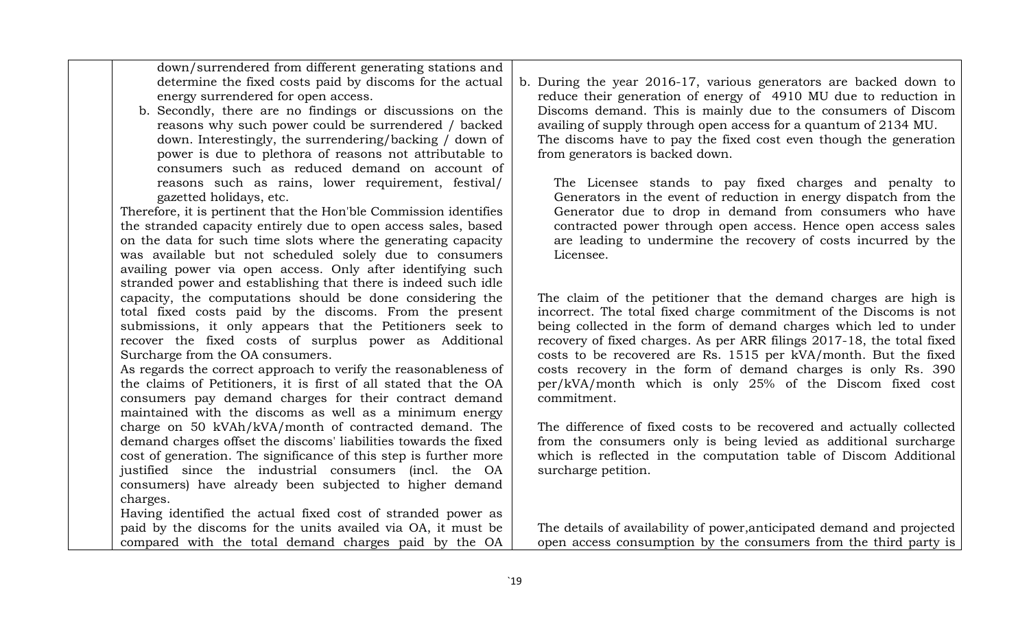down/surrendered from different generating stations and determine the fixed costs paid by discoms for the actual energy surrendered for open access.

b. Secondly, there are no findings or discussions on the reasons why such power could be surrendered / backed down. Interestingly, the surrendering/backing / down of power is due to plethora of reasons not attributable to consumers such as reduced demand on account of reasons such as rains, lower requirement, festival/ gazetted holidays, etc.

Therefore, it is pertinent that the Hon'ble Commission identifies the stranded capacity entirely due to open access sales, based on the data for such time slots where the generating capacity was available but not scheduled solely due to consumers availing power via open access. Only after identifying such stranded power and establishing that there is indeed such idle capacity, the computations should be done considering the total fixed costs paid by the discoms. From the present submissions, it only appears that the Petitioners seek to recover the fixed costs of surplus power as Additional Surcharge from the OA consumers.

As regards the correct approach to verify the reasonableness of the claims of Petitioners, it is first of all stated that the OA consumers pay demand charges for their contract demand maintained with the discoms as well as a minimum energy charge on 50 kVAh/kVA/month of contracted demand. The demand charges offset the discoms' liabilities towards the fixed cost of generation. The significance of this step is further more justified since the industrial consumers (incl. the OA consumers) have already been subjected to higher demand charges.

Having identified the actual fixed cost of stranded power as paid by the discoms for the units availed via OA, it must be compared with the total demand charges paid by the OA

b. During the year 2016-17, various generators are backed down to reduce their generation of energy of 4910 MU due to reduction in Discoms demand. This is mainly due to the consumers of Discom availing of supply through open access for a quantum of 2134 MU. The discoms have to pay the fixed cost even though the generation from generators is backed down.

The Licensee stands to pay fixed charges and penalty to Generators in the event of reduction in energy dispatch from the Generator due to drop in demand from consumers who have contracted power through open access. Hence open access sales are leading to undermine the recovery of costs incurred by the Licensee.

The claim of the petitioner that the demand charges are high is incorrect. The total fixed charge commitment of the Discoms is not being collected in the form of demand charges which led to under recovery of fixed charges. As per ARR filings 2017-18, the total fixed costs to be recovered are Rs. 1515 per kVA/month. But the fixed costs recovery in the form of demand charges is only Rs. 390 per/kVA/month which is only 25% of the Discom fixed cost commitment.

The difference of fixed costs to be recovered and actually collected from the consumers only is being levied as additional surcharge which is reflected in the computation table of Discom Additional surcharge petition.

The details of availability of power,anticipated demand and projected open access consumption by the consumers from the third party is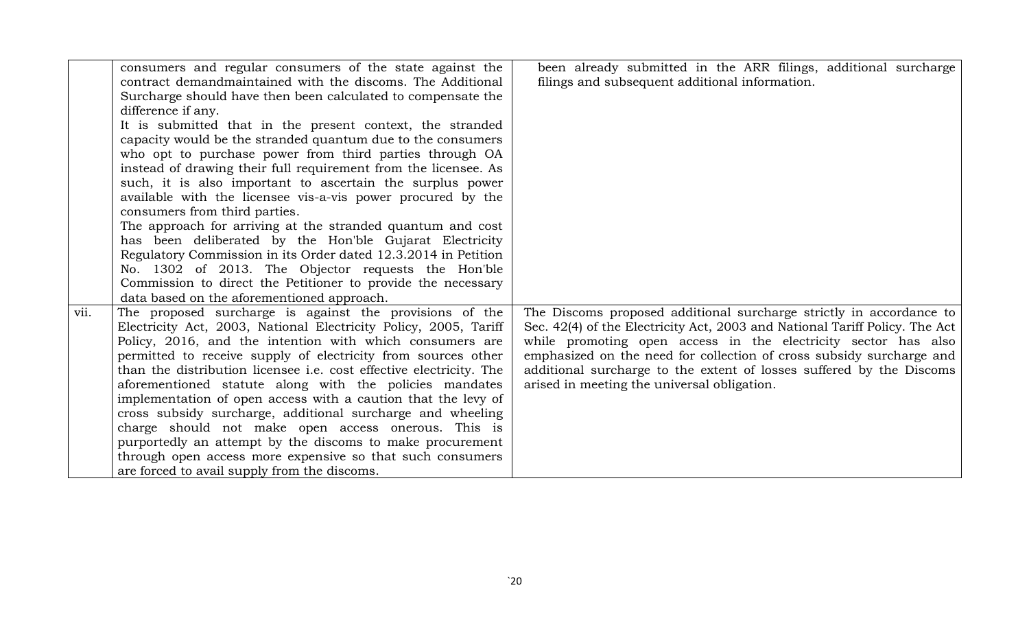|      | consumers and regular consumers of the state against the            | been already submitted in the ARR filings, additional surcharge             |
|------|---------------------------------------------------------------------|-----------------------------------------------------------------------------|
|      | contract demandmaintained with the discoms. The Additional          | filings and subsequent additional information.                              |
|      | Surcharge should have then been calculated to compensate the        |                                                                             |
|      | difference if any.                                                  |                                                                             |
|      | It is submitted that in the present context, the stranded           |                                                                             |
|      | capacity would be the stranded quantum due to the consumers         |                                                                             |
|      | who opt to purchase power from third parties through OA             |                                                                             |
|      | instead of drawing their full requirement from the licensee. As     |                                                                             |
|      | such, it is also important to ascertain the surplus power           |                                                                             |
|      | available with the licensee vis-a-vis power procured by the         |                                                                             |
|      | consumers from third parties.                                       |                                                                             |
|      | The approach for arriving at the stranded quantum and cost          |                                                                             |
|      | has been deliberated by the Hon'ble Gujarat Electricity             |                                                                             |
|      | Regulatory Commission in its Order dated 12.3.2014 in Petition      |                                                                             |
|      | No. 1302 of 2013. The Objector requests the Hon'ble                 |                                                                             |
|      | Commission to direct the Petitioner to provide the necessary        |                                                                             |
|      | data based on the aforementioned approach.                          |                                                                             |
| vii. | The proposed surcharge is against the provisions of the             | The Discoms proposed additional surcharge strictly in accordance to         |
|      | Electricity Act, 2003, National Electricity Policy, 2005, Tariff    | Sec. 42(4) of the Electricity Act, 2003 and National Tariff Policy. The Act |
|      | Policy, 2016, and the intention with which consumers are            | while promoting open access in the electricity sector has also              |
|      | permitted to receive supply of electricity from sources other       | emphasized on the need for collection of cross subsidy surcharge and        |
|      | than the distribution licensee i.e. cost effective electricity. The | additional surcharge to the extent of losses suffered by the Discoms        |
|      | aforementioned statute along with the policies mandates             | arised in meeting the universal obligation.                                 |
|      | implementation of open access with a caution that the levy of       |                                                                             |
|      | cross subsidy surcharge, additional surcharge and wheeling          |                                                                             |
|      | charge should not make open access onerous. This is                 |                                                                             |
|      | purportedly an attempt by the discoms to make procurement           |                                                                             |
|      | through open access more expensive so that such consumers           |                                                                             |
|      | are forced to avail supply from the discoms.                        |                                                                             |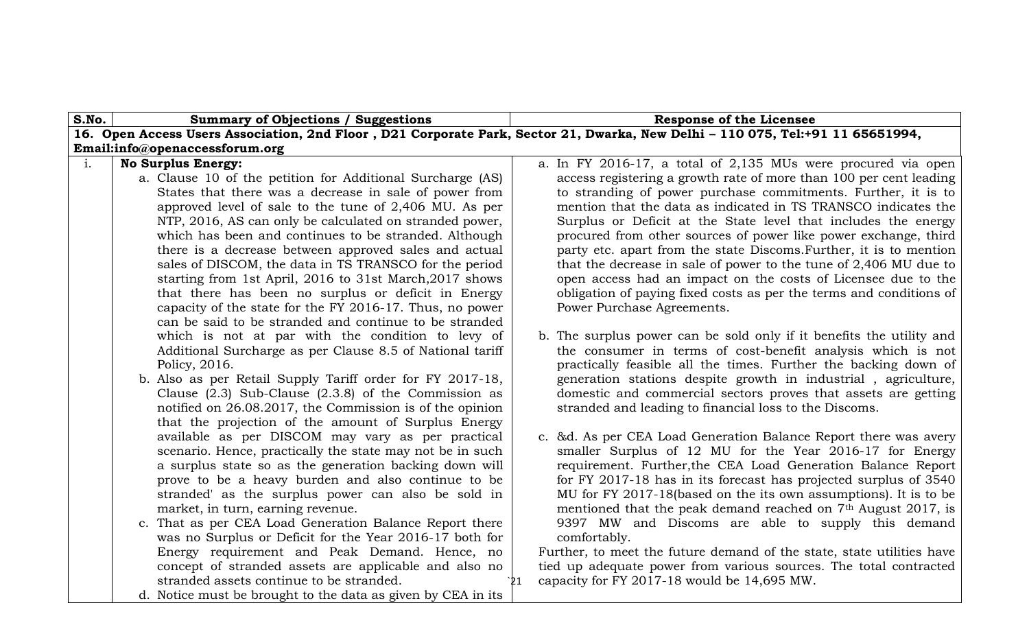| S.No.          | <b>Summary of Objections / Suggestions</b>                                                                                                                                                                                                                                                                                                                                                                                                                                                                                                                                                                                                                                                                                                                                                                                                                                                                                                                                                                                                                                                                                                                                                                                        | <b>Response of the Licensee</b>                                                                                                                                                                                                                                                                                                                                                                                                                                                                                                                                                                                                                                                                                                                                                                                                                                                                                                                                                                                                                                                                                                                                                                    |
|----------------|-----------------------------------------------------------------------------------------------------------------------------------------------------------------------------------------------------------------------------------------------------------------------------------------------------------------------------------------------------------------------------------------------------------------------------------------------------------------------------------------------------------------------------------------------------------------------------------------------------------------------------------------------------------------------------------------------------------------------------------------------------------------------------------------------------------------------------------------------------------------------------------------------------------------------------------------------------------------------------------------------------------------------------------------------------------------------------------------------------------------------------------------------------------------------------------------------------------------------------------|----------------------------------------------------------------------------------------------------------------------------------------------------------------------------------------------------------------------------------------------------------------------------------------------------------------------------------------------------------------------------------------------------------------------------------------------------------------------------------------------------------------------------------------------------------------------------------------------------------------------------------------------------------------------------------------------------------------------------------------------------------------------------------------------------------------------------------------------------------------------------------------------------------------------------------------------------------------------------------------------------------------------------------------------------------------------------------------------------------------------------------------------------------------------------------------------------|
|                |                                                                                                                                                                                                                                                                                                                                                                                                                                                                                                                                                                                                                                                                                                                                                                                                                                                                                                                                                                                                                                                                                                                                                                                                                                   | 16. Open Access Users Association, 2nd Floor, D21 Corporate Park, Sector 21, Dwarka, New Delhi - 110 075, Tel:+91 11 65651994,                                                                                                                                                                                                                                                                                                                                                                                                                                                                                                                                                                                                                                                                                                                                                                                                                                                                                                                                                                                                                                                                     |
|                | Email:info@openaccessforum.org                                                                                                                                                                                                                                                                                                                                                                                                                                                                                                                                                                                                                                                                                                                                                                                                                                                                                                                                                                                                                                                                                                                                                                                                    |                                                                                                                                                                                                                                                                                                                                                                                                                                                                                                                                                                                                                                                                                                                                                                                                                                                                                                                                                                                                                                                                                                                                                                                                    |
| $\mathbf{i}$ . | <b>No Surplus Energy:</b>                                                                                                                                                                                                                                                                                                                                                                                                                                                                                                                                                                                                                                                                                                                                                                                                                                                                                                                                                                                                                                                                                                                                                                                                         | a. In FY 2016-17, a total of 2,135 MUs were procured via open                                                                                                                                                                                                                                                                                                                                                                                                                                                                                                                                                                                                                                                                                                                                                                                                                                                                                                                                                                                                                                                                                                                                      |
|                | a. Clause 10 of the petition for Additional Surcharge (AS)                                                                                                                                                                                                                                                                                                                                                                                                                                                                                                                                                                                                                                                                                                                                                                                                                                                                                                                                                                                                                                                                                                                                                                        | access registering a growth rate of more than 100 per cent leading                                                                                                                                                                                                                                                                                                                                                                                                                                                                                                                                                                                                                                                                                                                                                                                                                                                                                                                                                                                                                                                                                                                                 |
|                | States that there was a decrease in sale of power from                                                                                                                                                                                                                                                                                                                                                                                                                                                                                                                                                                                                                                                                                                                                                                                                                                                                                                                                                                                                                                                                                                                                                                            | to stranding of power purchase commitments. Further, it is to                                                                                                                                                                                                                                                                                                                                                                                                                                                                                                                                                                                                                                                                                                                                                                                                                                                                                                                                                                                                                                                                                                                                      |
|                | approved level of sale to the tune of 2,406 MU. As per                                                                                                                                                                                                                                                                                                                                                                                                                                                                                                                                                                                                                                                                                                                                                                                                                                                                                                                                                                                                                                                                                                                                                                            | mention that the data as indicated in TS TRANSCO indicates the                                                                                                                                                                                                                                                                                                                                                                                                                                                                                                                                                                                                                                                                                                                                                                                                                                                                                                                                                                                                                                                                                                                                     |
|                | NTP, 2016, AS can only be calculated on stranded power,                                                                                                                                                                                                                                                                                                                                                                                                                                                                                                                                                                                                                                                                                                                                                                                                                                                                                                                                                                                                                                                                                                                                                                           | Surplus or Deficit at the State level that includes the energy                                                                                                                                                                                                                                                                                                                                                                                                                                                                                                                                                                                                                                                                                                                                                                                                                                                                                                                                                                                                                                                                                                                                     |
|                | which has been and continues to be stranded. Although                                                                                                                                                                                                                                                                                                                                                                                                                                                                                                                                                                                                                                                                                                                                                                                                                                                                                                                                                                                                                                                                                                                                                                             | procured from other sources of power like power exchange, third                                                                                                                                                                                                                                                                                                                                                                                                                                                                                                                                                                                                                                                                                                                                                                                                                                                                                                                                                                                                                                                                                                                                    |
|                | there is a decrease between approved sales and actual                                                                                                                                                                                                                                                                                                                                                                                                                                                                                                                                                                                                                                                                                                                                                                                                                                                                                                                                                                                                                                                                                                                                                                             | party etc. apart from the state Discoms. Further, it is to mention                                                                                                                                                                                                                                                                                                                                                                                                                                                                                                                                                                                                                                                                                                                                                                                                                                                                                                                                                                                                                                                                                                                                 |
|                | sales of DISCOM, the data in TS TRANSCO for the period                                                                                                                                                                                                                                                                                                                                                                                                                                                                                                                                                                                                                                                                                                                                                                                                                                                                                                                                                                                                                                                                                                                                                                            | that the decrease in sale of power to the tune of $2,406$ MU due to                                                                                                                                                                                                                                                                                                                                                                                                                                                                                                                                                                                                                                                                                                                                                                                                                                                                                                                                                                                                                                                                                                                                |
|                | starting from 1st April, 2016 to 31st March, 2017 shows                                                                                                                                                                                                                                                                                                                                                                                                                                                                                                                                                                                                                                                                                                                                                                                                                                                                                                                                                                                                                                                                                                                                                                           | open access had an impact on the costs of Licensee due to the                                                                                                                                                                                                                                                                                                                                                                                                                                                                                                                                                                                                                                                                                                                                                                                                                                                                                                                                                                                                                                                                                                                                      |
|                |                                                                                                                                                                                                                                                                                                                                                                                                                                                                                                                                                                                                                                                                                                                                                                                                                                                                                                                                                                                                                                                                                                                                                                                                                                   |                                                                                                                                                                                                                                                                                                                                                                                                                                                                                                                                                                                                                                                                                                                                                                                                                                                                                                                                                                                                                                                                                                                                                                                                    |
|                |                                                                                                                                                                                                                                                                                                                                                                                                                                                                                                                                                                                                                                                                                                                                                                                                                                                                                                                                                                                                                                                                                                                                                                                                                                   |                                                                                                                                                                                                                                                                                                                                                                                                                                                                                                                                                                                                                                                                                                                                                                                                                                                                                                                                                                                                                                                                                                                                                                                                    |
|                |                                                                                                                                                                                                                                                                                                                                                                                                                                                                                                                                                                                                                                                                                                                                                                                                                                                                                                                                                                                                                                                                                                                                                                                                                                   |                                                                                                                                                                                                                                                                                                                                                                                                                                                                                                                                                                                                                                                                                                                                                                                                                                                                                                                                                                                                                                                                                                                                                                                                    |
|                |                                                                                                                                                                                                                                                                                                                                                                                                                                                                                                                                                                                                                                                                                                                                                                                                                                                                                                                                                                                                                                                                                                                                                                                                                                   |                                                                                                                                                                                                                                                                                                                                                                                                                                                                                                                                                                                                                                                                                                                                                                                                                                                                                                                                                                                                                                                                                                                                                                                                    |
|                |                                                                                                                                                                                                                                                                                                                                                                                                                                                                                                                                                                                                                                                                                                                                                                                                                                                                                                                                                                                                                                                                                                                                                                                                                                   |                                                                                                                                                                                                                                                                                                                                                                                                                                                                                                                                                                                                                                                                                                                                                                                                                                                                                                                                                                                                                                                                                                                                                                                                    |
|                |                                                                                                                                                                                                                                                                                                                                                                                                                                                                                                                                                                                                                                                                                                                                                                                                                                                                                                                                                                                                                                                                                                                                                                                                                                   |                                                                                                                                                                                                                                                                                                                                                                                                                                                                                                                                                                                                                                                                                                                                                                                                                                                                                                                                                                                                                                                                                                                                                                                                    |
|                |                                                                                                                                                                                                                                                                                                                                                                                                                                                                                                                                                                                                                                                                                                                                                                                                                                                                                                                                                                                                                                                                                                                                                                                                                                   |                                                                                                                                                                                                                                                                                                                                                                                                                                                                                                                                                                                                                                                                                                                                                                                                                                                                                                                                                                                                                                                                                                                                                                                                    |
|                |                                                                                                                                                                                                                                                                                                                                                                                                                                                                                                                                                                                                                                                                                                                                                                                                                                                                                                                                                                                                                                                                                                                                                                                                                                   |                                                                                                                                                                                                                                                                                                                                                                                                                                                                                                                                                                                                                                                                                                                                                                                                                                                                                                                                                                                                                                                                                                                                                                                                    |
|                |                                                                                                                                                                                                                                                                                                                                                                                                                                                                                                                                                                                                                                                                                                                                                                                                                                                                                                                                                                                                                                                                                                                                                                                                                                   |                                                                                                                                                                                                                                                                                                                                                                                                                                                                                                                                                                                                                                                                                                                                                                                                                                                                                                                                                                                                                                                                                                                                                                                                    |
|                |                                                                                                                                                                                                                                                                                                                                                                                                                                                                                                                                                                                                                                                                                                                                                                                                                                                                                                                                                                                                                                                                                                                                                                                                                                   |                                                                                                                                                                                                                                                                                                                                                                                                                                                                                                                                                                                                                                                                                                                                                                                                                                                                                                                                                                                                                                                                                                                                                                                                    |
|                |                                                                                                                                                                                                                                                                                                                                                                                                                                                                                                                                                                                                                                                                                                                                                                                                                                                                                                                                                                                                                                                                                                                                                                                                                                   |                                                                                                                                                                                                                                                                                                                                                                                                                                                                                                                                                                                                                                                                                                                                                                                                                                                                                                                                                                                                                                                                                                                                                                                                    |
|                |                                                                                                                                                                                                                                                                                                                                                                                                                                                                                                                                                                                                                                                                                                                                                                                                                                                                                                                                                                                                                                                                                                                                                                                                                                   |                                                                                                                                                                                                                                                                                                                                                                                                                                                                                                                                                                                                                                                                                                                                                                                                                                                                                                                                                                                                                                                                                                                                                                                                    |
|                |                                                                                                                                                                                                                                                                                                                                                                                                                                                                                                                                                                                                                                                                                                                                                                                                                                                                                                                                                                                                                                                                                                                                                                                                                                   |                                                                                                                                                                                                                                                                                                                                                                                                                                                                                                                                                                                                                                                                                                                                                                                                                                                                                                                                                                                                                                                                                                                                                                                                    |
|                |                                                                                                                                                                                                                                                                                                                                                                                                                                                                                                                                                                                                                                                                                                                                                                                                                                                                                                                                                                                                                                                                                                                                                                                                                                   |                                                                                                                                                                                                                                                                                                                                                                                                                                                                                                                                                                                                                                                                                                                                                                                                                                                                                                                                                                                                                                                                                                                                                                                                    |
|                |                                                                                                                                                                                                                                                                                                                                                                                                                                                                                                                                                                                                                                                                                                                                                                                                                                                                                                                                                                                                                                                                                                                                                                                                                                   |                                                                                                                                                                                                                                                                                                                                                                                                                                                                                                                                                                                                                                                                                                                                                                                                                                                                                                                                                                                                                                                                                                                                                                                                    |
|                |                                                                                                                                                                                                                                                                                                                                                                                                                                                                                                                                                                                                                                                                                                                                                                                                                                                                                                                                                                                                                                                                                                                                                                                                                                   |                                                                                                                                                                                                                                                                                                                                                                                                                                                                                                                                                                                                                                                                                                                                                                                                                                                                                                                                                                                                                                                                                                                                                                                                    |
|                |                                                                                                                                                                                                                                                                                                                                                                                                                                                                                                                                                                                                                                                                                                                                                                                                                                                                                                                                                                                                                                                                                                                                                                                                                                   |                                                                                                                                                                                                                                                                                                                                                                                                                                                                                                                                                                                                                                                                                                                                                                                                                                                                                                                                                                                                                                                                                                                                                                                                    |
|                |                                                                                                                                                                                                                                                                                                                                                                                                                                                                                                                                                                                                                                                                                                                                                                                                                                                                                                                                                                                                                                                                                                                                                                                                                                   |                                                                                                                                                                                                                                                                                                                                                                                                                                                                                                                                                                                                                                                                                                                                                                                                                                                                                                                                                                                                                                                                                                                                                                                                    |
|                |                                                                                                                                                                                                                                                                                                                                                                                                                                                                                                                                                                                                                                                                                                                                                                                                                                                                                                                                                                                                                                                                                                                                                                                                                                   |                                                                                                                                                                                                                                                                                                                                                                                                                                                                                                                                                                                                                                                                                                                                                                                                                                                                                                                                                                                                                                                                                                                                                                                                    |
|                |                                                                                                                                                                                                                                                                                                                                                                                                                                                                                                                                                                                                                                                                                                                                                                                                                                                                                                                                                                                                                                                                                                                                                                                                                                   |                                                                                                                                                                                                                                                                                                                                                                                                                                                                                                                                                                                                                                                                                                                                                                                                                                                                                                                                                                                                                                                                                                                                                                                                    |
|                |                                                                                                                                                                                                                                                                                                                                                                                                                                                                                                                                                                                                                                                                                                                                                                                                                                                                                                                                                                                                                                                                                                                                                                                                                                   |                                                                                                                                                                                                                                                                                                                                                                                                                                                                                                                                                                                                                                                                                                                                                                                                                                                                                                                                                                                                                                                                                                                                                                                                    |
|                | that there has been no surplus or deficit in Energy<br>capacity of the state for the FY 2016-17. Thus, no power<br>can be said to be stranded and continue to be stranded<br>which is not at par with the condition to levy of<br>Additional Surcharge as per Clause 8.5 of National tariff<br>Policy, 2016.<br>b. Also as per Retail Supply Tariff order for FY 2017-18,<br>Clause $(2.3)$ Sub-Clause $(2.3.8)$ of the Commission as<br>notified on 26.08.2017, the Commission is of the opinion<br>that the projection of the amount of Surplus Energy<br>available as per DISCOM may vary as per practical<br>scenario. Hence, practically the state may not be in such<br>a surplus state so as the generation backing down will<br>prove to be a heavy burden and also continue to be<br>stranded' as the surplus power can also be sold in<br>market, in turn, earning revenue.<br>c. That as per CEA Load Generation Balance Report there<br>was no Surplus or Deficit for the Year 2016-17 both for<br>Energy requirement and Peak Demand. Hence, no<br>concept of stranded assets are applicable and also no<br>stranded assets continue to be stranded.<br>d. Notice must be brought to the data as given by CEA in its | obligation of paying fixed costs as per the terms and conditions of<br>Power Purchase Agreements.<br>b. The surplus power can be sold only if it benefits the utility and<br>the consumer in terms of cost-benefit analysis which is not<br>practically feasible all the times. Further the backing down of<br>generation stations despite growth in industrial, agriculture,<br>domestic and commercial sectors proves that assets are getting<br>stranded and leading to financial loss to the Discoms.<br>c. &d. As per CEA Load Generation Balance Report there was avery<br>smaller Surplus of 12 MU for the Year 2016-17 for Energy<br>requirement. Further, the CEA Load Generation Balance Report<br>for FY 2017-18 has in its forecast has projected surplus of 3540<br>MU for FY 2017-18 (based on the its own assumptions). It is to be<br>mentioned that the peak demand reached on 7 <sup>th</sup> August 2017, is<br>9397 MW and Discoms are able to supply this demand<br>comfortably.<br>Further, to meet the future demand of the state, state utilities have<br>tied up adequate power from various sources. The total contracted<br>capacity for FY 2017-18 would be 14,695 MW. |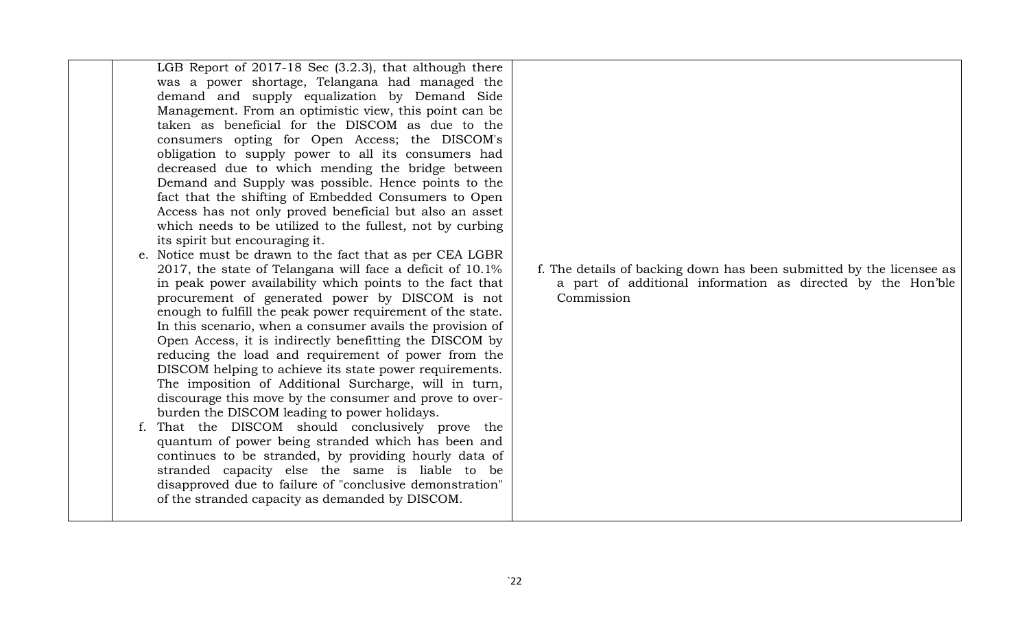| LGB Report of 2017-18 Sec (3.2.3), that although there<br>was a power shortage, Telangana had managed the<br>demand and supply equalization by Demand Side<br>Management. From an optimistic view, this point can be<br>taken as beneficial for the DISCOM as due to the<br>consumers opting for Open Access; the DISCOM's<br>obligation to supply power to all its consumers had<br>decreased due to which mending the bridge between<br>Demand and Supply was possible. Hence points to the<br>fact that the shifting of Embedded Consumers to Open<br>Access has not only proved beneficial but also an asset<br>which needs to be utilized to the fullest, not by curbing<br>its spirit but encouraging it.<br>e. Notice must be drawn to the fact that as per CEA LGBR<br>2017, the state of Telangana will face a deficit of 10.1%<br>in peak power availability which points to the fact that<br>procurement of generated power by DISCOM is not<br>enough to fulfill the peak power requirement of the state.<br>In this scenario, when a consumer avails the provision of<br>Open Access, it is indirectly benefitting the DISCOM by<br>reducing the load and requirement of power from the<br>DISCOM helping to achieve its state power requirements.<br>The imposition of Additional Surcharge, will in turn,<br>discourage this move by the consumer and prove to over-<br>burden the DISCOM leading to power holidays.<br>f. That the DISCOM should conclusively prove the<br>quantum of power being stranded which has been and<br>continues to be stranded, by providing hourly data of<br>stranded capacity else the same is liable to be<br>disapproved due to failure of "conclusive demonstration"<br>of the stranded capacity as demanded by DISCOM. | f. The details of backing down has been submitted by the licensee as<br>a part of additional information as directed by the Hon'ble<br>Commission |
|--------------------------------------------------------------------------------------------------------------------------------------------------------------------------------------------------------------------------------------------------------------------------------------------------------------------------------------------------------------------------------------------------------------------------------------------------------------------------------------------------------------------------------------------------------------------------------------------------------------------------------------------------------------------------------------------------------------------------------------------------------------------------------------------------------------------------------------------------------------------------------------------------------------------------------------------------------------------------------------------------------------------------------------------------------------------------------------------------------------------------------------------------------------------------------------------------------------------------------------------------------------------------------------------------------------------------------------------------------------------------------------------------------------------------------------------------------------------------------------------------------------------------------------------------------------------------------------------------------------------------------------------------------------------------------------------------------------------------------------------------------------------------|---------------------------------------------------------------------------------------------------------------------------------------------------|
|--------------------------------------------------------------------------------------------------------------------------------------------------------------------------------------------------------------------------------------------------------------------------------------------------------------------------------------------------------------------------------------------------------------------------------------------------------------------------------------------------------------------------------------------------------------------------------------------------------------------------------------------------------------------------------------------------------------------------------------------------------------------------------------------------------------------------------------------------------------------------------------------------------------------------------------------------------------------------------------------------------------------------------------------------------------------------------------------------------------------------------------------------------------------------------------------------------------------------------------------------------------------------------------------------------------------------------------------------------------------------------------------------------------------------------------------------------------------------------------------------------------------------------------------------------------------------------------------------------------------------------------------------------------------------------------------------------------------------------------------------------------------------|---------------------------------------------------------------------------------------------------------------------------------------------------|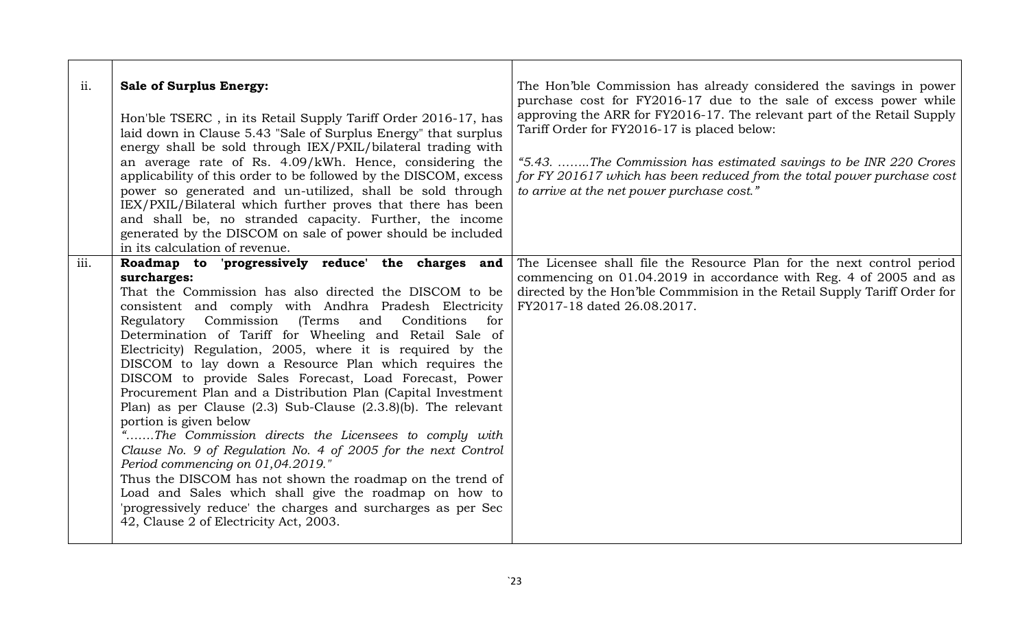| ii.  | <b>Sale of Surplus Energy:</b><br>Hon'ble TSERC, in its Retail Supply Tariff Order 2016-17, has<br>laid down in Clause 5.43 "Sale of Surplus Energy" that surplus<br>energy shall be sold through IEX/PXIL/bilateral trading with<br>an average rate of Rs. 4.09/kWh. Hence, considering the<br>applicability of this order to be followed by the DISCOM, excess<br>power so generated and un-utilized, shall be sold through<br>IEX/PXIL/Bilateral which further proves that there has been<br>and shall be, no stranded capacity. Further, the income<br>generated by the DISCOM on sale of power should be included<br>in its calculation of revenue.                                                                                                                                                                                                                                                                                                                                                                                                  | The Hon'ble Commission has already considered the savings in power<br>purchase cost for FY2016-17 due to the sale of excess power while<br>approving the ARR for FY2016-17. The relevant part of the Retail Supply<br>Tariff Order for FY2016-17 is placed below:<br>"5.43. The Commission has estimated savings to be INR 220 Crores<br>for FY 201617 which has been reduced from the total power purchase cost<br>to arrive at the net power purchase cost." |
|------|-----------------------------------------------------------------------------------------------------------------------------------------------------------------------------------------------------------------------------------------------------------------------------------------------------------------------------------------------------------------------------------------------------------------------------------------------------------------------------------------------------------------------------------------------------------------------------------------------------------------------------------------------------------------------------------------------------------------------------------------------------------------------------------------------------------------------------------------------------------------------------------------------------------------------------------------------------------------------------------------------------------------------------------------------------------|----------------------------------------------------------------------------------------------------------------------------------------------------------------------------------------------------------------------------------------------------------------------------------------------------------------------------------------------------------------------------------------------------------------------------------------------------------------|
| iii. | Roadmap to 'progressively reduce' the charges and<br>surcharges:<br>That the Commission has also directed the DISCOM to be<br>consistent and comply with Andhra Pradesh Electricity<br>Regulatory Commission (Terms<br>and<br>Conditions<br>for<br>Determination of Tariff for Wheeling and Retail Sale of<br>Electricity) Regulation, 2005, where it is required by the<br>DISCOM to lay down a Resource Plan which requires the<br>DISCOM to provide Sales Forecast, Load Forecast, Power<br>Procurement Plan and a Distribution Plan (Capital Investment<br>Plan) as per Clause $(2.3)$ Sub-Clause $(2.3.8)(b)$ . The relevant<br>portion is given below<br>"The Commission directs the Licensees to comply with<br>Clause No. 9 of Regulation No. 4 of 2005 for the next Control<br>Period commencing on 01,04.2019."<br>Thus the DISCOM has not shown the roadmap on the trend of<br>Load and Sales which shall give the roadmap on how to<br>'progressively reduce' the charges and surcharges as per Sec<br>42, Clause 2 of Electricity Act, 2003. | The Licensee shall file the Resource Plan for the next control period<br>commencing on 01.04.2019 in accordance with Reg. 4 of 2005 and as<br>directed by the Hon'ble Commmision in the Retail Supply Tariff Order for<br>FY2017-18 dated 26.08.2017.                                                                                                                                                                                                          |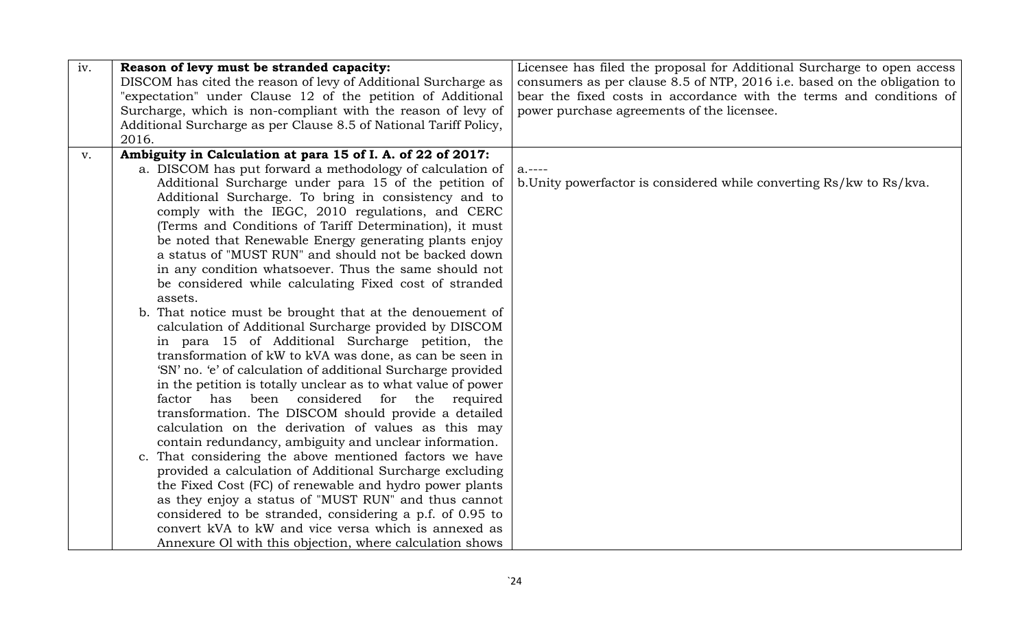| iv. | Reason of levy must be stranded capacity:                         | Licensee has filed the proposal for Additional Surcharge to open access  |
|-----|-------------------------------------------------------------------|--------------------------------------------------------------------------|
|     | DISCOM has cited the reason of levy of Additional Surcharge as    | consumers as per clause 8.5 of NTP, 2016 i.e. based on the obligation to |
|     | "expectation" under Clause 12 of the petition of Additional       | bear the fixed costs in accordance with the terms and conditions of      |
|     | Surcharge, which is non-compliant with the reason of levy of      | power purchase agreements of the licensee.                               |
|     | Additional Surcharge as per Clause 8.5 of National Tariff Policy, |                                                                          |
|     | 2016.                                                             |                                                                          |
| V.  | Ambiguity in Calculation at para 15 of I. A. of 22 of 2017:       |                                                                          |
|     | a. DISCOM has put forward a methodology of calculation of         | $a. ---$                                                                 |
|     | Additional Surcharge under para 15 of the petition of             | b. Unity powerfactor is considered while converting Rs/kw to Rs/kva.     |
|     | Additional Surcharge. To bring in consistency and to              |                                                                          |
|     | comply with the IEGC, 2010 regulations, and CERC                  |                                                                          |
|     | (Terms and Conditions of Tariff Determination), it must           |                                                                          |
|     | be noted that Renewable Energy generating plants enjoy            |                                                                          |
|     | a status of "MUST RUN" and should not be backed down              |                                                                          |
|     | in any condition whatsoever. Thus the same should not             |                                                                          |
|     | be considered while calculating Fixed cost of stranded            |                                                                          |
|     | assets.                                                           |                                                                          |
|     | b. That notice must be brought that at the denouement of          |                                                                          |
|     | calculation of Additional Surcharge provided by DISCOM            |                                                                          |
|     | in para 15 of Additional Surcharge petition, the                  |                                                                          |
|     | transformation of kW to kVA was done, as can be seen in           |                                                                          |
|     | 'SN' no. 'e' of calculation of additional Surcharge provided      |                                                                          |
|     | in the petition is totally unclear as to what value of power      |                                                                          |
|     | factor has been considered for the required                       |                                                                          |
|     | transformation. The DISCOM should provide a detailed              |                                                                          |
|     | calculation on the derivation of values as this may               |                                                                          |
|     | contain redundancy, ambiguity and unclear information.            |                                                                          |
|     | c. That considering the above mentioned factors we have           |                                                                          |
|     | provided a calculation of Additional Surcharge excluding          |                                                                          |
|     | the Fixed Cost (FC) of renewable and hydro power plants           |                                                                          |
|     | as they enjoy a status of "MUST RUN" and thus cannot              |                                                                          |
|     | considered to be stranded, considering a p.f. of 0.95 to          |                                                                          |
|     | convert kVA to kW and vice versa which is annexed as              |                                                                          |
|     | Annexure Ol with this objection, where calculation shows          |                                                                          |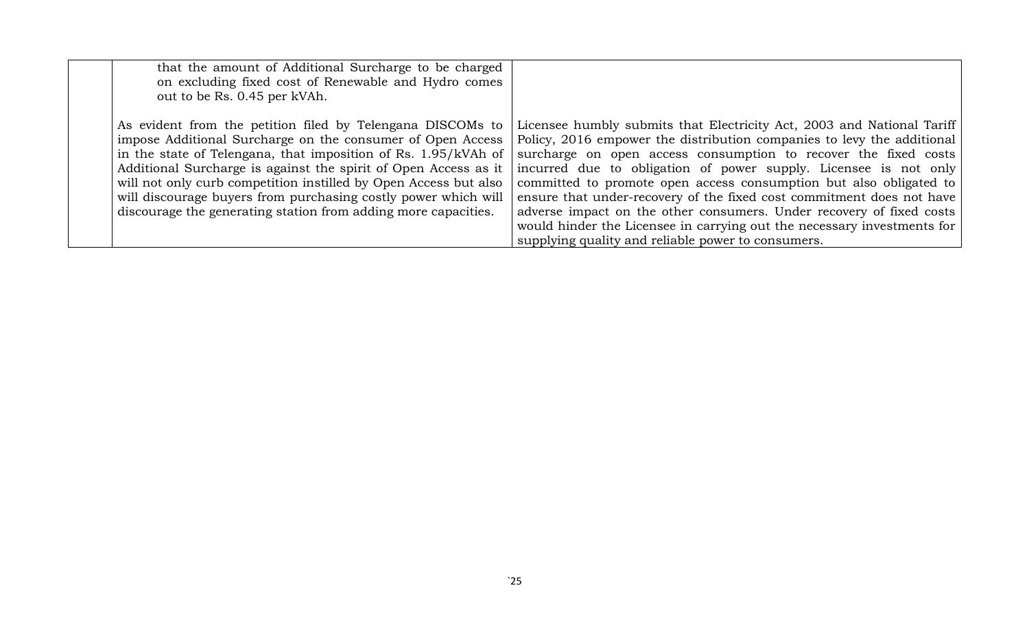| that the amount of Additional Surcharge to be charged<br>on excluding fixed cost of Renewable and Hydro comes<br>out to be Rs. 0.45 per kVAh.                                                                                                                                                                                                                                                                                                                         |                                                                                                                                                                                                                                                                                                                                                                                                                                                                                                                                                                                                                                                 |
|-----------------------------------------------------------------------------------------------------------------------------------------------------------------------------------------------------------------------------------------------------------------------------------------------------------------------------------------------------------------------------------------------------------------------------------------------------------------------|-------------------------------------------------------------------------------------------------------------------------------------------------------------------------------------------------------------------------------------------------------------------------------------------------------------------------------------------------------------------------------------------------------------------------------------------------------------------------------------------------------------------------------------------------------------------------------------------------------------------------------------------------|
| As evident from the petition filed by Telengana DISCOMs to<br>impose Additional Surcharge on the consumer of Open Access<br>in the state of Telengana, that imposition of Rs. 1.95/kVAh of<br>Additional Surcharge is against the spirit of Open Access as it<br>will not only curb competition instilled by Open Access but also<br>will discourage buyers from purchasing costly power which will<br>discourage the generating station from adding more capacities. | Licensee humbly submits that Electricity Act, 2003 and National Tariff<br>Policy, 2016 empower the distribution companies to levy the additional<br>surcharge on open access consumption to recover the fixed costs<br>incurred due to obligation of power supply. Licensee is not only<br>committed to promote open access consumption but also obligated to<br>ensure that under-recovery of the fixed cost commitment does not have<br>adverse impact on the other consumers. Under recovery of fixed costs<br>would hinder the Licensee in carrying out the necessary investments for<br>supplying quality and reliable power to consumers. |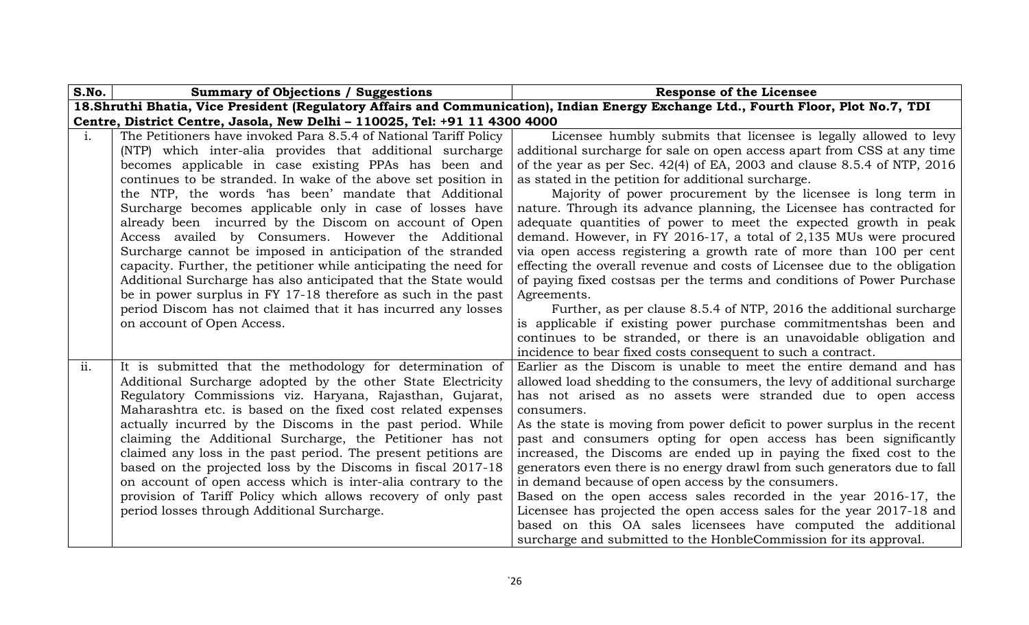| S.No.        | <b>Summary of Objections / Suggestions</b>                                                                                                                                                                                                                                                                                                                                                                                                                                                                                                                                                                                                                                                                                                                                                                                              | <b>Response of the Licensee</b>                                                                                                                                                                                                                                                                                                                                                                                                                                                                                                                                                                                                                                                                                                                                                                                                                                                                                                                                                                                                                                                     |  |
|--------------|-----------------------------------------------------------------------------------------------------------------------------------------------------------------------------------------------------------------------------------------------------------------------------------------------------------------------------------------------------------------------------------------------------------------------------------------------------------------------------------------------------------------------------------------------------------------------------------------------------------------------------------------------------------------------------------------------------------------------------------------------------------------------------------------------------------------------------------------|-------------------------------------------------------------------------------------------------------------------------------------------------------------------------------------------------------------------------------------------------------------------------------------------------------------------------------------------------------------------------------------------------------------------------------------------------------------------------------------------------------------------------------------------------------------------------------------------------------------------------------------------------------------------------------------------------------------------------------------------------------------------------------------------------------------------------------------------------------------------------------------------------------------------------------------------------------------------------------------------------------------------------------------------------------------------------------------|--|
|              |                                                                                                                                                                                                                                                                                                                                                                                                                                                                                                                                                                                                                                                                                                                                                                                                                                         | 18. Shruthi Bhatia, Vice President (Regulatory Affairs and Communication), Indian Energy Exchange Ltd., Fourth Floor, Plot No.7, TDI                                                                                                                                                                                                                                                                                                                                                                                                                                                                                                                                                                                                                                                                                                                                                                                                                                                                                                                                                |  |
|              | Centre, District Centre, Jasola, New Delhi - 110025, Tel: +91 11 4300 4000                                                                                                                                                                                                                                                                                                                                                                                                                                                                                                                                                                                                                                                                                                                                                              |                                                                                                                                                                                                                                                                                                                                                                                                                                                                                                                                                                                                                                                                                                                                                                                                                                                                                                                                                                                                                                                                                     |  |
| <sup>1</sup> | The Petitioners have invoked Para 8.5.4 of National Tariff Policy<br>(NTP) which inter-alia provides that additional surcharge<br>becomes applicable in case existing PPAs has been and<br>continues to be stranded. In wake of the above set position in<br>the NTP, the words 'has been' mandate that Additional<br>Surcharge becomes applicable only in case of losses have<br>already been incurred by the Discom on account of Open<br>Access availed by Consumers. However the Additional<br>Surcharge cannot be imposed in anticipation of the stranded<br>capacity. Further, the petitioner while anticipating the need for<br>Additional Surcharge has also anticipated that the State would<br>be in power surplus in FY 17-18 therefore as such in the past<br>period Discom has not claimed that it has incurred any losses | Licensee humbly submits that licensee is legally allowed to levy<br>additional surcharge for sale on open access apart from CSS at any time<br>of the year as per Sec. $42(4)$ of EA, 2003 and clause 8.5.4 of NTP, 2016<br>as stated in the petition for additional surcharge.<br>Majority of power procurement by the licensee is long term in<br>nature. Through its advance planning, the Licensee has contracted for<br>adequate quantities of power to meet the expected growth in peak<br>demand. However, in FY 2016-17, a total of $2,135$ MUs were procured<br>via open access registering a growth rate of more than 100 per cent<br>effecting the overall revenue and costs of Licensee due to the obligation<br>of paying fixed costsas per the terms and conditions of Power Purchase<br>Agreements.<br>Further, as per clause 8.5.4 of NTP, 2016 the additional surcharge                                                                                                                                                                                            |  |
| ii.          | on account of Open Access.<br>It is submitted that the methodology for determination of<br>Additional Surcharge adopted by the other State Electricity<br>Regulatory Commissions viz. Haryana, Rajasthan, Gujarat,<br>Maharashtra etc. is based on the fixed cost related expenses<br>actually incurred by the Discoms in the past period. While<br>claiming the Additional Surcharge, the Petitioner has not<br>claimed any loss in the past period. The present petitions are<br>based on the projected loss by the Discoms in fiscal 2017-18<br>on account of open access which is inter-alia contrary to the<br>provision of Tariff Policy which allows recovery of only past<br>period losses through Additional Surcharge.                                                                                                        | is applicable if existing power purchase commitmentshas been and<br>continues to be stranded, or there is an unavoidable obligation and<br>incidence to bear fixed costs consequent to such a contract.<br>Earlier as the Discom is unable to meet the entire demand and has<br>allowed load shedding to the consumers, the levy of additional surcharge<br>has not arised as no assets were stranded due to open access<br>consumers.<br>As the state is moving from power deficit to power surplus in the recent<br>past and consumers opting for open access has been significantly<br>increased, the Discoms are ended up in paying the fixed cost to the<br>generators even there is no energy drawl from such generators due to fall<br>in demand because of open access by the consumers.<br>Based on the open access sales recorded in the year 2016-17, the<br>Licensee has projected the open access sales for the year 2017-18 and<br>based on this OA sales licensees have computed the additional<br>surcharge and submitted to the HonbleCommission for its approval. |  |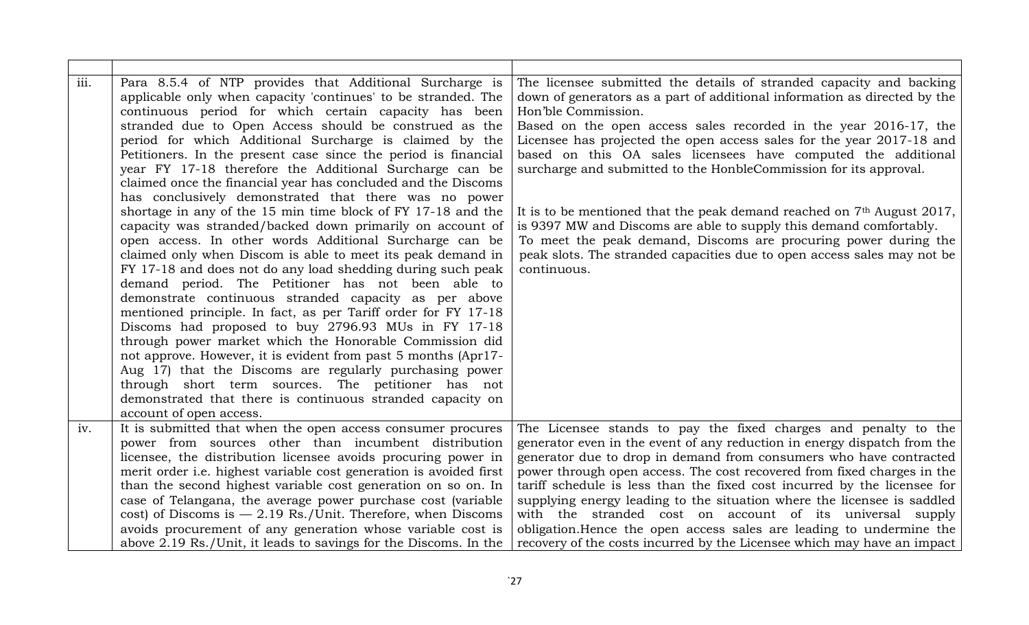| iii. | Para 8.5.4 of NTP provides that Additional Surcharge is<br>applicable only when capacity 'continues' to be stranded. The<br>continuous period for which certain capacity has been<br>stranded due to Open Access should be construed as the<br>period for which Additional Surcharge is claimed by the<br>Petitioners. In the present case since the period is financial<br>year FY 17-18 therefore the Additional Surcharge can be<br>claimed once the financial year has concluded and the Discoms<br>has conclusively demonstrated that there was no power<br>shortage in any of the 15 min time block of FY 17-18 and the<br>capacity was stranded/backed down primarily on account of<br>open access. In other words Additional Surcharge can be<br>claimed only when Discom is able to meet its peak demand in<br>FY 17-18 and does not do any load shedding during such peak<br>demand period. The Petitioner has not been able to<br>demonstrate continuous stranded capacity as per above<br>mentioned principle. In fact, as per Tariff order for FY 17-18<br>Discoms had proposed to buy 2796.93 MUs in FY 17-18<br>through power market which the Honorable Commission did<br>not approve. However, it is evident from past 5 months (Apr17-<br>Aug 17) that the Discoms are regularly purchasing power<br>through short term sources. The petitioner has not<br>demonstrated that there is continuous stranded capacity on<br>account of open access. | The licensee submitted the details of stranded capacity and backing<br>down of generators as a part of additional information as directed by the<br>Hon'ble Commission.<br>Based on the open access sales recorded in the year 2016-17, the<br>Licensee has projected the open access sales for the year 2017-18 and<br>based on this OA sales licensees have computed the additional<br>surcharge and submitted to the HonbleCommission for its approval.<br>It is to be mentioned that the peak demand reached on 7 <sup>th</sup> August 2017,<br>is 9397 MW and Discoms are able to supply this demand comfortably.<br>To meet the peak demand, Discoms are procuring power during the<br>peak slots. The stranded capacities due to open access sales may not be<br>continuous. |
|------|--------------------------------------------------------------------------------------------------------------------------------------------------------------------------------------------------------------------------------------------------------------------------------------------------------------------------------------------------------------------------------------------------------------------------------------------------------------------------------------------------------------------------------------------------------------------------------------------------------------------------------------------------------------------------------------------------------------------------------------------------------------------------------------------------------------------------------------------------------------------------------------------------------------------------------------------------------------------------------------------------------------------------------------------------------------------------------------------------------------------------------------------------------------------------------------------------------------------------------------------------------------------------------------------------------------------------------------------------------------------------------------------------------------------------------------------------------------------|-------------------------------------------------------------------------------------------------------------------------------------------------------------------------------------------------------------------------------------------------------------------------------------------------------------------------------------------------------------------------------------------------------------------------------------------------------------------------------------------------------------------------------------------------------------------------------------------------------------------------------------------------------------------------------------------------------------------------------------------------------------------------------------|
| iv.  | It is submitted that when the open access consumer procures                                                                                                                                                                                                                                                                                                                                                                                                                                                                                                                                                                                                                                                                                                                                                                                                                                                                                                                                                                                                                                                                                                                                                                                                                                                                                                                                                                                                        | The Licensee stands to pay the fixed charges and penalty to the                                                                                                                                                                                                                                                                                                                                                                                                                                                                                                                                                                                                                                                                                                                     |
|      | power from sources other than incumbent distribution                                                                                                                                                                                                                                                                                                                                                                                                                                                                                                                                                                                                                                                                                                                                                                                                                                                                                                                                                                                                                                                                                                                                                                                                                                                                                                                                                                                                               | generator even in the event of any reduction in energy dispatch from the                                                                                                                                                                                                                                                                                                                                                                                                                                                                                                                                                                                                                                                                                                            |
|      | licensee, the distribution licensee avoids procuring power in                                                                                                                                                                                                                                                                                                                                                                                                                                                                                                                                                                                                                                                                                                                                                                                                                                                                                                                                                                                                                                                                                                                                                                                                                                                                                                                                                                                                      | generator due to drop in demand from consumers who have contracted                                                                                                                                                                                                                                                                                                                                                                                                                                                                                                                                                                                                                                                                                                                  |
|      | merit order <i>i.e.</i> highest variable cost generation is avoided first                                                                                                                                                                                                                                                                                                                                                                                                                                                                                                                                                                                                                                                                                                                                                                                                                                                                                                                                                                                                                                                                                                                                                                                                                                                                                                                                                                                          | power through open access. The cost recovered from fixed charges in the                                                                                                                                                                                                                                                                                                                                                                                                                                                                                                                                                                                                                                                                                                             |
|      | than the second highest variable cost generation on so on. In                                                                                                                                                                                                                                                                                                                                                                                                                                                                                                                                                                                                                                                                                                                                                                                                                                                                                                                                                                                                                                                                                                                                                                                                                                                                                                                                                                                                      | tariff schedule is less than the fixed cost incurred by the licensee for                                                                                                                                                                                                                                                                                                                                                                                                                                                                                                                                                                                                                                                                                                            |
|      | case of Telangana, the average power purchase cost (variable                                                                                                                                                                                                                                                                                                                                                                                                                                                                                                                                                                                                                                                                                                                                                                                                                                                                                                                                                                                                                                                                                                                                                                                                                                                                                                                                                                                                       | supplying energy leading to the situation where the licensee is saddled                                                                                                                                                                                                                                                                                                                                                                                                                                                                                                                                                                                                                                                                                                             |
|      | cost) of Discoms is $-2.19$ Rs./Unit. Therefore, when Discoms                                                                                                                                                                                                                                                                                                                                                                                                                                                                                                                                                                                                                                                                                                                                                                                                                                                                                                                                                                                                                                                                                                                                                                                                                                                                                                                                                                                                      | with the stranded cost on account of its universal supply                                                                                                                                                                                                                                                                                                                                                                                                                                                                                                                                                                                                                                                                                                                           |
|      | avoids procurement of any generation whose variable cost is<br>above 2.19 Rs./Unit, it leads to savings for the Discoms. In the                                                                                                                                                                                                                                                                                                                                                                                                                                                                                                                                                                                                                                                                                                                                                                                                                                                                                                                                                                                                                                                                                                                                                                                                                                                                                                                                    | obligation. Hence the open access sales are leading to undermine the<br>recovery of the costs incurred by the Licensee which may have an impact                                                                                                                                                                                                                                                                                                                                                                                                                                                                                                                                                                                                                                     |
|      |                                                                                                                                                                                                                                                                                                                                                                                                                                                                                                                                                                                                                                                                                                                                                                                                                                                                                                                                                                                                                                                                                                                                                                                                                                                                                                                                                                                                                                                                    |                                                                                                                                                                                                                                                                                                                                                                                                                                                                                                                                                                                                                                                                                                                                                                                     |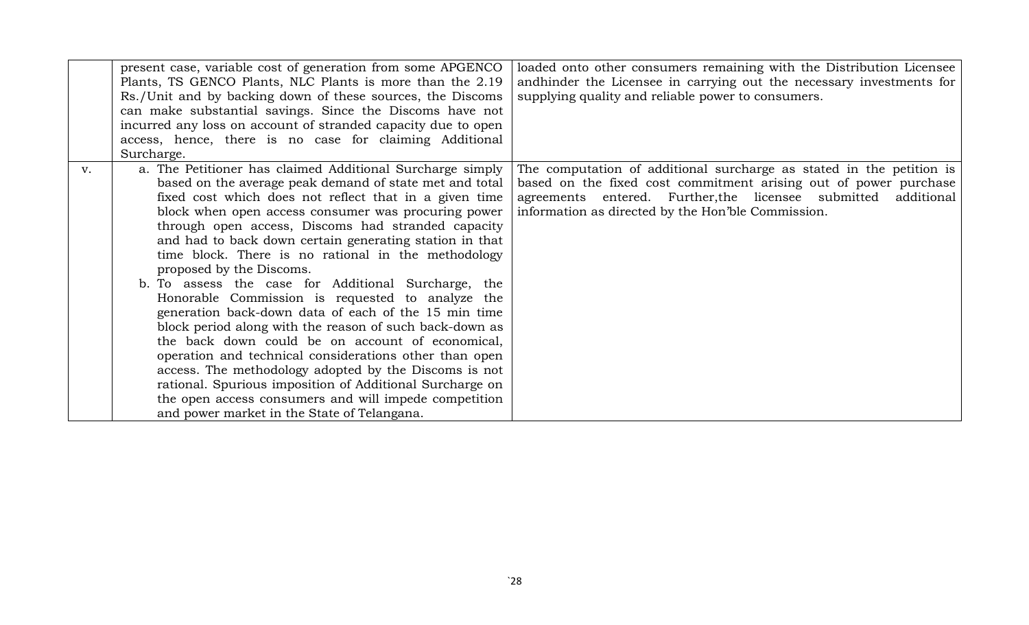|    | present case, variable cost of generation from some APGENCO   | loaded onto other consumers remaining with the Distribution Licensee  |
|----|---------------------------------------------------------------|-----------------------------------------------------------------------|
|    | Plants, TS GENCO Plants, NLC Plants is more than the 2.19     | and hinder the Licensee in carrying out the necessary investments for |
|    | Rs./Unit and by backing down of these sources, the Discoms    | supplying quality and reliable power to consumers.                    |
|    | can make substantial savings. Since the Discoms have not      |                                                                       |
|    | incurred any loss on account of stranded capacity due to open |                                                                       |
|    | access, hence, there is no case for claiming Additional       |                                                                       |
|    | Surcharge.                                                    |                                                                       |
| V. | a. The Petitioner has claimed Additional Surcharge simply     | The computation of additional surcharge as stated in the petition is  |
|    | based on the average peak demand of state met and total       | based on the fixed cost commitment arising out of power purchase      |
|    | fixed cost which does not reflect that in a given time        | agreements entered. Further, the licensee submitted<br>additional     |
|    | block when open access consumer was procuring power           | information as directed by the Hon'ble Commission.                    |
|    | through open access, Discoms had stranded capacity            |                                                                       |
|    | and had to back down certain generating station in that       |                                                                       |
|    | time block. There is no rational in the methodology           |                                                                       |
|    | proposed by the Discoms.                                      |                                                                       |
|    | b. To assess the case for Additional Surcharge, the           |                                                                       |
|    | Honorable Commission is requested to analyze the              |                                                                       |
|    | generation back-down data of each of the 15 min time          |                                                                       |
|    | block period along with the reason of such back-down as       |                                                                       |
|    | the back down could be on account of economical,              |                                                                       |
|    | operation and technical considerations other than open        |                                                                       |
|    | access. The methodology adopted by the Discoms is not         |                                                                       |
|    | rational. Spurious imposition of Additional Surcharge on      |                                                                       |
|    | the open access consumers and will impede competition         |                                                                       |
|    | and power market in the State of Telangana.                   |                                                                       |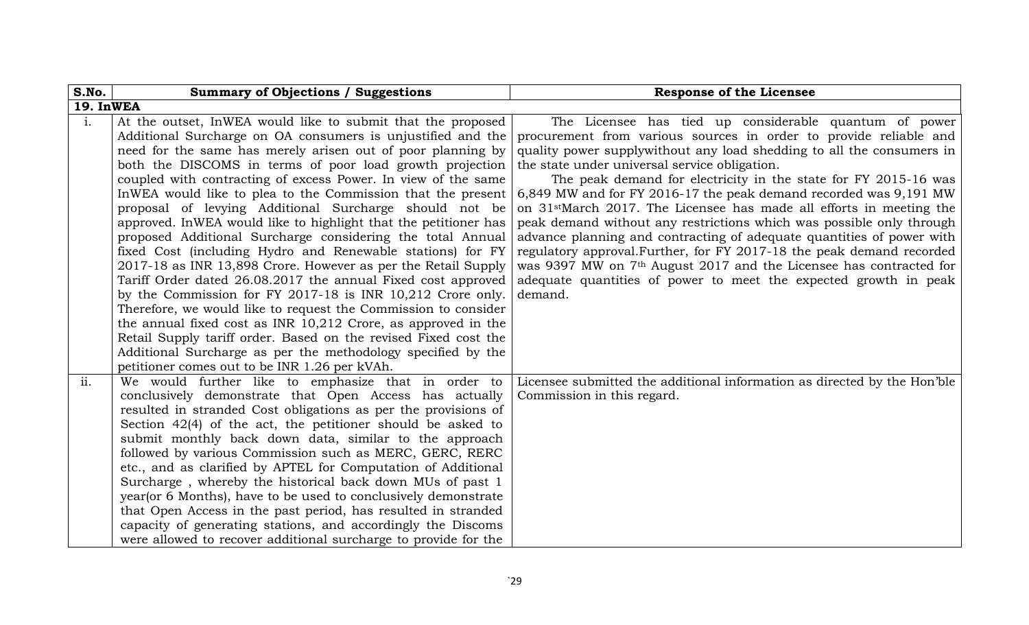| S.No.          | <b>Summary of Objections / Suggestions</b>                       | <b>Response of the Licensee</b>                                                  |
|----------------|------------------------------------------------------------------|----------------------------------------------------------------------------------|
| 19. InWEA      |                                                                  |                                                                                  |
| $\mathbf{i}$ . | At the outset, InWEA would like to submit that the proposed      | The Licensee has tied up considerable quantum of power                           |
|                | Additional Surcharge on OA consumers is unjustified and the      | procurement from various sources in order to provide reliable and                |
|                | need for the same has merely arisen out of poor planning by      | quality power supply without any load shedding to all the consumers in           |
|                | both the DISCOMS in terms of poor load growth projection         | the state under universal service obligation.                                    |
|                | coupled with contracting of excess Power. In view of the same    | The peak demand for electricity in the state for FY 2015-16 was                  |
|                | In WEA would like to plea to the Commission that the present     | 6,849 MW and for FY 2016-17 the peak demand recorded was 9,191 MW                |
|                | proposal of levying Additional Surcharge should not be           | on 31 <sup>st</sup> March 2017. The Licensee has made all efforts in meeting the |
|                | approved. In WEA would like to highlight that the petitioner has | peak demand without any restrictions which was possible only through             |
|                | proposed Additional Surcharge considering the total Annual       | advance planning and contracting of adequate quantities of power with            |
|                | fixed Cost (including Hydro and Renewable stations) for FY       | regulatory approval. Further, for FY 2017-18 the peak demand recorded            |
|                | 2017-18 as INR 13,898 Crore. However as per the Retail Supply    | was 9397 MW on 7 <sup>th</sup> August 2017 and the Licensee has contracted for   |
|                | Tariff Order dated 26.08.2017 the annual Fixed cost approved     | adequate quantities of power to meet the expected growth in peak                 |
|                | by the Commission for FY 2017-18 is INR 10,212 Crore only.       | demand.                                                                          |
|                | Therefore, we would like to request the Commission to consider   |                                                                                  |
|                | the annual fixed cost as INR $10,212$ Crore, as approved in the  |                                                                                  |
|                | Retail Supply tariff order. Based on the revised Fixed cost the  |                                                                                  |
|                | Additional Surcharge as per the methodology specified by the     |                                                                                  |
|                | petitioner comes out to be INR 1.26 per kVAh.                    |                                                                                  |
| ii.            | We would further like to emphasize that in order to              | Licensee submitted the additional information as directed by the Hon'ble         |
|                | conclusively demonstrate that Open Access has actually           | Commission in this regard.                                                       |
|                | resulted in stranded Cost obligations as per the provisions of   |                                                                                  |
|                | Section $42(4)$ of the act, the petitioner should be asked to    |                                                                                  |
|                | submit monthly back down data, similar to the approach           |                                                                                  |
|                | followed by various Commission such as MERC, GERC, RERC          |                                                                                  |
|                | etc., and as clarified by APTEL for Computation of Additional    |                                                                                  |
|                | Surcharge, whereby the historical back down MUs of past 1        |                                                                                  |
|                | year (or 6 Months), have to be used to conclusively demonstrate  |                                                                                  |
|                | that Open Access in the past period, has resulted in stranded    |                                                                                  |
|                | capacity of generating stations, and accordingly the Discoms     |                                                                                  |
|                | were allowed to recover additional surcharge to provide for the  |                                                                                  |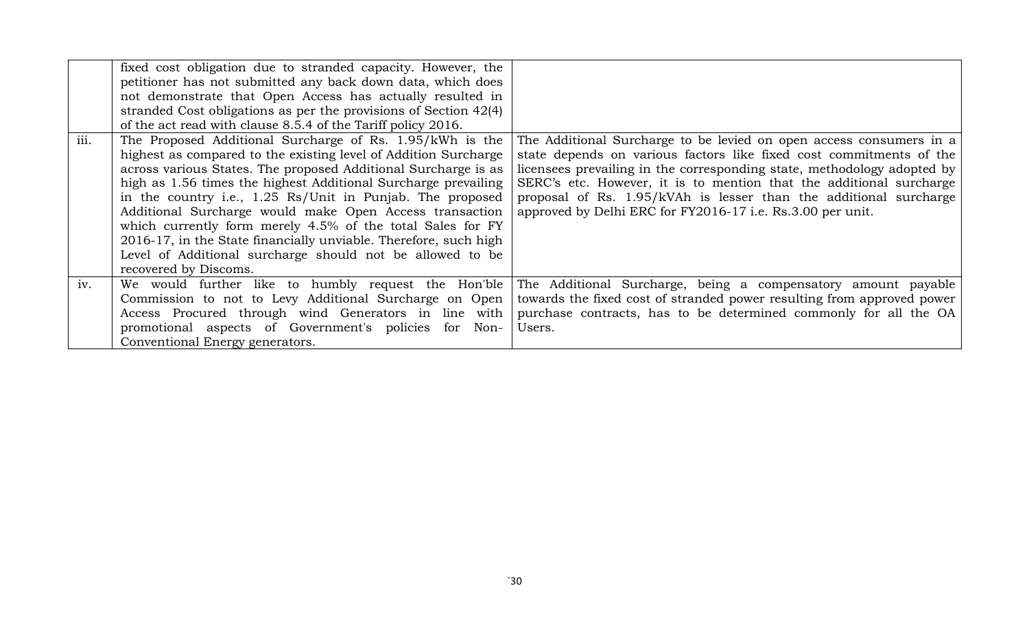| iii. | fixed cost obligation due to stranded capacity. However, the<br>petitioner has not submitted any back down data, which does<br>not demonstrate that Open Access has actually resulted in<br>stranded Cost obligations as per the provisions of Section 42(4)<br>of the act read with clause 8.5.4 of the Tariff policy 2016.<br>The Proposed Additional Surcharge of Rs. 1.95/kWh is the<br>highest as compared to the existing level of Addition Surcharge<br>across various States. The proposed Additional Surcharge is as<br>high as 1.56 times the highest Additional Surcharge prevailing<br>in the country i.e., 1.25 Rs/Unit in Punjab. The proposed<br>Additional Surcharge would make Open Access transaction<br>which currently form merely 4.5% of the total Sales for FY<br>2016-17, in the State financially unviable. Therefore, such high | The Additional Surcharge to be levied on open access consumers in a<br>state depends on various factors like fixed cost commitments of the<br>licensees prevailing in the corresponding state, methodology adopted by<br>SERC's etc. However, it is to mention that the additional surcharge<br>proposal of Rs. 1.95/kVAh is lesser than the additional surcharge<br>approved by Delhi ERC for FY2016-17 i.e. Rs.3.00 per unit. |
|------|-----------------------------------------------------------------------------------------------------------------------------------------------------------------------------------------------------------------------------------------------------------------------------------------------------------------------------------------------------------------------------------------------------------------------------------------------------------------------------------------------------------------------------------------------------------------------------------------------------------------------------------------------------------------------------------------------------------------------------------------------------------------------------------------------------------------------------------------------------------|---------------------------------------------------------------------------------------------------------------------------------------------------------------------------------------------------------------------------------------------------------------------------------------------------------------------------------------------------------------------------------------------------------------------------------|
|      | Level of Additional surcharge should not be allowed to be<br>recovered by Discoms.                                                                                                                                                                                                                                                                                                                                                                                                                                                                                                                                                                                                                                                                                                                                                                        |                                                                                                                                                                                                                                                                                                                                                                                                                                 |
| iv.  | We would further like to humbly request the Hon'ble<br>Commission to not to Levy Additional Surcharge on Open<br>Access Procured through wind Generators in line with<br>promotional aspects of Government's policies for Non-                                                                                                                                                                                                                                                                                                                                                                                                                                                                                                                                                                                                                            | The Additional Surcharge, being a compensatory amount payable<br>towards the fixed cost of stranded power resulting from approved power<br>purchase contracts, has to be determined commonly for all the OA<br>Users.                                                                                                                                                                                                           |
|      | Conventional Energy generators.                                                                                                                                                                                                                                                                                                                                                                                                                                                                                                                                                                                                                                                                                                                                                                                                                           |                                                                                                                                                                                                                                                                                                                                                                                                                                 |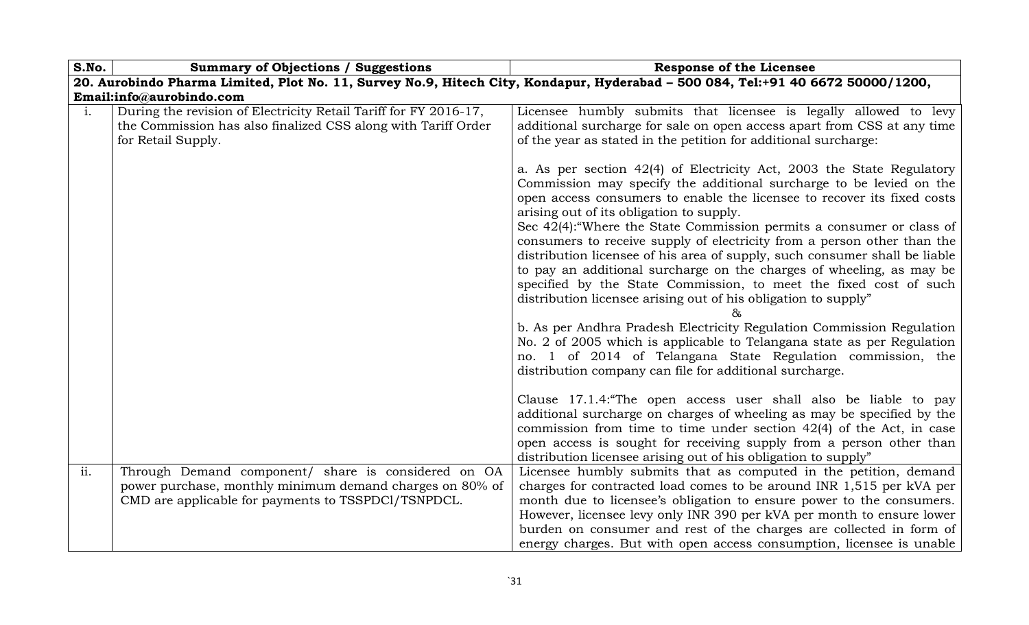| S.No.          | <b>Summary of Objections / Suggestions</b>                                                                                                                             | <b>Response of the Licensee</b>                                                                                                                                                                                                                                                                                                                                                                                                                                                                                                                                                                                                                                                                                                                                                                                                                                                                                                        |  |  |
|----------------|------------------------------------------------------------------------------------------------------------------------------------------------------------------------|----------------------------------------------------------------------------------------------------------------------------------------------------------------------------------------------------------------------------------------------------------------------------------------------------------------------------------------------------------------------------------------------------------------------------------------------------------------------------------------------------------------------------------------------------------------------------------------------------------------------------------------------------------------------------------------------------------------------------------------------------------------------------------------------------------------------------------------------------------------------------------------------------------------------------------------|--|--|
|                |                                                                                                                                                                        | 20. Aurobindo Pharma Limited, Plot No. 11, Survey No.9, Hitech City, Kondapur, Hyderabad - 500 084, Tel:+91 40 6672 50000/1200,                                                                                                                                                                                                                                                                                                                                                                                                                                                                                                                                                                                                                                                                                                                                                                                                        |  |  |
|                | Email:info@aurobindo.com                                                                                                                                               |                                                                                                                                                                                                                                                                                                                                                                                                                                                                                                                                                                                                                                                                                                                                                                                                                                                                                                                                        |  |  |
| $\mathbf{i}$ . | During the revision of Electricity Retail Tariff for FY 2016-17,<br>the Commission has also finalized CSS along with Tariff Order<br>for Retail Supply.                | Licensee humbly submits that licensee is legally allowed to levy<br>additional surcharge for sale on open access apart from CSS at any time<br>of the year as stated in the petition for additional surcharge:                                                                                                                                                                                                                                                                                                                                                                                                                                                                                                                                                                                                                                                                                                                         |  |  |
|                |                                                                                                                                                                        | a. As per section 42(4) of Electricity Act, 2003 the State Regulatory<br>Commission may specify the additional surcharge to be levied on the<br>open access consumers to enable the licensee to recover its fixed costs<br>arising out of its obligation to supply.<br>Sec 42(4): "Where the State Commission permits a consumer or class of<br>consumers to receive supply of electricity from a person other than the<br>distribution licensee of his area of supply, such consumer shall be liable<br>to pay an additional surcharge on the charges of wheeling, as may be<br>specified by the State Commission, to meet the fixed cost of such<br>distribution licensee arising out of his obligation to supply"<br>b. As per Andhra Pradesh Electricity Regulation Commission Regulation<br>No. 2 of 2005 which is applicable to Telangana state as per Regulation<br>no. 1 of 2014 of Telangana State Regulation commission, the |  |  |
|                |                                                                                                                                                                        | distribution company can file for additional surcharge.<br>Clause 17.1.4: "The open access user shall also be liable to pay<br>additional surcharge on charges of wheeling as may be specified by the<br>commission from time to time under section $42(4)$ of the Act, in case<br>open access is sought for receiving supply from a person other than<br>distribution licensee arising out of his obligation to supply"                                                                                                                                                                                                                                                                                                                                                                                                                                                                                                               |  |  |
| ii.            | Through Demand component/ share is considered on OA<br>power purchase, monthly minimum demand charges on 80% of<br>CMD are applicable for payments to TSSPDCl/TSNPDCL. | Licensee humbly submits that as computed in the petition, demand<br>charges for contracted load comes to be around INR 1,515 per kVA per<br>month due to licensee's obligation to ensure power to the consumers.<br>However, licensee levy only INR 390 per kVA per month to ensure lower<br>burden on consumer and rest of the charges are collected in form of<br>energy charges. But with open access consumption, licensee is unable                                                                                                                                                                                                                                                                                                                                                                                                                                                                                               |  |  |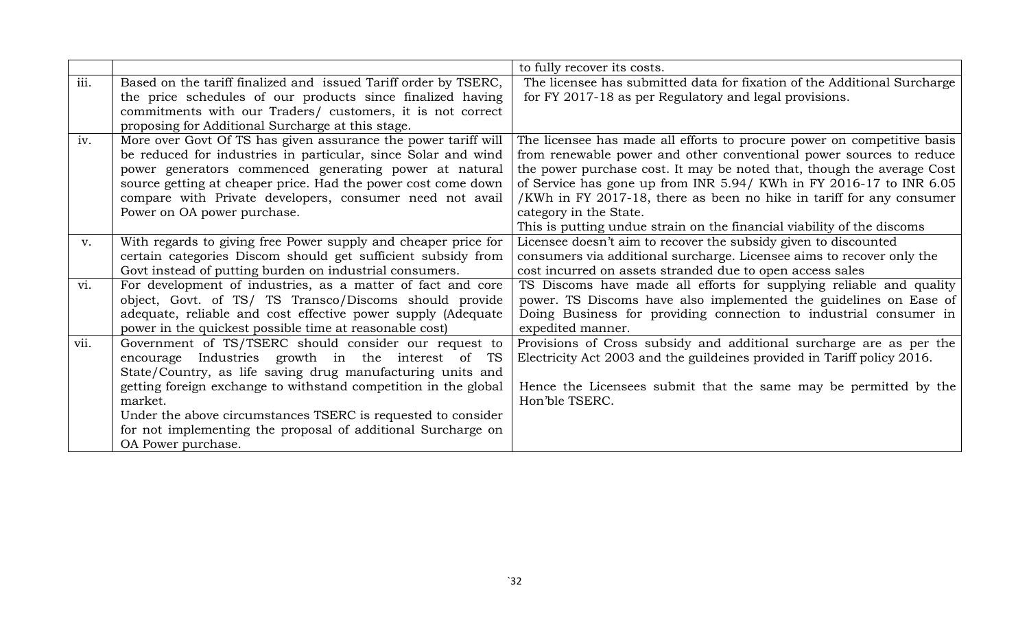|      |                                                                 | to fully recover its costs.                                              |
|------|-----------------------------------------------------------------|--------------------------------------------------------------------------|
| iii. | Based on the tariff finalized and issued Tariff order by TSERC, | The licensee has submitted data for fixation of the Additional Surcharge |
|      | the price schedules of our products since finalized having      | for FY 2017-18 as per Regulatory and legal provisions.                   |
|      | commitments with our Traders/ customers, it is not correct      |                                                                          |
|      | proposing for Additional Surcharge at this stage.               |                                                                          |
| iv.  | More over Govt Of TS has given assurance the power tariff will  | The licensee has made all efforts to procure power on competitive basis  |
|      | be reduced for industries in particular, since Solar and wind   | from renewable power and other conventional power sources to reduce      |
|      | power generators commenced generating power at natural          | the power purchase cost. It may be noted that, though the average Cost   |
|      | source getting at cheaper price. Had the power cost come down   | of Service has gone up from INR 5.94/ KWh in FY 2016-17 to INR 6.05      |
|      | compare with Private developers, consumer need not avail        | /KWh in FY 2017-18, there as been no hike in tariff for any consumer     |
|      | Power on OA power purchase.                                     | category in the State.                                                   |
|      |                                                                 | This is putting undue strain on the financial viability of the discoms   |
| V.   | With regards to giving free Power supply and cheaper price for  | Licensee doesn't aim to recover the subsidy given to discounted          |
|      | certain categories Discom should get sufficient subsidy from    | consumers via additional surcharge. Licensee aims to recover only the    |
|      | Govt instead of putting burden on industrial consumers.         | cost incurred on assets stranded due to open access sales                |
| vi.  | For development of industries, as a matter of fact and core     | TS Discoms have made all efforts for supplying reliable and quality      |
|      | object, Govt. of TS/ TS Transco/Discoms should provide          | power. TS Discoms have also implemented the guidelines on Ease of        |
|      | adequate, reliable and cost effective power supply (Adequate    | Doing Business for providing connection to industrial consumer in        |
|      | power in the quickest possible time at reasonable cost)         | expedited manner.                                                        |
| vii. | Government of TS/TSERC should consider our request to           | Provisions of Cross subsidy and additional surcharge are as per the      |
|      | encourage Industries growth in the interest of<br>TS            | Electricity Act 2003 and the guildeines provided in Tariff policy 2016.  |
|      | State/Country, as life saving drug manufacturing units and      |                                                                          |
|      | getting foreign exchange to withstand competition in the global | Hence the Licensees submit that the same may be permitted by the         |
|      | market.                                                         | Hon'ble TSERC.                                                           |
|      | Under the above circumstances TSERC is requested to consider    |                                                                          |
|      | for not implementing the proposal of additional Surcharge on    |                                                                          |
|      | OA Power purchase.                                              |                                                                          |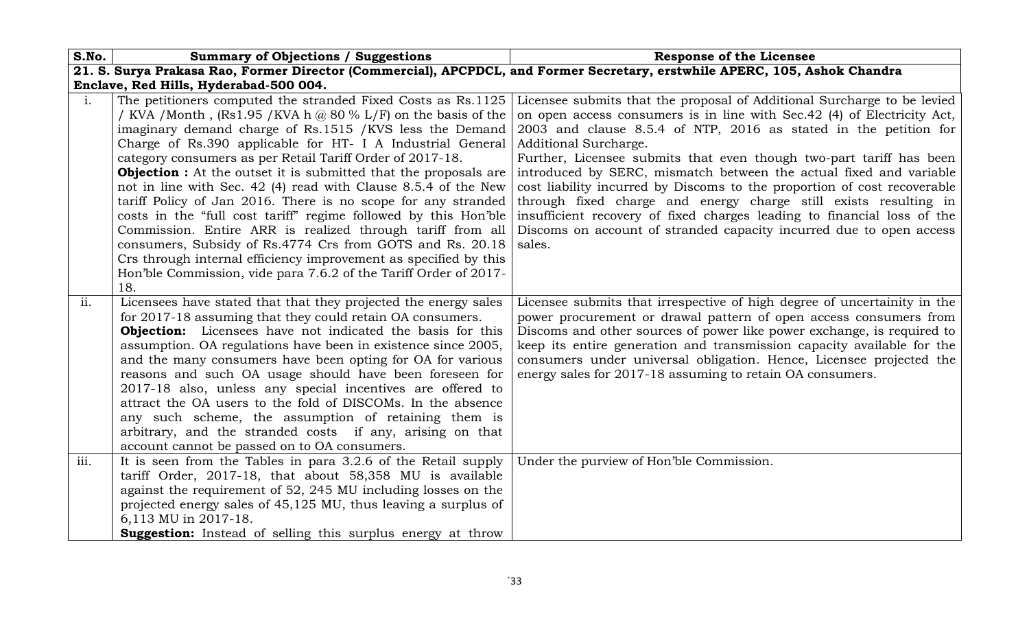| S.No.                                  | <b>Summary of Objections / Suggestions</b>                                                                                                                                                                                                                                                                                                                                                                                                                                                                                                                                                                                                                                                                                                                                                                                                                                                              | <b>Response of the Licensee</b>                                                                                                                                                                                                                                                                                                                                                                                                                                                                                                                                                                                                                                                                           |
|----------------------------------------|---------------------------------------------------------------------------------------------------------------------------------------------------------------------------------------------------------------------------------------------------------------------------------------------------------------------------------------------------------------------------------------------------------------------------------------------------------------------------------------------------------------------------------------------------------------------------------------------------------------------------------------------------------------------------------------------------------------------------------------------------------------------------------------------------------------------------------------------------------------------------------------------------------|-----------------------------------------------------------------------------------------------------------------------------------------------------------------------------------------------------------------------------------------------------------------------------------------------------------------------------------------------------------------------------------------------------------------------------------------------------------------------------------------------------------------------------------------------------------------------------------------------------------------------------------------------------------------------------------------------------------|
|                                        | 21. S. Surya Prakasa Rao, Former Director (Commercial), APCPDCL, and Former Secretary, erstwhile APERC, 105, Ashok Chandra                                                                                                                                                                                                                                                                                                                                                                                                                                                                                                                                                                                                                                                                                                                                                                              |                                                                                                                                                                                                                                                                                                                                                                                                                                                                                                                                                                                                                                                                                                           |
| Enclave, Red Hills, Hyderabad-500 004. |                                                                                                                                                                                                                                                                                                                                                                                                                                                                                                                                                                                                                                                                                                                                                                                                                                                                                                         |                                                                                                                                                                                                                                                                                                                                                                                                                                                                                                                                                                                                                                                                                                           |
| $\mathbf{i}$ .                         | The petitioners computed the stranded Fixed Costs as Rs.1125<br>/ KVA / Month, $(Rs1.95 / KVA \, h \, \textcircled{a} 80 \% L/F)$ on the basis of the<br>imaginary demand charge of Rs.1515 / KVS less the Demand<br>Charge of Rs.390 applicable for HT- I A Industrial General<br>category consumers as per Retail Tariff Order of 2017-18.<br><b>Objection :</b> At the outset it is submitted that the proposals are<br>not in line with Sec. 42 (4) read with Clause 8.5.4 of the New<br>tariff Policy of Jan 2016. There is no scope for any stranded<br>costs in the "full cost tariff" regime followed by this Hon'ble<br>Commission. Entire ARR is realized through tariff from all<br>consumers, Subsidy of Rs.4774 Crs from GOTS and Rs. 20.18<br>Crs through internal efficiency improvement as specified by this<br>Hon'ble Commission, vide para 7.6.2 of the Tariff Order of 2017-<br>18. | Licensee submits that the proposal of Additional Surcharge to be levied<br>on open access consumers is in line with Sec. 42 (4) of Electricity Act,<br>2003 and clause 8.5.4 of NTP, 2016 as stated in the petition for<br>Additional Surcharge.<br>Further, Licensee submits that even though two-part tariff has been<br>introduced by SERC, mismatch between the actual fixed and variable<br>cost liability incurred by Discoms to the proportion of cost recoverable<br>through fixed charge and energy charge still exists resulting in<br>insufficient recovery of fixed charges leading to financial loss of the<br>Discoms on account of stranded capacity incurred due to open access<br>sales. |
| ii.                                    | Licensees have stated that that they projected the energy sales<br>for 2017-18 assuming that they could retain OA consumers.<br><b>Objection:</b> Licensees have not indicated the basis for this<br>assumption. OA regulations have been in existence since 2005,<br>and the many consumers have been opting for OA for various<br>reasons and such OA usage should have been foreseen for<br>2017-18 also, unless any special incentives are offered to<br>attract the OA users to the fold of DISCOMs. In the absence<br>any such scheme, the assumption of retaining them is<br>arbitrary, and the stranded costs if any, arising on that<br>account cannot be passed on to OA consumers.                                                                                                                                                                                                           | Licensee submits that irrespective of high degree of uncertainity in the<br>power procurement or drawal pattern of open access consumers from<br>Discoms and other sources of power like power exchange, is required to<br>keep its entire generation and transmission capacity available for the<br>consumers under universal obligation. Hence, Licensee projected the<br>energy sales for 2017-18 assuming to retain OA consumers.                                                                                                                                                                                                                                                                     |
| iii.                                   | It is seen from the Tables in para 3.2.6 of the Retail supply<br>tariff Order, 2017-18, that about 58,358 MU is available                                                                                                                                                                                                                                                                                                                                                                                                                                                                                                                                                                                                                                                                                                                                                                               | Under the purview of Hon'ble Commission.                                                                                                                                                                                                                                                                                                                                                                                                                                                                                                                                                                                                                                                                  |
|                                        | against the requirement of 52, 245 MU including losses on the<br>projected energy sales of 45,125 MU, thus leaving a surplus of                                                                                                                                                                                                                                                                                                                                                                                                                                                                                                                                                                                                                                                                                                                                                                         |                                                                                                                                                                                                                                                                                                                                                                                                                                                                                                                                                                                                                                                                                                           |
|                                        | 6,113 MU in 2017-18.                                                                                                                                                                                                                                                                                                                                                                                                                                                                                                                                                                                                                                                                                                                                                                                                                                                                                    |                                                                                                                                                                                                                                                                                                                                                                                                                                                                                                                                                                                                                                                                                                           |
|                                        | Suggestion: Instead of selling this surplus energy at throw                                                                                                                                                                                                                                                                                                                                                                                                                                                                                                                                                                                                                                                                                                                                                                                                                                             |                                                                                                                                                                                                                                                                                                                                                                                                                                                                                                                                                                                                                                                                                                           |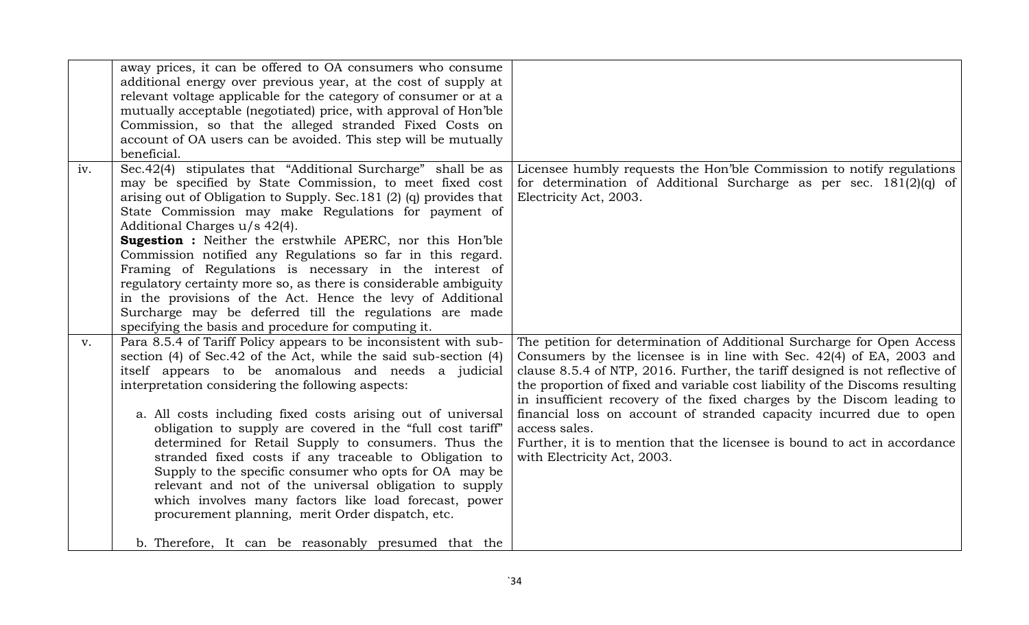|     | away prices, it can be offered to OA consumers who consume<br>additional energy over previous year, at the cost of supply at<br>relevant voltage applicable for the category of consumer or at a<br>mutually acceptable (negotiated) price, with approval of Hon'ble<br>Commission, so that the alleged stranded Fixed Costs on<br>account of OA users can be avoided. This step will be mutually<br>beneficial.                                                                                                                                                                                                                                                                                                                                                                         |                                                                                                                                                                                                                                                                                                                                                                                                                                                                                                                                                                                              |
|-----|------------------------------------------------------------------------------------------------------------------------------------------------------------------------------------------------------------------------------------------------------------------------------------------------------------------------------------------------------------------------------------------------------------------------------------------------------------------------------------------------------------------------------------------------------------------------------------------------------------------------------------------------------------------------------------------------------------------------------------------------------------------------------------------|----------------------------------------------------------------------------------------------------------------------------------------------------------------------------------------------------------------------------------------------------------------------------------------------------------------------------------------------------------------------------------------------------------------------------------------------------------------------------------------------------------------------------------------------------------------------------------------------|
| iv. | Sec.42(4) stipulates that "Additional Surcharge" shall be as<br>may be specified by State Commission, to meet fixed cost<br>arising out of Obligation to Supply. Sec. 181 (2) (q) provides that<br>State Commission may make Regulations for payment of<br>Additional Charges u/s 42(4).<br><b>Sugestion :</b> Neither the erstwhile APERC, nor this Hon'ble<br>Commission notified any Regulations so far in this regard.<br>Framing of Regulations is necessary in the interest of<br>regulatory certainty more so, as there is considerable ambiguity<br>in the provisions of the Act. Hence the levy of Additional<br>Surcharge may be deferred till the regulations are made<br>specifying the basis and procedure for computing it.                                                | Licensee humbly requests the Hon'ble Commission to notify regulations<br>for determination of Additional Surcharge as per sec. $181(2)(q)$ of<br>Electricity Act, 2003.                                                                                                                                                                                                                                                                                                                                                                                                                      |
| V.  | Para 8.5.4 of Tariff Policy appears to be inconsistent with sub-<br>section (4) of Sec. 42 of the Act, while the said sub-section (4)<br>itself appears to be anomalous and needs a judicial<br>interpretation considering the following aspects:<br>a. All costs including fixed costs arising out of universal<br>obligation to supply are covered in the "full cost tariff"<br>determined for Retail Supply to consumers. Thus the<br>stranded fixed costs if any traceable to Obligation to<br>Supply to the specific consumer who opts for OA may be<br>relevant and not of the universal obligation to supply<br>which involves many factors like load forecast, power<br>procurement planning, merit Order dispatch, etc.<br>b. Therefore, It can be reasonably presumed that the | The petition for determination of Additional Surcharge for Open Access<br>Consumers by the licensee is in line with Sec. 42(4) of EA, 2003 and<br>clause 8.5.4 of NTP, 2016. Further, the tariff designed is not reflective of<br>the proportion of fixed and variable cost liability of the Discoms resulting<br>in insufficient recovery of the fixed charges by the Discom leading to<br>financial loss on account of stranded capacity incurred due to open<br>access sales.<br>Further, it is to mention that the licensee is bound to act in accordance<br>with Electricity Act, 2003. |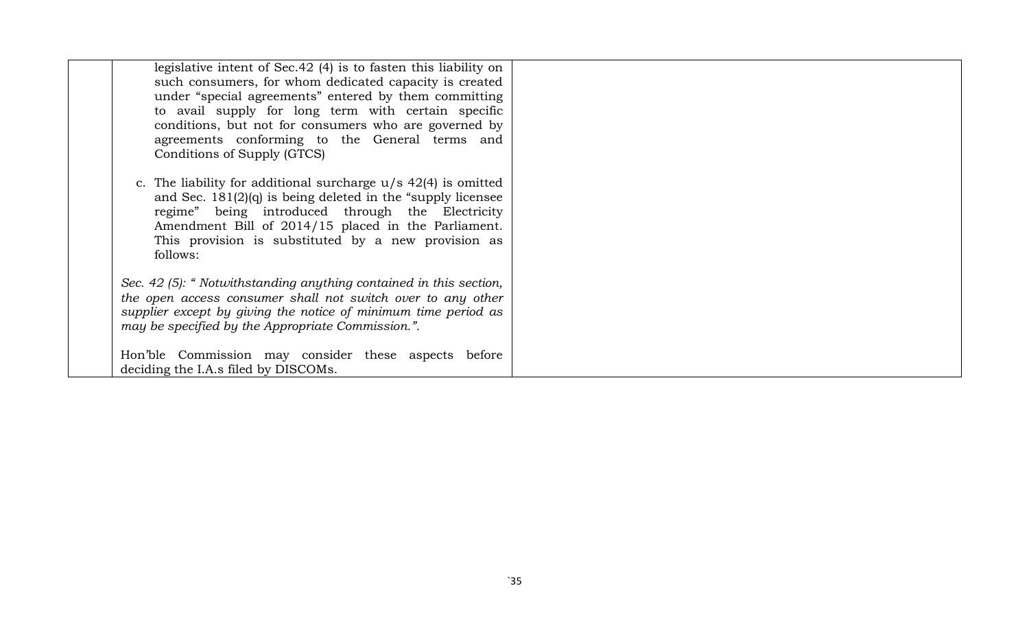| legislative intent of Sec. 42 (4) is to fasten this liability on<br>such consumers, for whom dedicated capacity is created<br>under "special agreements" entered by them committing<br>to avail supply for long term with certain specific<br>conditions, but not for consumers who are governed by<br>agreements conforming to the General terms and |  |
|-------------------------------------------------------------------------------------------------------------------------------------------------------------------------------------------------------------------------------------------------------------------------------------------------------------------------------------------------------|--|
| Conditions of Supply (GTCS)<br>c. The liability for additional surcharge $u/s$ 42(4) is omitted<br>and Sec. $181(2)(q)$ is being deleted in the "supply licensee"<br>regime" being introduced through the Electricity<br>Amendment Bill of 2014/15 placed in the Parliament.                                                                          |  |
| This provision is substituted by a new provision as<br>follows:<br>Sec. 42 (5): " Notwithstanding anything contained in this section,<br>the open access consumer shall not switch over to any other<br>supplier except by giving the notice of minimum time period as                                                                                |  |
| may be specified by the Appropriate Commission.".<br>Hon'ble Commission may consider these aspects before<br>deciding the I.A.s filed by DISCOMs.                                                                                                                                                                                                     |  |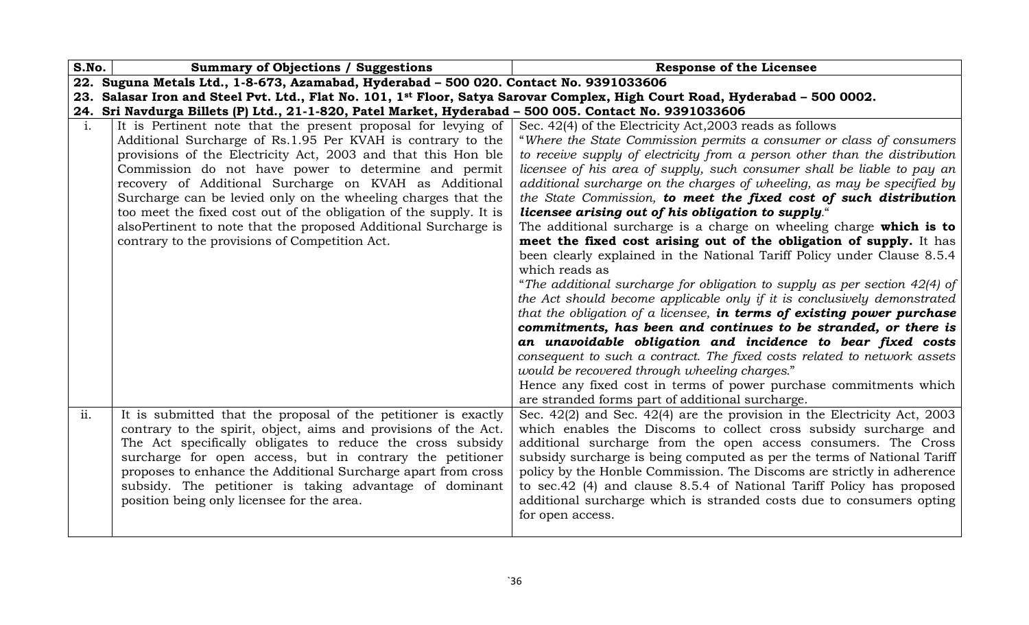| S.No.          | <b>Summary of Objections / Suggestions</b>                                                                                   | <b>Response of the Licensee</b>                                                                                                                          |
|----------------|------------------------------------------------------------------------------------------------------------------------------|----------------------------------------------------------------------------------------------------------------------------------------------------------|
|                | 22. Suguna Metals Ltd., 1-8-673, Azamabad, Hyderabad - 500 020. Contact No. 9391033606                                       |                                                                                                                                                          |
|                | 23. Salasar Iron and Steel Pvt. Ltd., Flat No. 101, 1st Floor, Satya Sarovar Complex, High Court Road, Hyderabad - 500 0002. |                                                                                                                                                          |
|                | 24. Sri Navdurga Billets (P) Ltd., 21-1-820, Patel Market, Hyderabad - 500 005. Contact No. 9391033606                       |                                                                                                                                                          |
| $\mathbf{i}$ . | It is Pertinent note that the present proposal for levying of                                                                | Sec. 42(4) of the Electricity Act, 2003 reads as follows                                                                                                 |
|                | Additional Surcharge of Rs.1.95 Per KVAH is contrary to the                                                                  | "Where the State Commission permits a consumer or class of consumers                                                                                     |
|                | provisions of the Electricity Act, 2003 and that this Hon ble                                                                | to receive supply of electricity from a person other than the distribution                                                                               |
|                | Commission do not have power to determine and permit                                                                         | licensee of his area of supply, such consumer shall be liable to pay an                                                                                  |
|                | recovery of Additional Surcharge on KVAH as Additional                                                                       | additional surcharge on the charges of wheeling, as may be specified by                                                                                  |
|                | Surcharge can be levied only on the wheeling charges that the                                                                | the State Commission, to meet the fixed cost of such distribution                                                                                        |
|                | too meet the fixed cost out of the obligation of the supply. It is                                                           | licensee arising out of his obligation to supply."                                                                                                       |
|                | also Pertinent to note that the proposed Additional Surcharge is                                                             | The additional surcharge is a charge on wheeling charge which is to                                                                                      |
|                | contrary to the provisions of Competition Act.                                                                               | meet the fixed cost arising out of the obligation of supply. It has                                                                                      |
|                |                                                                                                                              | been clearly explained in the National Tariff Policy under Clause 8.5.4<br>which reads as                                                                |
|                |                                                                                                                              |                                                                                                                                                          |
|                |                                                                                                                              | "The additional surcharge for obligation to supply as per section $42(4)$ of<br>the Act should become applicable only if it is conclusively demonstrated |
|                |                                                                                                                              | that the obligation of a licensee, in terms of existing power purchase                                                                                   |
|                |                                                                                                                              | commitments, has been and continues to be stranded, or there is                                                                                          |
|                |                                                                                                                              | an unavoidable obligation and incidence to bear fixed costs                                                                                              |
|                |                                                                                                                              | consequent to such a contract. The fixed costs related to network assets                                                                                 |
|                |                                                                                                                              | would be recovered through wheeling charges."                                                                                                            |
|                |                                                                                                                              | Hence any fixed cost in terms of power purchase commitments which                                                                                        |
|                |                                                                                                                              | are stranded forms part of additional surcharge.                                                                                                         |
| ii.            | It is submitted that the proposal of the petitioner is exactly                                                               | Sec. $42(2)$ and Sec. $42(4)$ are the provision in the Electricity Act, 2003                                                                             |
|                | contrary to the spirit, object, aims and provisions of the Act.                                                              | which enables the Discoms to collect cross subsidy surcharge and                                                                                         |
|                | The Act specifically obligates to reduce the cross subsidy                                                                   | additional surcharge from the open access consumers. The Cross                                                                                           |
|                | surcharge for open access, but in contrary the petitioner                                                                    | subsidy surcharge is being computed as per the terms of National Tariff                                                                                  |
|                | proposes to enhance the Additional Surcharge apart from cross                                                                | policy by the Honble Commission. The Discoms are strictly in adherence                                                                                   |
|                | subsidy. The petitioner is taking advantage of dominant                                                                      | to sec.42 (4) and clause 8.5.4 of National Tariff Policy has proposed                                                                                    |
|                | position being only licensee for the area.                                                                                   | additional surcharge which is stranded costs due to consumers opting                                                                                     |
|                |                                                                                                                              | for open access.                                                                                                                                         |
|                |                                                                                                                              |                                                                                                                                                          |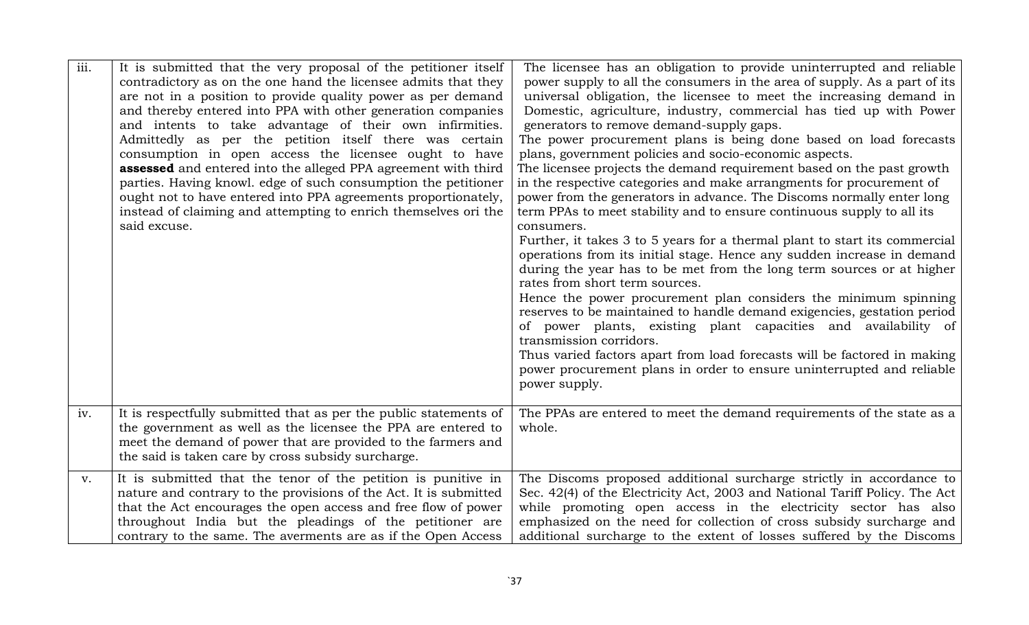| iii. | It is submitted that the very proposal of the petitioner itself<br>contradictory as on the one hand the licensee admits that they<br>are not in a position to provide quality power as per demand<br>and thereby entered into PPA with other generation companies<br>and intents to take advantage of their own infirmities.<br>Admittedly as per the petition itself there was certain<br>consumption in open access the licensee ought to have<br>assessed and entered into the alleged PPA agreement with third<br>parties. Having knowl. edge of such consumption the petitioner<br>ought not to have entered into PPA agreements proportionately,<br>instead of claiming and attempting to enrich themselves ori the<br>said excuse. | The licensee has an obligation to provide uninterrupted and reliable<br>power supply to all the consumers in the area of supply. As a part of its<br>universal obligation, the licensee to meet the increasing demand in<br>Domestic, agriculture, industry, commercial has tied up with Power<br>generators to remove demand-supply gaps.<br>The power procurement plans is being done based on load forecasts<br>plans, government policies and socio-economic aspects.<br>The licensee projects the demand requirement based on the past growth<br>in the respective categories and make arrangments for procurement of<br>power from the generators in advance. The Discoms normally enter long<br>term PPAs to meet stability and to ensure continuous supply to all its<br>consumers.<br>Further, it takes 3 to 5 years for a thermal plant to start its commercial<br>operations from its initial stage. Hence any sudden increase in demand<br>during the year has to be met from the long term sources or at higher<br>rates from short term sources.<br>Hence the power procurement plan considers the minimum spinning<br>reserves to be maintained to handle demand exigencies, gestation period<br>of power plants, existing plant capacities and availability of<br>transmission corridors.<br>Thus varied factors apart from load forecasts will be factored in making<br>power procurement plans in order to ensure uninterrupted and reliable<br>power supply. |
|------|-------------------------------------------------------------------------------------------------------------------------------------------------------------------------------------------------------------------------------------------------------------------------------------------------------------------------------------------------------------------------------------------------------------------------------------------------------------------------------------------------------------------------------------------------------------------------------------------------------------------------------------------------------------------------------------------------------------------------------------------|---------------------------------------------------------------------------------------------------------------------------------------------------------------------------------------------------------------------------------------------------------------------------------------------------------------------------------------------------------------------------------------------------------------------------------------------------------------------------------------------------------------------------------------------------------------------------------------------------------------------------------------------------------------------------------------------------------------------------------------------------------------------------------------------------------------------------------------------------------------------------------------------------------------------------------------------------------------------------------------------------------------------------------------------------------------------------------------------------------------------------------------------------------------------------------------------------------------------------------------------------------------------------------------------------------------------------------------------------------------------------------------------------------------------------------------------------------------------------------|
| iv.  | It is respectfully submitted that as per the public statements of<br>the government as well as the licensee the PPA are entered to<br>meet the demand of power that are provided to the farmers and<br>the said is taken care by cross subsidy surcharge.                                                                                                                                                                                                                                                                                                                                                                                                                                                                                 | The PPAs are entered to meet the demand requirements of the state as a<br>whole.                                                                                                                                                                                                                                                                                                                                                                                                                                                                                                                                                                                                                                                                                                                                                                                                                                                                                                                                                                                                                                                                                                                                                                                                                                                                                                                                                                                                |
| V.   | It is submitted that the tenor of the petition is punitive in<br>nature and contrary to the provisions of the Act. It is submitted<br>that the Act encourages the open access and free flow of power<br>throughout India but the pleadings of the petitioner are<br>contrary to the same. The averments are as if the Open Access                                                                                                                                                                                                                                                                                                                                                                                                         | The Discoms proposed additional surcharge strictly in accordance to<br>Sec. 42(4) of the Electricity Act, 2003 and National Tariff Policy. The Act<br>while promoting open access in the electricity sector has also<br>emphasized on the need for collection of cross subsidy surcharge and<br>additional surcharge to the extent of losses suffered by the Discoms                                                                                                                                                                                                                                                                                                                                                                                                                                                                                                                                                                                                                                                                                                                                                                                                                                                                                                                                                                                                                                                                                                            |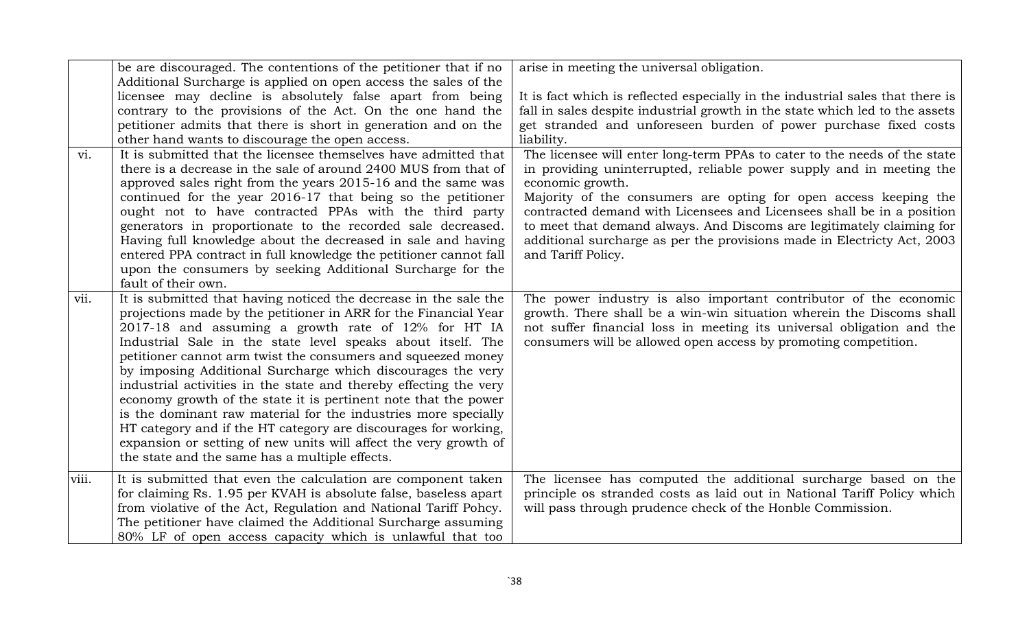|       | be are discouraged. The contentions of the petitioner that if no                                                                                                                                                                                                                                                                                                                                                                                                                                                                                                                                                                                                                                                                                                                             | arise in meeting the universal obligation.                                                                                                                                                                                                                                                                                                                                                                      |
|-------|----------------------------------------------------------------------------------------------------------------------------------------------------------------------------------------------------------------------------------------------------------------------------------------------------------------------------------------------------------------------------------------------------------------------------------------------------------------------------------------------------------------------------------------------------------------------------------------------------------------------------------------------------------------------------------------------------------------------------------------------------------------------------------------------|-----------------------------------------------------------------------------------------------------------------------------------------------------------------------------------------------------------------------------------------------------------------------------------------------------------------------------------------------------------------------------------------------------------------|
| vi.   | Additional Surcharge is applied on open access the sales of the<br>licensee may decline is absolutely false apart from being<br>contrary to the provisions of the Act. On the one hand the<br>petitioner admits that there is short in generation and on the<br>other hand wants to discourage the open access.<br>It is submitted that the licensee themselves have admitted that                                                                                                                                                                                                                                                                                                                                                                                                           | It is fact which is reflected especially in the industrial sales that there is<br>fall in sales despite industrial growth in the state which led to the assets<br>get stranded and unforeseen burden of power purchase fixed costs<br>liability.<br>The licensee will enter long-term PPAs to cater to the needs of the state                                                                                   |
|       | there is a decrease in the sale of around 2400 MUS from that of<br>approved sales right from the years 2015-16 and the same was<br>continued for the year 2016-17 that being so the petitioner<br>ought not to have contracted PPAs with the third party<br>generators in proportionate to the recorded sale decreased.<br>Having full knowledge about the decreased in sale and having<br>entered PPA contract in full knowledge the petitioner cannot fall<br>upon the consumers by seeking Additional Surcharge for the<br>fault of their own.                                                                                                                                                                                                                                            | in providing uninterrupted, reliable power supply and in meeting the<br>economic growth.<br>Majority of the consumers are opting for open access keeping the<br>contracted demand with Licensees and Licensees shall be in a position<br>to meet that demand always. And Discoms are legitimately claiming for<br>additional surcharge as per the provisions made in Electricty Act, 2003<br>and Tariff Policy. |
| vii.  | It is submitted that having noticed the decrease in the sale the<br>projections made by the petitioner in ARR for the Financial Year<br>2017-18 and assuming a growth rate of 12% for HT IA<br>Industrial Sale in the state level speaks about itself. The<br>petitioner cannot arm twist the consumers and squeezed money<br>by imposing Additional Surcharge which discourages the very<br>industrial activities in the state and thereby effecting the very<br>economy growth of the state it is pertinent note that the power<br>is the dominant raw material for the industries more specially<br>HT category and if the HT category are discourages for working,<br>expansion or setting of new units will affect the very growth of<br>the state and the same has a multiple effects. | The power industry is also important contributor of the economic<br>growth. There shall be a win-win situation wherein the Discoms shall<br>not suffer financial loss in meeting its universal obligation and the<br>consumers will be allowed open access by promoting competition.                                                                                                                            |
| viii. | It is submitted that even the calculation are component taken<br>for claiming Rs. 1.95 per KVAH is absolute false, baseless apart<br>from violative of the Act, Regulation and National Tariff Pohcy.<br>The petitioner have claimed the Additional Surcharge assuming<br>80% LF of open access capacity which is unlawful that too                                                                                                                                                                                                                                                                                                                                                                                                                                                          | The licensee has computed the additional surcharge based on the<br>principle os stranded costs as laid out in National Tariff Policy which<br>will pass through prudence check of the Honble Commission.                                                                                                                                                                                                        |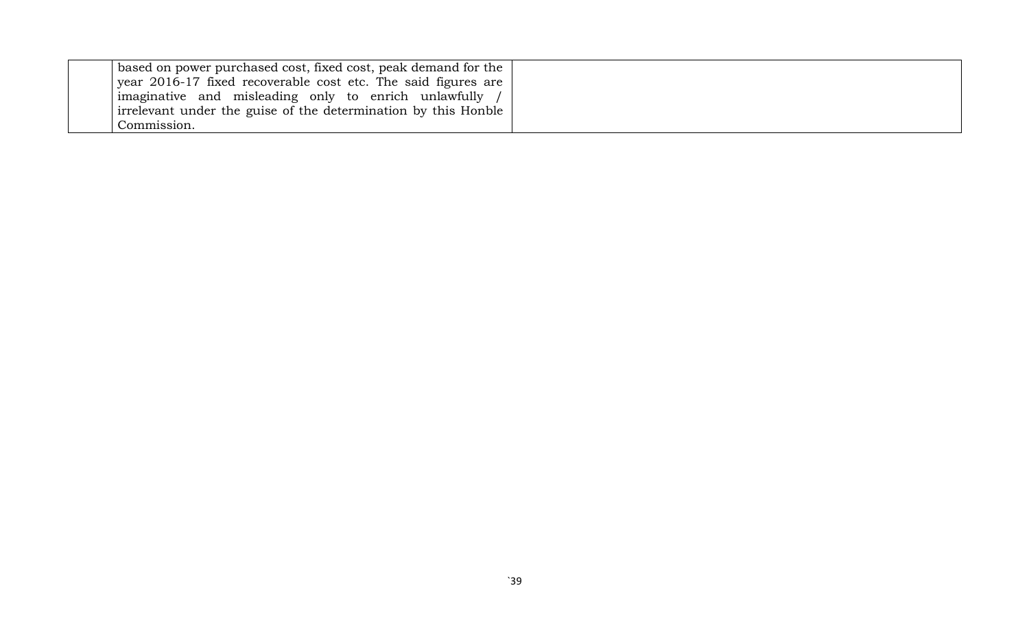| based on power purchased cost, fixed cost, peak demand for the $\parallel$ |
|----------------------------------------------------------------------------|
| year 2016-17 fixed recoverable cost etc. The said figures are              |
| imaginative and misleading only to enrich unlawfully /                     |
| irrelevant under the guise of the determination by this Honble             |
| Commission.                                                                |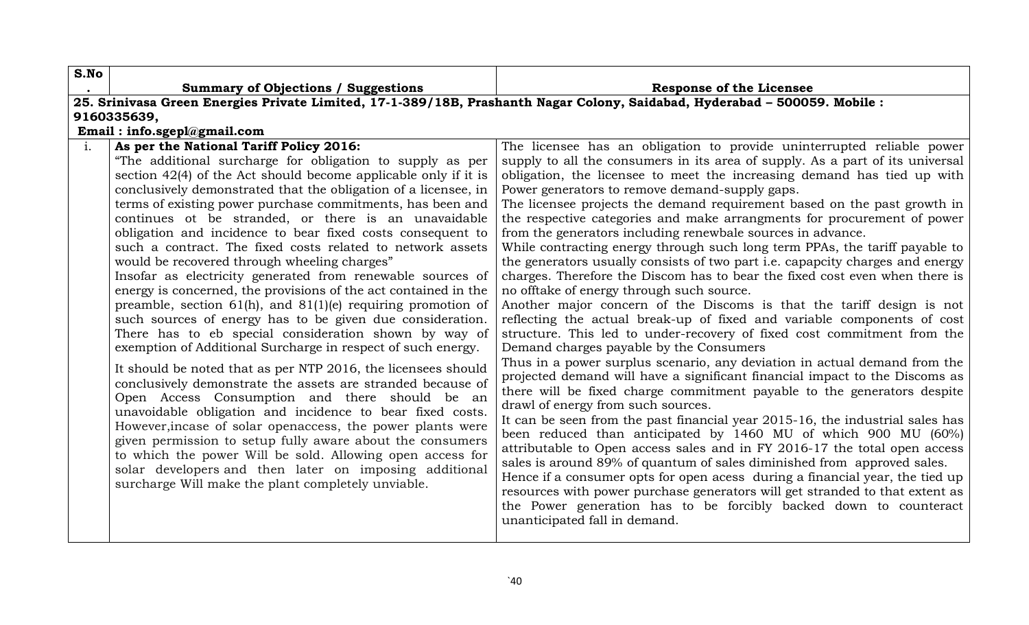| S.No           |                                                                                                                                                                                                                                                                                                                                                                                                                                                                                                                                                                                                                                                                                                                                                                                                                                                                                                                                                                                                                                            |                                                                                                                                                                                                                                                                                                                                                                                                                                                                                                                                                                                                                                                                                                                                                                                                                                                                                                                                                                                                                                                                                                                                                                                                                                                     |
|----------------|--------------------------------------------------------------------------------------------------------------------------------------------------------------------------------------------------------------------------------------------------------------------------------------------------------------------------------------------------------------------------------------------------------------------------------------------------------------------------------------------------------------------------------------------------------------------------------------------------------------------------------------------------------------------------------------------------------------------------------------------------------------------------------------------------------------------------------------------------------------------------------------------------------------------------------------------------------------------------------------------------------------------------------------------|-----------------------------------------------------------------------------------------------------------------------------------------------------------------------------------------------------------------------------------------------------------------------------------------------------------------------------------------------------------------------------------------------------------------------------------------------------------------------------------------------------------------------------------------------------------------------------------------------------------------------------------------------------------------------------------------------------------------------------------------------------------------------------------------------------------------------------------------------------------------------------------------------------------------------------------------------------------------------------------------------------------------------------------------------------------------------------------------------------------------------------------------------------------------------------------------------------------------------------------------------------|
|                | <b>Summary of Objections / Suggestions</b>                                                                                                                                                                                                                                                                                                                                                                                                                                                                                                                                                                                                                                                                                                                                                                                                                                                                                                                                                                                                 | <b>Response of the Licensee</b>                                                                                                                                                                                                                                                                                                                                                                                                                                                                                                                                                                                                                                                                                                                                                                                                                                                                                                                                                                                                                                                                                                                                                                                                                     |
|                |                                                                                                                                                                                                                                                                                                                                                                                                                                                                                                                                                                                                                                                                                                                                                                                                                                                                                                                                                                                                                                            | 25. Srinivasa Green Energies Private Limited, 17-1-389/18B, Prashanth Nagar Colony, Saidabad, Hyderabad - 500059. Mobile:                                                                                                                                                                                                                                                                                                                                                                                                                                                                                                                                                                                                                                                                                                                                                                                                                                                                                                                                                                                                                                                                                                                           |
|                | 9160335639,                                                                                                                                                                                                                                                                                                                                                                                                                                                                                                                                                                                                                                                                                                                                                                                                                                                                                                                                                                                                                                |                                                                                                                                                                                                                                                                                                                                                                                                                                                                                                                                                                                                                                                                                                                                                                                                                                                                                                                                                                                                                                                                                                                                                                                                                                                     |
|                |                                                                                                                                                                                                                                                                                                                                                                                                                                                                                                                                                                                                                                                                                                                                                                                                                                                                                                                                                                                                                                            |                                                                                                                                                                                                                                                                                                                                                                                                                                                                                                                                                                                                                                                                                                                                                                                                                                                                                                                                                                                                                                                                                                                                                                                                                                                     |
| $\mathbf{i}$ . | Email: info.sgepl@gmail.com<br>As per the National Tariff Policy 2016:<br>"The additional surcharge for obligation to supply as per<br>section $42(4)$ of the Act should become applicable only if it is<br>conclusively demonstrated that the obligation of a licensee, in<br>terms of existing power purchase commitments, has been and<br>continues ot be stranded, or there is an unavaidable<br>obligation and incidence to bear fixed costs consequent to<br>such a contract. The fixed costs related to network assets<br>would be recovered through wheeling charges"<br>Insofar as electricity generated from renewable sources of<br>energy is concerned, the provisions of the act contained in the<br>preamble, section $61(h)$ , and $81(1)(e)$ requiring promotion of<br>such sources of energy has to be given due consideration.<br>There has to eb special consideration shown by way of<br>exemption of Additional Surcharge in respect of such energy.<br>It should be noted that as per NTP 2016, the licensees should | The licensee has an obligation to provide uninterrupted reliable power<br>supply to all the consumers in its area of supply. As a part of its universal<br>obligation, the licensee to meet the increasing demand has tied up with<br>Power generators to remove demand-supply gaps.<br>The licensee projects the demand requirement based on the past growth in<br>the respective categories and make arrangments for procurement of power<br>from the generators including renewbale sources in advance.<br>While contracting energy through such long term PPAs, the tariff payable to<br>the generators usually consists of two part <i>i.e.</i> capapcity charges and energy<br>charges. Therefore the Discom has to bear the fixed cost even when there is<br>no offtake of energy through such source.<br>Another major concern of the Discoms is that the tariff design is not<br>reflecting the actual break-up of fixed and variable components of cost<br>structure. This led to under-recovery of fixed cost commitment from the<br>Demand charges payable by the Consumers<br>Thus in a power surplus scenario, any deviation in actual demand from the<br>projected demand will have a significant financial impact to the Discoms as |
|                | conclusively demonstrate the assets are stranded because of<br>Open Access Consumption and there should be an<br>unavoidable obligation and incidence to bear fixed costs.<br>However, incase of solar openaccess, the power plants were<br>given permission to setup fully aware about the consumers<br>to which the power Will be sold. Allowing open access for<br>solar developers and then later on imposing additional<br>surcharge Will make the plant completely unviable.                                                                                                                                                                                                                                                                                                                                                                                                                                                                                                                                                         | there will be fixed charge commitment payable to the generators despite<br>drawl of energy from such sources.<br>It can be seen from the past financial year 2015-16, the industrial sales has<br>been reduced than anticipated by 1460 MU of which 900 MU (60%)<br>attributable to Open access sales and in FY 2016-17 the total open access<br>sales is around 89% of quantum of sales diminished from approved sales.<br>Hence if a consumer opts for open acess during a financial year, the tied up<br>resources with power purchase generators will get stranded to that extent as<br>the Power generation has to be forcibly backed down to counteract<br>unanticipated fall in demand.                                                                                                                                                                                                                                                                                                                                                                                                                                                                                                                                                      |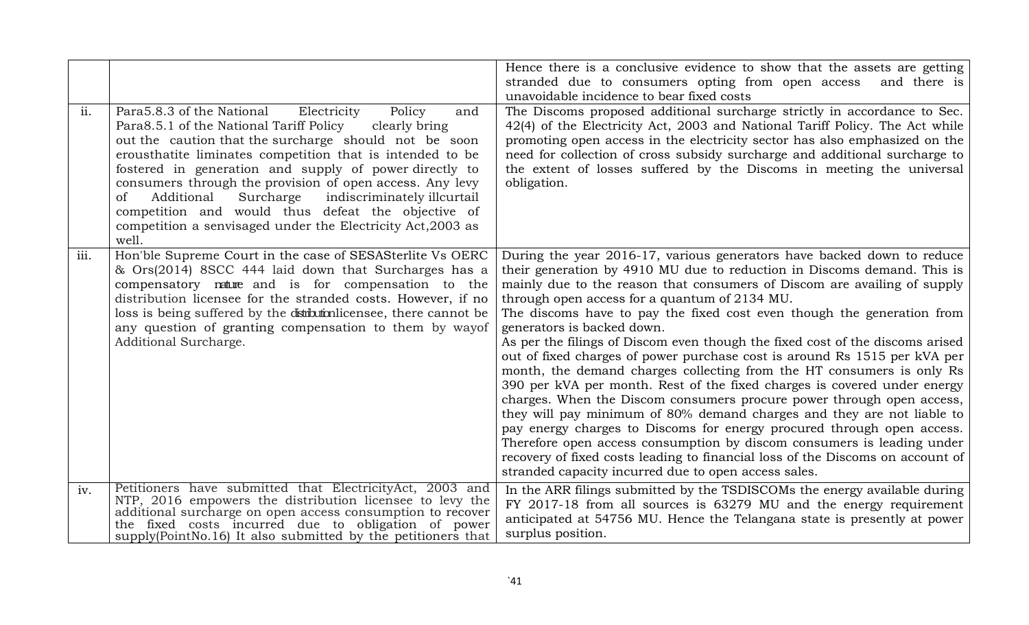|      |                                                                                                                                                                                                                                                                                                                                                                                                                                                                                                                                                                            | Hence there is a conclusive evidence to show that the assets are getting<br>stranded due to consumers opting from open access<br>and there is<br>unavoidable incidence to bear fixed costs                                                                                                                                                                                                                                                                                                                                                                                                                                                                                                                                                                                                                                                                                                                                                                                                                                                                                                                                                                 |
|------|----------------------------------------------------------------------------------------------------------------------------------------------------------------------------------------------------------------------------------------------------------------------------------------------------------------------------------------------------------------------------------------------------------------------------------------------------------------------------------------------------------------------------------------------------------------------------|------------------------------------------------------------------------------------------------------------------------------------------------------------------------------------------------------------------------------------------------------------------------------------------------------------------------------------------------------------------------------------------------------------------------------------------------------------------------------------------------------------------------------------------------------------------------------------------------------------------------------------------------------------------------------------------------------------------------------------------------------------------------------------------------------------------------------------------------------------------------------------------------------------------------------------------------------------------------------------------------------------------------------------------------------------------------------------------------------------------------------------------------------------|
| ii.  | Para5.8.3 of the National<br>Electricity<br>Policy<br>and<br>Para8.5.1 of the National Tariff Policy<br>clearly bring<br>out the caution that the surcharge should not be soon<br>erousthatite liminates competition that is intended to be<br>fostered in generation and supply of power directly to<br>consumers through the provision of open access. Any levy<br>indiscriminately illcurtail<br>Additional<br>Surcharge<br><sub>of</sub><br>competition and would thus defeat the objective of<br>competition a senvisaged under the Electricity Act, 2003 as<br>well. | The Discoms proposed additional surcharge strictly in accordance to Sec.<br>42(4) of the Electricity Act, 2003 and National Tariff Policy. The Act while<br>promoting open access in the electricity sector has also emphasized on the<br>need for collection of cross subsidy surcharge and additional surcharge to<br>the extent of losses suffered by the Discoms in meeting the universal<br>obligation.                                                                                                                                                                                                                                                                                                                                                                                                                                                                                                                                                                                                                                                                                                                                               |
| iii. | Hon'ble Supreme Court in the case of SESASterlite Vs OERC<br>& Ors(2014) 8SCC 444 laid down that Surcharges has a<br>compensatory nature and is for compensation to the<br>distribution licensee for the stranded costs. However, if no<br>loss is being suffered by the distribution licensee, there cannot be<br>any question of granting compensation to them by way of<br>Additional Surcharge.                                                                                                                                                                        | During the year 2016-17, various generators have backed down to reduce<br>their generation by 4910 MU due to reduction in Discoms demand. This is<br>mainly due to the reason that consumers of Discom are availing of supply<br>through open access for a quantum of 2134 MU.<br>The discoms have to pay the fixed cost even though the generation from<br>generators is backed down.<br>As per the filings of Discom even though the fixed cost of the discoms arised<br>out of fixed charges of power purchase cost is around Rs 1515 per kVA per<br>month, the demand charges collecting from the HT consumers is only Rs<br>390 per kVA per month. Rest of the fixed charges is covered under energy<br>charges. When the Discom consumers procure power through open access,<br>they will pay minimum of 80% demand charges and they are not liable to<br>pay energy charges to Discoms for energy procured through open access.<br>Therefore open access consumption by discom consumers is leading under<br>recovery of fixed costs leading to financial loss of the Discoms on account of<br>stranded capacity incurred due to open access sales. |
| iv.  | Petitioners have submitted that ElectricityAct, 2003 and<br>NTP, 2016 empowers the distribution licensee to levy the<br>additional surcharge on open access consumption to recover<br>the fixed costs incurred due to obligation of power<br>supply(PointNo.16) It also submitted by the petitioners that                                                                                                                                                                                                                                                                  | In the ARR filings submitted by the TSDISCOMs the energy available during<br>FY 2017-18 from all sources is 63279 MU and the energy requirement<br>anticipated at 54756 MU. Hence the Telangana state is presently at power<br>surplus position.                                                                                                                                                                                                                                                                                                                                                                                                                                                                                                                                                                                                                                                                                                                                                                                                                                                                                                           |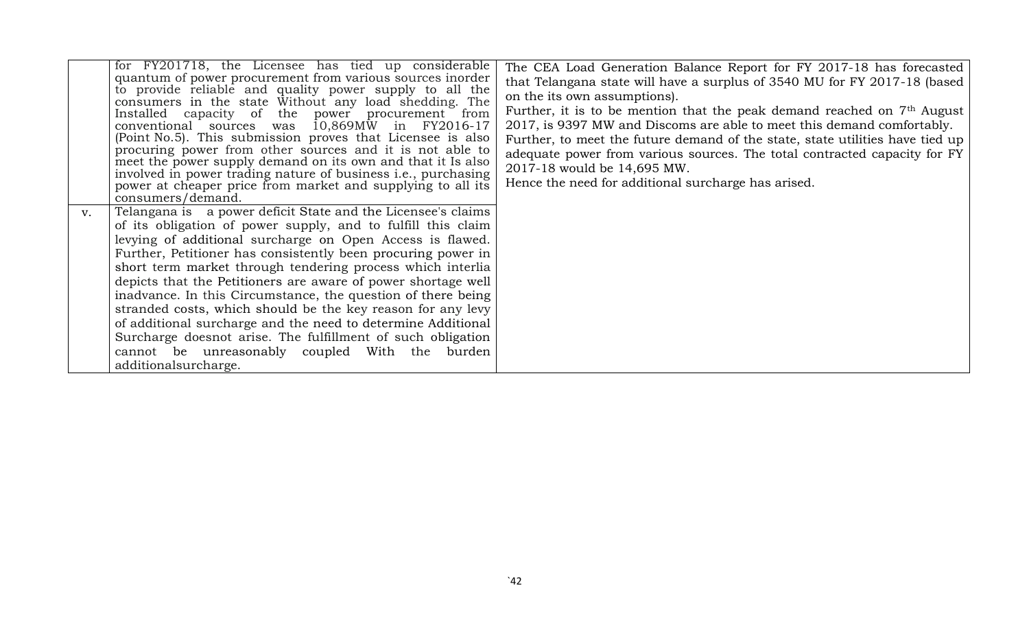|    | for FY201718, the Licensee has tied up considerable<br>quantum of power procurement from various sources inorder<br>to provide reliable and quality power supply to all the<br>consumers in the state Without any load shedding. The<br>Installed capacity of the power procurement from<br>$10,869$ MW in FY2016-17<br>conventional sources was<br>(Point No.5). This submission proves that Licensee is also<br>procuring power from other sources and it is not able to<br>meet the power supply demand on its own and that it Is also<br>involved in power trading nature of business i.e., purchasing<br>power at cheaper price from market and supplying to all its<br>consumers/demand.                                   | The CEA Load Generation Balance Report for FY 2017-18 has forecasted<br>that Telangana state will have a surplus of 3540 MU for FY 2017-18 (based<br>on the its own assumptions).<br>Further, it is to be mention that the peak demand reached on $7th$ August<br>2017, is 9397 MW and Discoms are able to meet this demand comfortably.<br>Further, to meet the future demand of the state, state utilities have tied up<br>adequate power from various sources. The total contracted capacity for FY<br>2017-18 would be 14,695 MW.<br>Hence the need for additional surcharge has arised. |
|----|----------------------------------------------------------------------------------------------------------------------------------------------------------------------------------------------------------------------------------------------------------------------------------------------------------------------------------------------------------------------------------------------------------------------------------------------------------------------------------------------------------------------------------------------------------------------------------------------------------------------------------------------------------------------------------------------------------------------------------|----------------------------------------------------------------------------------------------------------------------------------------------------------------------------------------------------------------------------------------------------------------------------------------------------------------------------------------------------------------------------------------------------------------------------------------------------------------------------------------------------------------------------------------------------------------------------------------------|
| V. | Telangana is a power deficit State and the Licensee's claims<br>of its obligation of power supply, and to fulfill this claim<br>levying of additional surcharge on Open Access is flawed.<br>Further, Petitioner has consistently been procuring power in<br>short term market through tendering process which interlia<br>depicts that the Petitioners are aware of power shortage well<br>inadvance. In this Circumstance, the question of there being<br>stranded costs, which should be the key reason for any levy<br>of additional surcharge and the need to determine Additional<br>Surcharge doesnot arise. The fulfillment of such obligation<br>cannot be unreasonably coupled With the burden<br>additionalsurcharge. |                                                                                                                                                                                                                                                                                                                                                                                                                                                                                                                                                                                              |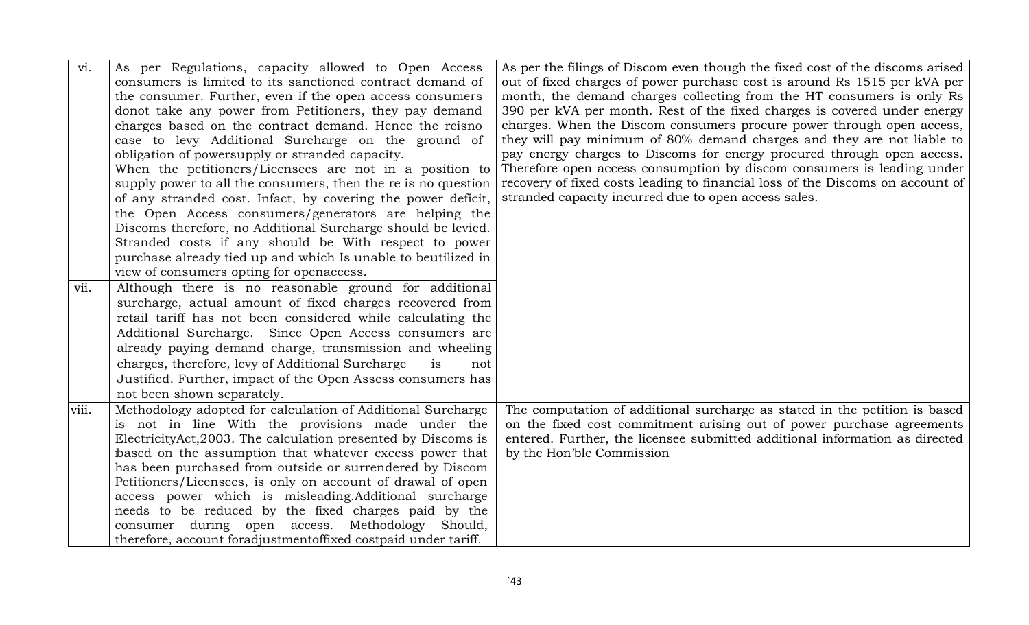| vi.   | As per Regulations, capacity allowed to Open Access<br>consumers is limited to its sanctioned contract demand of | As per the filings of Discom even though the fixed cost of the discoms arised<br>out of fixed charges of power purchase cost is around Rs 1515 per kVA per |
|-------|------------------------------------------------------------------------------------------------------------------|------------------------------------------------------------------------------------------------------------------------------------------------------------|
|       | the consumer. Further, even if the open access consumers                                                         | month, the demand charges collecting from the HT consumers is only Rs                                                                                      |
|       | donot take any power from Petitioners, they pay demand                                                           | 390 per kVA per month. Rest of the fixed charges is covered under energy                                                                                   |
|       | charges based on the contract demand. Hence the reisno                                                           | charges. When the Discom consumers procure power through open access,                                                                                      |
|       | case to levy Additional Surcharge on the ground of                                                               | they will pay minimum of 80% demand charges and they are not liable to                                                                                     |
|       | obligation of powersupply or stranded capacity.                                                                  | pay energy charges to Discoms for energy procured through open access.                                                                                     |
|       | When the petitioners/Licensees are not in a position to                                                          | Therefore open access consumption by discom consumers is leading under                                                                                     |
|       | supply power to all the consumers, then the re is no question                                                    | recovery of fixed costs leading to financial loss of the Discoms on account of                                                                             |
|       | of any stranded cost. Infact, by covering the power deficit,                                                     | stranded capacity incurred due to open access sales.                                                                                                       |
|       | the Open Access consumers/generators are helping the                                                             |                                                                                                                                                            |
|       | Discoms therefore, no Additional Surcharge should be levied.                                                     |                                                                                                                                                            |
|       | Stranded costs if any should be With respect to power                                                            |                                                                                                                                                            |
|       | purchase already tied up and which Is unable to beutilized in                                                    |                                                                                                                                                            |
|       | view of consumers opting for openaccess.                                                                         |                                                                                                                                                            |
| vii.  | Although there is no reasonable ground for additional                                                            |                                                                                                                                                            |
|       | surcharge, actual amount of fixed charges recovered from                                                         |                                                                                                                                                            |
|       | retail tariff has not been considered while calculating the                                                      |                                                                                                                                                            |
|       | Additional Surcharge. Since Open Access consumers are                                                            |                                                                                                                                                            |
|       | already paying demand charge, transmission and wheeling                                                          |                                                                                                                                                            |
|       | charges, therefore, levy of Additional Surcharge<br>is<br>not                                                    |                                                                                                                                                            |
|       | Justified. Further, impact of the Open Assess consumers has                                                      |                                                                                                                                                            |
|       | not been shown separately.                                                                                       |                                                                                                                                                            |
| viii. | Methodology adopted for calculation of Additional Surcharge                                                      | The computation of additional surcharge as stated in the petition is based                                                                                 |
|       | is not in line With the provisions made under the                                                                | on the fixed cost commitment arising out of power purchase agreements                                                                                      |
|       | ElectricityAct, 2003. The calculation presented by Discoms is                                                    | entered. Further, the licensee submitted additional information as directed                                                                                |
|       | based on the assumption that whatever excess power that                                                          | by the Hon'ble Commission                                                                                                                                  |
|       | has been purchased from outside or surrendered by Discom                                                         |                                                                                                                                                            |
|       | Petitioners/Licensees, is only on account of drawal of open                                                      |                                                                                                                                                            |
|       | access power which is misleading. Additional surcharge                                                           |                                                                                                                                                            |
|       | needs to be reduced by the fixed charges paid by the                                                             |                                                                                                                                                            |
|       | consumer during open access. Methodology Should,                                                                 |                                                                                                                                                            |
|       | therefore, account foradjustmentoffixed costpaid under tariff.                                                   |                                                                                                                                                            |